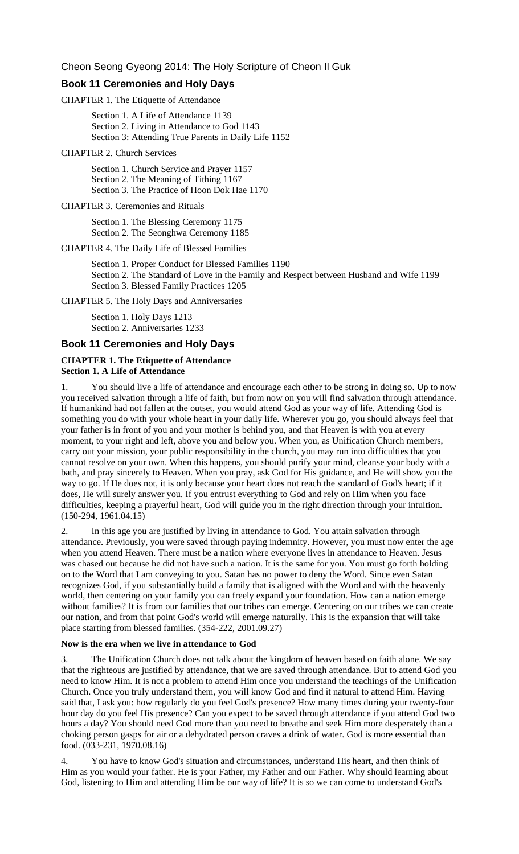Cheon Seong Gyeong 2014: The Holy Scripture of Cheon Il Guk

## **Book 11 Ceremonies and Holy Days**

CHAPTER 1. The Etiquette of Attendance

Section 1. A Life of Attendance 1139 Section 2. Living in Attendance to God 1143 Section 3: Attending True Parents in Daily Life 1152

#### CHAPTER 2. Church Services

Section 1. Church Service and Prayer 1157 Section 2. The Meaning of Tithing 1167 Section 3. The Practice of Hoon Dok Hae 1170

#### CHAPTER 3. Ceremonies and Rituals

Section 1. The Blessing Ceremony 1175 Section 2. The Seonghwa Ceremony 1185

CHAPTER 4. The Daily Life of Blessed Families

Section 1. Proper Conduct for Blessed Families 1190 Section 2. The Standard of Love in the Family and Respect between Husband and Wife 1199 Section 3. Blessed Family Practices 1205

CHAPTER 5. The Holy Days and Anniversaries

Section 1. Holy Days 1213 Section 2. Anniversaries 1233

#### **Book 11 Ceremonies and Holy Days**

#### **CHAPTER 1. The Etiquette of Attendance Section 1. A Life of Attendance**

1. You should live a life of attendance and encourage each other to be strong in doing so. Up to now you received salvation through a life of faith, but from now on you will find salvation through attendance. If humankind had not fallen at the outset, you would attend God as your way of life. Attending God is something you do with your whole heart in your daily life. Wherever you go, you should always feel that your father is in front of you and your mother is behind you, and that Heaven is with you at every moment, to your right and left, above you and below you. When you, as Unification Church members, carry out your mission, your public responsibility in the church, you may run into difficulties that you cannot resolve on your own. When this happens, you should purify your mind, cleanse your body with a bath, and pray sincerely to Heaven. When you pray, ask God for His guidance, and He will show you the way to go. If He does not, it is only because your heart does not reach the standard of God's heart; if it does, He will surely answer you. If you entrust everything to God and rely on Him when you face difficulties, keeping a prayerful heart, God will guide you in the right direction through your intuition. (150-294, 1961.04.15)

2. In this age you are justified by living in attendance to God. You attain salvation through attendance. Previously, you were saved through paying indemnity. However, you must now enter the age when you attend Heaven. There must be a nation where everyone lives in attendance to Heaven. Jesus was chased out because he did not have such a nation. It is the same for you. You must go forth holding on to the Word that I am conveying to you. Satan has no power to deny the Word. Since even Satan recognizes God, if you substantially build a family that is aligned with the Word and with the heavenly world, then centering on your family you can freely expand your foundation. How can a nation emerge without families? It is from our families that our tribes can emerge. Centering on our tribes we can create our nation, and from that point God's world will emerge naturally. This is the expansion that will take place starting from blessed families. (354-222, 2001.09.27)

# **Now is the era when we live in attendance to God**

3. The Unification Church does not talk about the kingdom of heaven based on faith alone. We say that the righteous are justified by attendance, that we are saved through attendance. But to attend God you need to know Him. It is not a problem to attend Him once you understand the teachings of the Unification Church. Once you truly understand them, you will know God and find it natural to attend Him. Having said that, I ask you: how regularly do you feel God's presence? How many times during your twenty-four hour day do you feel His presence? Can you expect to be saved through attendance if you attend God two hours a day? You should need God more than you need to breathe and seek Him more desperately than a choking person gasps for air or a dehydrated person craves a drink of water. God is more essential than food. (033-231, 1970.08.16)

4. You have to know God's situation and circumstances, understand His heart, and then think of Him as you would your father. He is your Father, my Father and our Father. Why should learning about God, listening to Him and attending Him be our way of life? It is so we can come to understand God's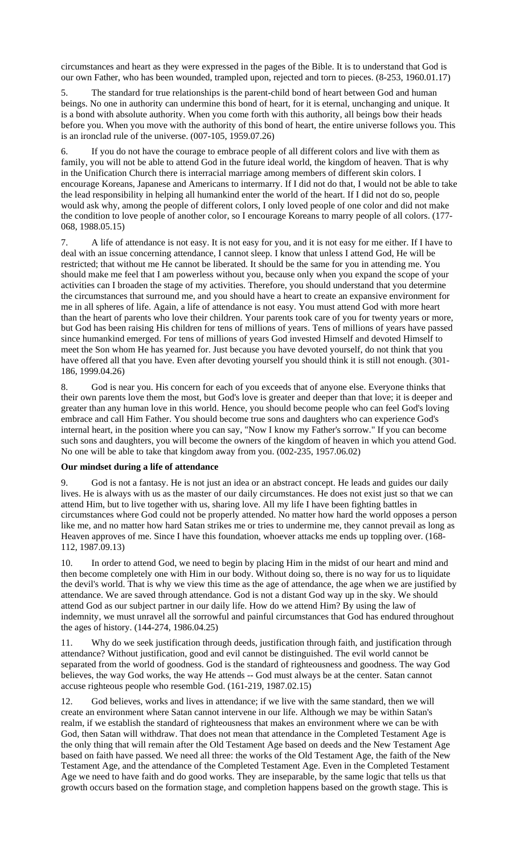circumstances and heart as they were expressed in the pages of the Bible. It is to understand that God is our own Father, who has been wounded, trampled upon, rejected and torn to pieces. (8-253, 1960.01.17)

5. The standard for true relationships is the parent-child bond of heart between God and human beings. No one in authority can undermine this bond of heart, for it is eternal, unchanging and unique. It is a bond with absolute authority. When you come forth with this authority, all beings bow their heads before you. When you move with the authority of this bond of heart, the entire universe follows you. This is an ironclad rule of the universe. (007-105, 1959.07.26)

6. If you do not have the courage to embrace people of all different colors and live with them as family, you will not be able to attend God in the future ideal world, the kingdom of heaven. That is why in the Unification Church there is interracial marriage among members of different skin colors. I encourage Koreans, Japanese and Americans to intermarry. If I did not do that, I would not be able to take the lead responsibility in helping all humankind enter the world of the heart. If I did not do so, people would ask why, among the people of different colors, I only loved people of one color and did not make the condition to love people of another color, so I encourage Koreans to marry people of all colors. (177- 068, 1988.05.15)

7. A life of attendance is not easy. It is not easy for you, and it is not easy for me either. If I have to deal with an issue concerning attendance, I cannot sleep. I know that unless I attend God, He will be restricted; that without me He cannot be liberated. It should be the same for you in attending me. You should make me feel that I am powerless without you, because only when you expand the scope of your activities can I broaden the stage of my activities. Therefore, you should understand that you determine the circumstances that surround me, and you should have a heart to create an expansive environment for me in all spheres of life. Again, a life of attendance is not easy. You must attend God with more heart than the heart of parents who love their children. Your parents took care of you for twenty years or more, but God has been raising His children for tens of millions of years. Tens of millions of years have passed since humankind emerged. For tens of millions of years God invested Himself and devoted Himself to meet the Son whom He has yearned for. Just because you have devoted yourself, do not think that you have offered all that you have. Even after devoting yourself you should think it is still not enough. (301- 186, 1999.04.26)

God is near you. His concern for each of you exceeds that of anyone else. Everyone thinks that their own parents love them the most, but God's love is greater and deeper than that love; it is deeper and greater than any human love in this world. Hence, you should become people who can feel God's loving embrace and call Him Father. You should become true sons and daughters who can experience God's internal heart, in the position where you can say, "Now I know my Father's sorrow." If you can become such sons and daughters, you will become the owners of the kingdom of heaven in which you attend God. No one will be able to take that kingdom away from you. (002-235, 1957.06.02)

### **Our mindset during a life of attendance**

9. God is not a fantasy. He is not just an idea or an abstract concept. He leads and guides our daily lives. He is always with us as the master of our daily circumstances. He does not exist just so that we can attend Him, but to live together with us, sharing love. All my life I have been fighting battles in circumstances where God could not be properly attended. No matter how hard the world opposes a person like me, and no matter how hard Satan strikes me or tries to undermine me, they cannot prevail as long as Heaven approves of me. Since I have this foundation, whoever attacks me ends up toppling over. (168-112, 1987.09.13)

10. In order to attend God, we need to begin by placing Him in the midst of our heart and mind and then become completely one with Him in our body. Without doing so, there is no way for us to liquidate the devil's world. That is why we view this time as the age of attendance, the age when we are justified by attendance. We are saved through attendance. God is not a distant God way up in the sky. We should attend God as our subject partner in our daily life. How do we attend Him? By using the law of indemnity, we must unravel all the sorrowful and painful circumstances that God has endured throughout the ages of history. (144-274, 1986.04.25)

11. Why do we seek justification through deeds, justification through faith, and justification through attendance? Without justification, good and evil cannot be distinguished. The evil world cannot be separated from the world of goodness. God is the standard of righteousness and goodness. The way God believes, the way God works, the way He attends -- God must always be at the center. Satan cannot accuse righteous people who resemble God. (161-219, 1987.02.15)

12. God believes, works and lives in attendance; if we live with the same standard, then we will create an environment where Satan cannot intervene in our life. Although we may be within Satan's realm, if we establish the standard of righteousness that makes an environment where we can be with God, then Satan will withdraw. That does not mean that attendance in the Completed Testament Age is the only thing that will remain after the Old Testament Age based on deeds and the New Testament Age based on faith have passed. We need all three: the works of the Old Testament Age, the faith of the New Testament Age, and the attendance of the Completed Testament Age. Even in the Completed Testament Age we need to have faith and do good works. They are inseparable, by the same logic that tells us that growth occurs based on the formation stage, and completion happens based on the growth stage. This is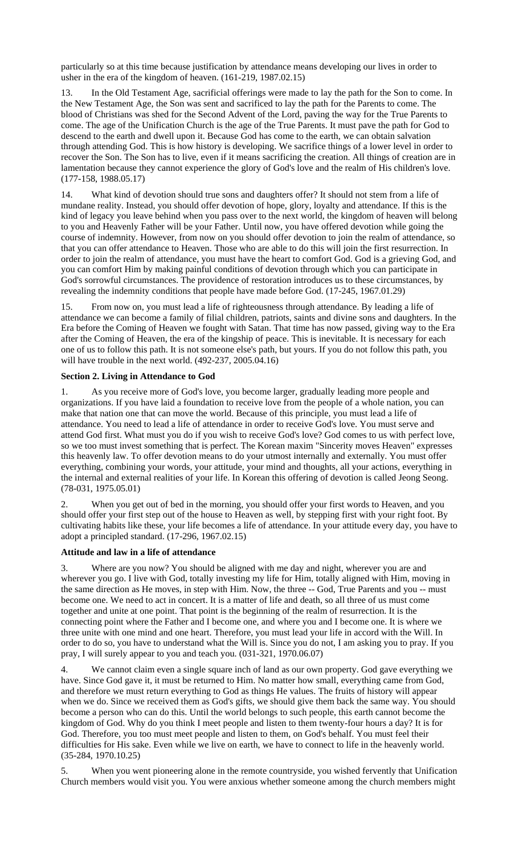particularly so at this time because justification by attendance means developing our lives in order to usher in the era of the kingdom of heaven. (161-219, 1987.02.15)

13. In the Old Testament Age, sacrificial offerings were made to lay the path for the Son to come. In the New Testament Age, the Son was sent and sacrificed to lay the path for the Parents to come. The blood of Christians was shed for the Second Advent of the Lord, paving the way for the True Parents to come. The age of the Unification Church is the age of the True Parents. It must pave the path for God to descend to the earth and dwell upon it. Because God has come to the earth, we can obtain salvation through attending God. This is how history is developing. We sacrifice things of a lower level in order to recover the Son. The Son has to live, even if it means sacrificing the creation. All things of creation are in lamentation because they cannot experience the glory of God's love and the realm of His children's love. (177-158, 1988.05.17)

14. What kind of devotion should true sons and daughters offer? It should not stem from a life of mundane reality. Instead, you should offer devotion of hope, glory, loyalty and attendance. If this is the kind of legacy you leave behind when you pass over to the next world, the kingdom of heaven will belong to you and Heavenly Father will be your Father. Until now, you have offered devotion while going the course of indemnity. However, from now on you should offer devotion to join the realm of attendance, so that you can offer attendance to Heaven. Those who are able to do this will join the first resurrection. In order to join the realm of attendance, you must have the heart to comfort God. God is a grieving God, and you can comfort Him by making painful conditions of devotion through which you can participate in God's sorrowful circumstances. The providence of restoration introduces us to these circumstances, by revealing the indemnity conditions that people have made before God. (17-245, 1967.01.29)

15. From now on, you must lead a life of righteousness through attendance. By leading a life of attendance we can become a family of filial children, patriots, saints and divine sons and daughters. In the Era before the Coming of Heaven we fought with Satan. That time has now passed, giving way to the Era after the Coming of Heaven, the era of the kingship of peace. This is inevitable. It is necessary for each one of us to follow this path. It is not someone else's path, but yours. If you do not follow this path, you will have trouble in the next world. (492-237, 2005.04.16)

# **Section 2. Living in Attendance to God**

1. As you receive more of God's love, you become larger, gradually leading more people and organizations. If you have laid a foundation to receive love from the people of a whole nation, you can make that nation one that can move the world. Because of this principle, you must lead a life of attendance. You need to lead a life of attendance in order to receive God's love. You must serve and attend God first. What must you do if you wish to receive God's love? God comes to us with perfect love, so we too must invest something that is perfect. The Korean maxim "Sincerity moves Heaven" expresses this heavenly law. To offer devotion means to do your utmost internally and externally. You must offer everything, combining your words, your attitude, your mind and thoughts, all your actions, everything in the internal and external realities of your life. In Korean this offering of devotion is called Jeong Seong. (78-031, 1975.05.01)

2. When you get out of bed in the morning, you should offer your first words to Heaven, and you should offer your first step out of the house to Heaven as well, by stepping first with your right foot. By cultivating habits like these, your life becomes a life of attendance. In your attitude every day, you have to adopt a principled standard. (17-296, 1967.02.15)

### **Attitude and law in a life of attendance**

3. Where are you now? You should be aligned with me day and night, wherever you are and wherever you go. I live with God, totally investing my life for Him, totally aligned with Him, moving in the same direction as He moves, in step with Him. Now, the three -- God, True Parents and you -- must become one. We need to act in concert. It is a matter of life and death, so all three of us must come together and unite at one point. That point is the beginning of the realm of resurrection. It is the connecting point where the Father and I become one, and where you and I become one. It is where we three unite with one mind and one heart. Therefore, you must lead your life in accord with the Will. In order to do so, you have to understand what the Will is. Since you do not, I am asking you to pray. If you pray, I will surely appear to you and teach you. (031-321, 1970.06.07)

4. We cannot claim even a single square inch of land as our own property. God gave everything we have. Since God gave it, it must be returned to Him. No matter how small, everything came from God, and therefore we must return everything to God as things He values. The fruits of history will appear when we do. Since we received them as God's gifts, we should give them back the same way. You should become a person who can do this. Until the world belongs to such people, this earth cannot become the kingdom of God. Why do you think I meet people and listen to them twenty-four hours a day? It is for God. Therefore, you too must meet people and listen to them, on God's behalf. You must feel their difficulties for His sake. Even while we live on earth, we have to connect to life in the heavenly world. (35-284, 1970.10.25)

5. When you went pioneering alone in the remote countryside, you wished fervently that Unification Church members would visit you. You were anxious whether someone among the church members might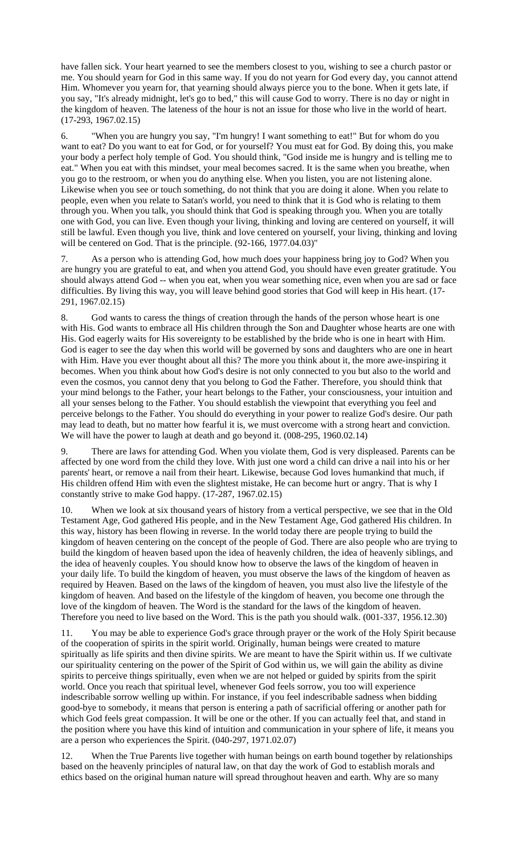have fallen sick. Your heart yearned to see the members closest to you, wishing to see a church pastor or me. You should yearn for God in this same way. If you do not yearn for God every day, you cannot attend Him. Whomever you yearn for, that yearning should always pierce you to the bone. When it gets late, if you say, "It's already midnight, let's go to bed," this will cause God to worry. There is no day or night in the kingdom of heaven. The lateness of the hour is not an issue for those who live in the world of heart. (17-293, 1967.02.15)

6. "When you are hungry you say, "I'm hungry! I want something to eat!" But for whom do you want to eat? Do you want to eat for God, or for yourself? You must eat for God. By doing this, you make your body a perfect holy temple of God. You should think, "God inside me is hungry and is telling me to eat." When you eat with this mindset, your meal becomes sacred. It is the same when you breathe, when you go to the restroom, or when you do anything else. When you listen, you are not listening alone. Likewise when you see or touch something, do not think that you are doing it alone. When you relate to people, even when you relate to Satan's world, you need to think that it is God who is relating to them through you. When you talk, you should think that God is speaking through you. When you are totally one with God, you can live. Even though your living, thinking and loving are centered on yourself, it will still be lawful. Even though you live, think and love centered on yourself, your living, thinking and loving will be centered on God. That is the principle. (92-166, 1977.04.03)"

7. As a person who is attending God, how much does your happiness bring joy to God? When you are hungry you are grateful to eat, and when you attend God, you should have even greater gratitude. You should always attend God -- when you eat, when you wear something nice, even when you are sad or face difficulties. By living this way, you will leave behind good stories that God will keep in His heart. (17- 291, 1967.02.15)

8. God wants to caress the things of creation through the hands of the person whose heart is one with His. God wants to embrace all His children through the Son and Daughter whose hearts are one with His. God eagerly waits for His sovereignty to be established by the bride who is one in heart with Him. God is eager to see the day when this world will be governed by sons and daughters who are one in heart with Him. Have you ever thought about all this? The more you think about it, the more awe-inspiring it becomes. When you think about how God's desire is not only connected to you but also to the world and even the cosmos, you cannot deny that you belong to God the Father. Therefore, you should think that your mind belongs to the Father, your heart belongs to the Father, your consciousness, your intuition and all your senses belong to the Father. You should establish the viewpoint that everything you feel and perceive belongs to the Father. You should do everything in your power to realize God's desire. Our path may lead to death, but no matter how fearful it is, we must overcome with a strong heart and conviction. We will have the power to laugh at death and go beyond it.  $(008-295, 1960.02.14)$ 

9. There are laws for attending God. When you violate them, God is very displeased. Parents can be affected by one word from the child they love. With just one word a child can drive a nail into his or her parents' heart, or remove a nail from their heart. Likewise, because God loves humankind that much, if His children offend Him with even the slightest mistake, He can become hurt or angry. That is why I constantly strive to make God happy. (17-287, 1967.02.15)

10. When we look at six thousand years of history from a vertical perspective, we see that in the Old Testament Age, God gathered His people, and in the New Testament Age, God gathered His children. In this way, history has been flowing in reverse. In the world today there are people trying to build the kingdom of heaven centering on the concept of the people of God. There are also people who are trying to build the kingdom of heaven based upon the idea of heavenly children, the idea of heavenly siblings, and the idea of heavenly couples. You should know how to observe the laws of the kingdom of heaven in your daily life. To build the kingdom of heaven, you must observe the laws of the kingdom of heaven as required by Heaven. Based on the laws of the kingdom of heaven, you must also live the lifestyle of the kingdom of heaven. And based on the lifestyle of the kingdom of heaven, you become one through the love of the kingdom of heaven. The Word is the standard for the laws of the kingdom of heaven. Therefore you need to live based on the Word. This is the path you should walk. (001-337, 1956.12.30)

11. You may be able to experience God's grace through prayer or the work of the Holy Spirit because of the cooperation of spirits in the spirit world. Originally, human beings were created to mature spiritually as life spirits and then divine spirits. We are meant to have the Spirit within us. If we cultivate our spirituality centering on the power of the Spirit of God within us, we will gain the ability as divine spirits to perceive things spiritually, even when we are not helped or guided by spirits from the spirit world. Once you reach that spiritual level, whenever God feels sorrow, you too will experience indescribable sorrow welling up within. For instance, if you feel indescribable sadness when bidding good-bye to somebody, it means that person is entering a path of sacrificial offering or another path for which God feels great compassion. It will be one or the other. If you can actually feel that, and stand in the position where you have this kind of intuition and communication in your sphere of life, it means you are a person who experiences the Spirit. (040-297, 1971.02.07)

12. When the True Parents live together with human beings on earth bound together by relationships based on the heavenly principles of natural law, on that day the work of God to establish morals and ethics based on the original human nature will spread throughout heaven and earth. Why are so many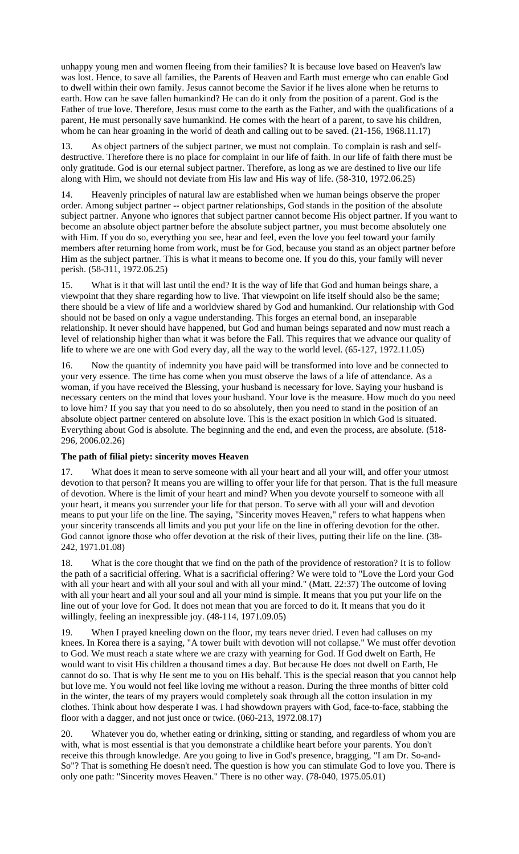unhappy young men and women fleeing from their families? It is because love based on Heaven's law was lost. Hence, to save all families, the Parents of Heaven and Earth must emerge who can enable God to dwell within their own family. Jesus cannot become the Savior if he lives alone when he returns to earth. How can he save fallen humankind? He can do it only from the position of a parent. God is the Father of true love. Therefore, Jesus must come to the earth as the Father, and with the qualifications of a parent, He must personally save humankind. He comes with the heart of a parent, to save his children, whom he can hear groaning in the world of death and calling out to be saved.  $(21-156, 1968.11.17)$ 

13. As object partners of the subject partner, we must not complain. To complain is rash and selfdestructive. Therefore there is no place for complaint in our life of faith. In our life of faith there must be only gratitude. God is our eternal subject partner. Therefore, as long as we are destined to live our life along with Him, we should not deviate from His law and His way of life. (58-310, 1972.06.25)

14. Heavenly principles of natural law are established when we human beings observe the proper order. Among subject partner -- object partner relationships, God stands in the position of the absolute subject partner. Anyone who ignores that subject partner cannot become His object partner. If you want to become an absolute object partner before the absolute subject partner, you must become absolutely one with Him. If you do so, everything you see, hear and feel, even the love you feel toward your family members after returning home from work, must be for God, because you stand as an object partner before Him as the subject partner. This is what it means to become one. If you do this, your family will never perish. (58-311, 1972.06.25)

15. What is it that will last until the end? It is the way of life that God and human beings share, a viewpoint that they share regarding how to live. That viewpoint on life itself should also be the same; there should be a view of life and a worldview shared by God and humankind. Our relationship with God should not be based on only a vague understanding. This forges an eternal bond, an inseparable relationship. It never should have happened, but God and human beings separated and now must reach a level of relationship higher than what it was before the Fall. This requires that we advance our quality of life to where we are one with God every day, all the way to the world level. (65-127, 1972.11.05)

16. Now the quantity of indemnity you have paid will be transformed into love and be connected to your very essence. The time has come when you must observe the laws of a life of attendance. As a woman, if you have received the Blessing, your husband is necessary for love. Saying your husband is necessary centers on the mind that loves your husband. Your love is the measure. How much do you need to love him? If you say that you need to do so absolutely, then you need to stand in the position of an absolute object partner centered on absolute love. This is the exact position in which God is situated. Everything about God is absolute. The beginning and the end, and even the process, are absolute. (518- 296, 2006.02.26)

### **The path of filial piety: sincerity moves Heaven**

17. What does it mean to serve someone with all your heart and all your will, and offer your utmost devotion to that person? It means you are willing to offer your life for that person. That is the full measure of devotion. Where is the limit of your heart and mind? When you devote yourself to someone with all your heart, it means you surrender your life for that person. To serve with all your will and devotion means to put your life on the line. The saying, "Sincerity moves Heaven," refers to what happens when your sincerity transcends all limits and you put your life on the line in offering devotion for the other. God cannot ignore those who offer devotion at the risk of their lives, putting their life on the line. (38-242, 1971.01.08)

18. What is the core thought that we find on the path of the providence of restoration? It is to follow the path of a sacrificial offering. What is a sacrificial offering? We were told to "Love the Lord your God with all your heart and with all your soul and with all your mind." (Matt. 22:37) The outcome of loving with all your heart and all your soul and all your mind is simple. It means that you put your life on the line out of your love for God. It does not mean that you are forced to do it. It means that you do it willingly, feeling an inexpressible joy. (48-114, 1971.09.05)

19. When I prayed kneeling down on the floor, my tears never dried. I even had calluses on my knees. In Korea there is a saying, "A tower built with devotion will not collapse." We must offer devotion to God. We must reach a state where we are crazy with yearning for God. If God dwelt on Earth, He would want to visit His children a thousand times a day. But because He does not dwell on Earth, He cannot do so. That is why He sent me to you on His behalf. This is the special reason that you cannot help but love me. You would not feel like loving me without a reason. During the three months of bitter cold in the winter, the tears of my prayers would completely soak through all the cotton insulation in my clothes. Think about how desperate I was. I had showdown prayers with God, face-to-face, stabbing the floor with a dagger, and not just once or twice. (060-213, 1972.08.17)

20. Whatever you do, whether eating or drinking, sitting or standing, and regardless of whom you are with, what is most essential is that you demonstrate a childlike heart before your parents. You don't receive this through knowledge. Are you going to live in God's presence, bragging, "I am Dr. So-and-So"? That is something He doesn't need. The question is how you can stimulate God to love you. There is only one path: "Sincerity moves Heaven." There is no other way. (78-040, 1975.05.01)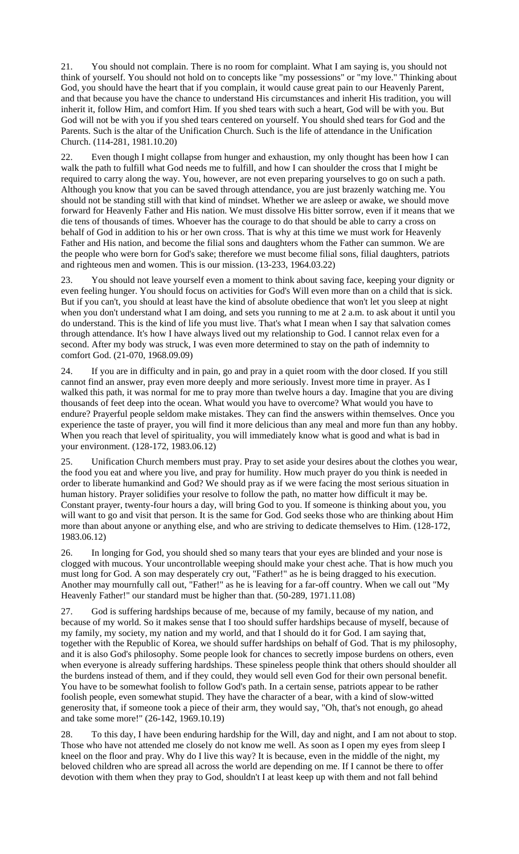21. You should not complain. There is no room for complaint. What I am saying is, you should not think of yourself. You should not hold on to concepts like "my possessions" or "my love." Thinking about God, you should have the heart that if you complain, it would cause great pain to our Heavenly Parent, and that because you have the chance to understand His circumstances and inherit His tradition, you will inherit it, follow Him, and comfort Him. If you shed tears with such a heart, God will be with you. But God will not be with you if you shed tears centered on yourself. You should shed tears for God and the Parents. Such is the altar of the Unification Church. Such is the life of attendance in the Unification Church. (114-281, 1981.10.20)

22. Even though I might collapse from hunger and exhaustion, my only thought has been how I can walk the path to fulfill what God needs me to fulfill, and how I can shoulder the cross that I might be required to carry along the way. You, however, are not even preparing yourselves to go on such a path. Although you know that you can be saved through attendance, you are just brazenly watching me. You should not be standing still with that kind of mindset. Whether we are asleep or awake, we should move forward for Heavenly Father and His nation. We must dissolve His bitter sorrow, even if it means that we die tens of thousands of times. Whoever has the courage to do that should be able to carry a cross on behalf of God in addition to his or her own cross. That is why at this time we must work for Heavenly Father and His nation, and become the filial sons and daughters whom the Father can summon. We are the people who were born for God's sake; therefore we must become filial sons, filial daughters, patriots and righteous men and women. This is our mission. (13-233, 1964.03.22)

23. You should not leave yourself even a moment to think about saving face, keeping your dignity or even feeling hunger. You should focus on activities for God's Will even more than on a child that is sick. But if you can't, you should at least have the kind of absolute obedience that won't let you sleep at night when you don't understand what I am doing, and sets you running to me at 2 a.m. to ask about it until you do understand. This is the kind of life you must live. That's what I mean when I say that salvation comes through attendance. It's how I have always lived out my relationship to God. I cannot relax even for a second. After my body was struck, I was even more determined to stay on the path of indemnity to comfort God. (21-070, 1968.09.09)

24. If you are in difficulty and in pain, go and pray in a quiet room with the door closed. If you still cannot find an answer, pray even more deeply and more seriously. Invest more time in prayer. As I walked this path, it was normal for me to pray more than twelve hours a day. Imagine that you are diving thousands of feet deep into the ocean. What would you have to overcome? What would you have to endure? Prayerful people seldom make mistakes. They can find the answers within themselves. Once you experience the taste of prayer, you will find it more delicious than any meal and more fun than any hobby. When you reach that level of spirituality, you will immediately know what is good and what is bad in your environment. (128-172, 1983.06.12)

25. Unification Church members must pray. Pray to set aside your desires about the clothes you wear, the food you eat and where you live, and pray for humility. How much prayer do you think is needed in order to liberate humankind and God? We should pray as if we were facing the most serious situation in human history. Prayer solidifies your resolve to follow the path, no matter how difficult it may be. Constant prayer, twenty-four hours a day, will bring God to you. If someone is thinking about you, you will want to go and visit that person. It is the same for God. God seeks those who are thinking about Him more than about anyone or anything else, and who are striving to dedicate themselves to Him. (128-172, 1983.06.12)

26. In longing for God, you should shed so many tears that your eyes are blinded and your nose is clogged with mucous. Your uncontrollable weeping should make your chest ache. That is how much you must long for God. A son may desperately cry out, "Father!" as he is being dragged to his execution. Another may mournfully call out, "Father!" as he is leaving for a far-off country. When we call out "My Heavenly Father!" our standard must be higher than that. (50-289, 1971.11.08)

27. God is suffering hardships because of me, because of my family, because of my nation, and because of my world. So it makes sense that I too should suffer hardships because of myself, because of my family, my society, my nation and my world, and that I should do it for God. I am saying that, together with the Republic of Korea, we should suffer hardships on behalf of God. That is my philosophy, and it is also God's philosophy. Some people look for chances to secretly impose burdens on others, even when everyone is already suffering hardships. These spineless people think that others should shoulder all the burdens instead of them, and if they could, they would sell even God for their own personal benefit. You have to be somewhat foolish to follow God's path. In a certain sense, patriots appear to be rather foolish people, even somewhat stupid. They have the character of a bear, with a kind of slow-witted generosity that, if someone took a piece of their arm, they would say, "Oh, that's not enough, go ahead and take some more!" (26-142, 1969.10.19)

28. To this day, I have been enduring hardship for the Will, day and night, and I am not about to stop. Those who have not attended me closely do not know me well. As soon as I open my eyes from sleep I kneel on the floor and pray. Why do I live this way? It is because, even in the middle of the night, my beloved children who are spread all across the world are depending on me. If I cannot be there to offer devotion with them when they pray to God, shouldn't I at least keep up with them and not fall behind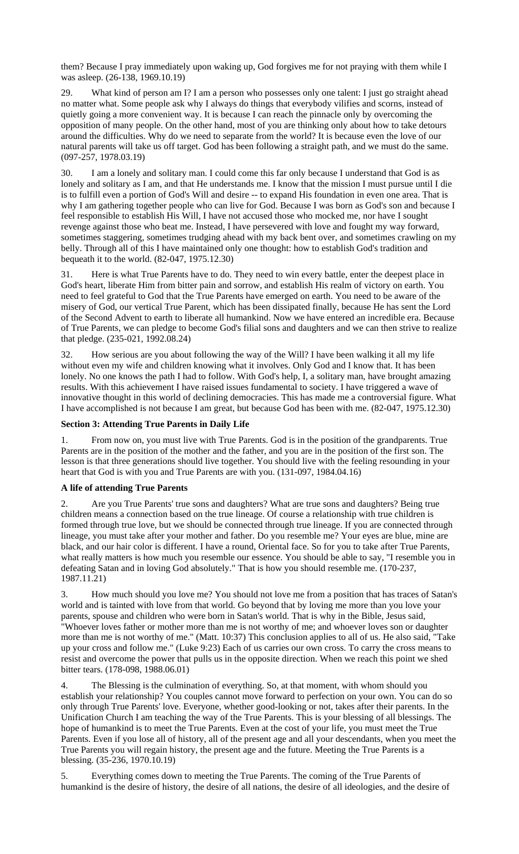them? Because I pray immediately upon waking up, God forgives me for not praying with them while I was asleep. (26-138, 1969.10.19)

29. What kind of person am I? I am a person who possesses only one talent: I just go straight ahead no matter what. Some people ask why I always do things that everybody vilifies and scorns, instead of quietly going a more convenient way. It is because I can reach the pinnacle only by overcoming the opposition of many people. On the other hand, most of you are thinking only about how to take detours around the difficulties. Why do we need to separate from the world? It is because even the love of our natural parents will take us off target. God has been following a straight path, and we must do the same. (097-257, 1978.03.19)

30. I am a lonely and solitary man. I could come this far only because I understand that God is as lonely and solitary as I am, and that He understands me. I know that the mission I must pursue until I die is to fulfill even a portion of God's Will and desire -- to expand His foundation in even one area. That is why I am gathering together people who can live for God. Because I was born as God's son and because I feel responsible to establish His Will, I have not accused those who mocked me, nor have I sought revenge against those who beat me. Instead, I have persevered with love and fought my way forward, sometimes staggering, sometimes trudging ahead with my back bent over, and sometimes crawling on my belly. Through all of this I have maintained only one thought: how to establish God's tradition and bequeath it to the world. (82-047, 1975.12.30)

31. Here is what True Parents have to do. They need to win every battle, enter the deepest place in God's heart, liberate Him from bitter pain and sorrow, and establish His realm of victory on earth. You need to feel grateful to God that the True Parents have emerged on earth. You need to be aware of the misery of God, our vertical True Parent, which has been dissipated finally, because He has sent the Lord of the Second Advent to earth to liberate all humankind. Now we have entered an incredible era. Because of True Parents, we can pledge to become God's filial sons and daughters and we can then strive to realize that pledge. (235-021, 1992.08.24)

32. How serious are you about following the way of the Will? I have been walking it all my life without even my wife and children knowing what it involves. Only God and I know that. It has been lonely. No one knows the path I had to follow. With God's help, I, a solitary man, have brought amazing results. With this achievement I have raised issues fundamental to society. I have triggered a wave of innovative thought in this world of declining democracies. This has made me a controversial figure. What I have accomplished is not because I am great, but because God has been with me. (82-047, 1975.12.30)

### **Section 3: Attending True Parents in Daily Life**

1. From now on, you must live with True Parents. God is in the position of the grandparents. True Parents are in the position of the mother and the father, and you are in the position of the first son. The lesson is that three generations should live together. You should live with the feeling resounding in your heart that God is with you and True Parents are with you. (131-097, 1984.04.16)

### **A life of attending True Parents**

2. Are you True Parents' true sons and daughters? What are true sons and daughters? Being true children means a connection based on the true lineage. Of course a relationship with true children is formed through true love, but we should be connected through true lineage. If you are connected through lineage, you must take after your mother and father. Do you resemble me? Your eyes are blue, mine are black, and our hair color is different. I have a round, Oriental face. So for you to take after True Parents, what really matters is how much you resemble our essence. You should be able to say, "I resemble you in defeating Satan and in loving God absolutely." That is how you should resemble me. (170-237, 1987.11.21)

How much should you love me? You should not love me from a position that has traces of Satan's world and is tainted with love from that world. Go beyond that by loving me more than you love your parents, spouse and children who were born in Satan's world. That is why in the Bible, Jesus said, "Whoever loves father or mother more than me is not worthy of me; and whoever loves son or daughter more than me is not worthy of me." (Matt. 10:37) This conclusion applies to all of us. He also said, "Take up your cross and follow me." (Luke 9:23) Each of us carries our own cross. To carry the cross means to resist and overcome the power that pulls us in the opposite direction. When we reach this point we shed bitter tears. (178-098, 1988.06.01)

4. The Blessing is the culmination of everything. So, at that moment, with whom should you establish your relationship? You couples cannot move forward to perfection on your own. You can do so only through True Parents' love. Everyone, whether good-looking or not, takes after their parents. In the Unification Church I am teaching the way of the True Parents. This is your blessing of all blessings. The hope of humankind is to meet the True Parents. Even at the cost of your life, you must meet the True Parents. Even if you lose all of history, all of the present age and all your descendants, when you meet the True Parents you will regain history, the present age and the future. Meeting the True Parents is a blessing. (35-236, 1970.10.19)

5. Everything comes down to meeting the True Parents. The coming of the True Parents of humankind is the desire of history, the desire of all nations, the desire of all ideologies, and the desire of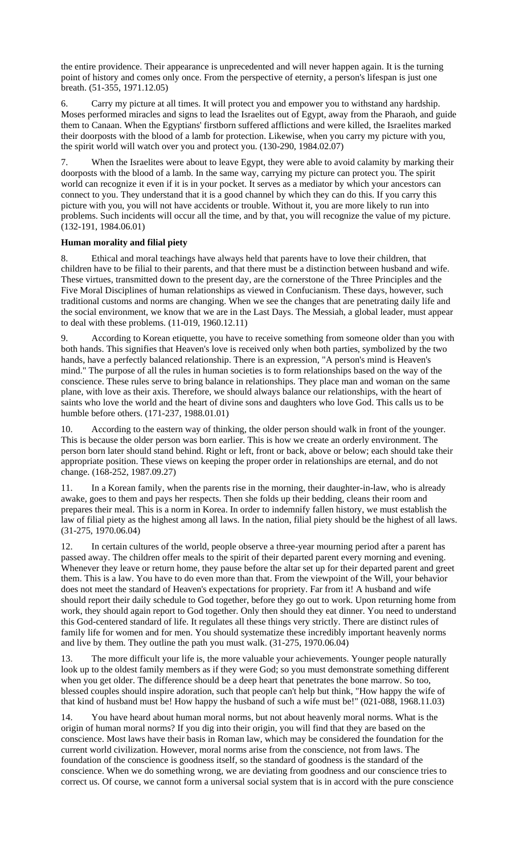the entire providence. Their appearance is unprecedented and will never happen again. It is the turning point of history and comes only once. From the perspective of eternity, a person's lifespan is just one breath. (51-355, 1971.12.05)

6. Carry my picture at all times. It will protect you and empower you to withstand any hardship. Moses performed miracles and signs to lead the Israelites out of Egypt, away from the Pharaoh, and guide them to Canaan. When the Egyptians' firstborn suffered afflictions and were killed, the Israelites marked their doorposts with the blood of a lamb for protection. Likewise, when you carry my picture with you, the spirit world will watch over you and protect you. (130-290, 1984.02.07)

7. When the Israelites were about to leave Egypt, they were able to avoid calamity by marking their doorposts with the blood of a lamb. In the same way, carrying my picture can protect you. The spirit world can recognize it even if it is in your pocket. It serves as a mediator by which your ancestors can connect to you. They understand that it is a good channel by which they can do this. If you carry this picture with you, you will not have accidents or trouble. Without it, you are more likely to run into problems. Such incidents will occur all the time, and by that, you will recognize the value of my picture. (132-191, 1984.06.01)

# **Human morality and filial piety**

8. Ethical and moral teachings have always held that parents have to love their children, that children have to be filial to their parents, and that there must be a distinction between husband and wife. These virtues, transmitted down to the present day, are the cornerstone of the Three Principles and the Five Moral Disciplines of human relationships as viewed in Confucianism. These days, however, such traditional customs and norms are changing. When we see the changes that are penetrating daily life and the social environment, we know that we are in the Last Days. The Messiah, a global leader, must appear to deal with these problems. (11-019, 1960.12.11)

9. According to Korean etiquette, you have to receive something from someone older than you with both hands. This signifies that Heaven's love is received only when both parties, symbolized by the two hands, have a perfectly balanced relationship. There is an expression, "A person's mind is Heaven's mind." The purpose of all the rules in human societies is to form relationships based on the way of the conscience. These rules serve to bring balance in relationships. They place man and woman on the same plane, with love as their axis. Therefore, we should always balance our relationships, with the heart of saints who love the world and the heart of divine sons and daughters who love God. This calls us to be humble before others. (171-237, 1988.01.01)

10. According to the eastern way of thinking, the older person should walk in front of the younger. This is because the older person was born earlier. This is how we create an orderly environment. The person born later should stand behind. Right or left, front or back, above or below; each should take their appropriate position. These views on keeping the proper order in relationships are eternal, and do not change. (168-252, 1987.09.27)

11. In a Korean family, when the parents rise in the morning, their daughter-in-law, who is already awake, goes to them and pays her respects. Then she folds up their bedding, cleans their room and prepares their meal. This is a norm in Korea. In order to indemnify fallen history, we must establish the law of filial piety as the highest among all laws. In the nation, filial piety should be the highest of all laws. (31-275, 1970.06.04)

In certain cultures of the world, people observe a three-year mourning period after a parent has passed away. The children offer meals to the spirit of their departed parent every morning and evening. Whenever they leave or return home, they pause before the altar set up for their departed parent and greet them. This is a law. You have to do even more than that. From the viewpoint of the Will, your behavior does not meet the standard of Heaven's expectations for propriety. Far from it! A husband and wife should report their daily schedule to God together, before they go out to work. Upon returning home from work, they should again report to God together. Only then should they eat dinner. You need to understand this God-centered standard of life. It regulates all these things very strictly. There are distinct rules of family life for women and for men. You should systematize these incredibly important heavenly norms and live by them. They outline the path you must walk. (31-275, 1970.06.04)

13. The more difficult your life is, the more valuable your achievements. Younger people naturally look up to the oldest family members as if they were God; so you must demonstrate something different when you get older. The difference should be a deep heart that penetrates the bone marrow. So too, blessed couples should inspire adoration, such that people can't help but think, "How happy the wife of that kind of husband must be! How happy the husband of such a wife must be!" (021-088, 1968.11.03)

14. You have heard about human moral norms, but not about heavenly moral norms. What is the origin of human moral norms? If you dig into their origin, you will find that they are based on the conscience. Most laws have their basis in Roman law, which may be considered the foundation for the current world civilization. However, moral norms arise from the conscience, not from laws. The foundation of the conscience is goodness itself, so the standard of goodness is the standard of the conscience. When we do something wrong, we are deviating from goodness and our conscience tries to correct us. Of course, we cannot form a universal social system that is in accord with the pure conscience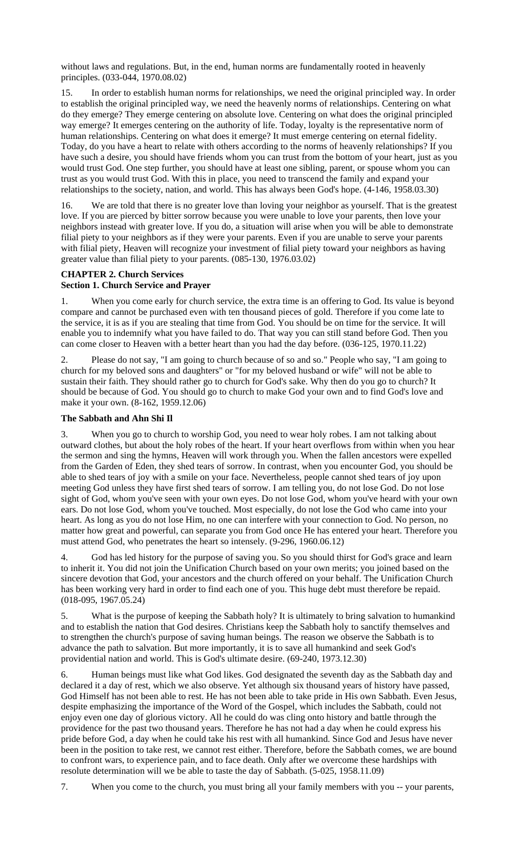without laws and regulations. But, in the end, human norms are fundamentally rooted in heavenly principles. (033-044, 1970.08.02)

15. In order to establish human norms for relationships, we need the original principled way. In order to establish the original principled way, we need the heavenly norms of relationships. Centering on what do they emerge? They emerge centering on absolute love. Centering on what does the original principled way emerge? It emerges centering on the authority of life. Today, loyalty is the representative norm of human relationships. Centering on what does it emerge? It must emerge centering on eternal fidelity. Today, do you have a heart to relate with others according to the norms of heavenly relationships? If you have such a desire, you should have friends whom you can trust from the bottom of your heart, just as you would trust God. One step further, you should have at least one sibling, parent, or spouse whom you can trust as you would trust God. With this in place, you need to transcend the family and expand your relationships to the society, nation, and world. This has always been God's hope. (4-146, 1958.03.30)

16. We are told that there is no greater love than loving your neighbor as yourself. That is the greatest love. If you are pierced by bitter sorrow because you were unable to love your parents, then love your neighbors instead with greater love. If you do, a situation will arise when you will be able to demonstrate filial piety to your neighbors as if they were your parents. Even if you are unable to serve your parents with filial piety, Heaven will recognize your investment of filial piety toward your neighbors as having greater value than filial piety to your parents. (085-130, 1976.03.02)

# **CHAPTER 2. Church Services**

### **Section 1. Church Service and Prayer**

1. When you come early for church service, the extra time is an offering to God. Its value is beyond compare and cannot be purchased even with ten thousand pieces of gold. Therefore if you come late to the service, it is as if you are stealing that time from God. You should be on time for the service. It will enable you to indemnify what you have failed to do. That way you can still stand before God. Then you can come closer to Heaven with a better heart than you had the day before. (036-125, 1970.11.22)

2. Please do not say, "I am going to church because of so and so." People who say, "I am going to church for my beloved sons and daughters" or "for my beloved husband or wife" will not be able to sustain their faith. They should rather go to church for God's sake. Why then do you go to church? It should be because of God. You should go to church to make God your own and to find God's love and make it your own. (8-162, 1959.12.06)

## **The Sabbath and Ahn Shi Il**

3. When you go to church to worship God, you need to wear holy robes. I am not talking about outward clothes, but about the holy robes of the heart. If your heart overflows from within when you hear the sermon and sing the hymns, Heaven will work through you. When the fallen ancestors were expelled from the Garden of Eden, they shed tears of sorrow. In contrast, when you encounter God, you should be able to shed tears of joy with a smile on your face. Nevertheless, people cannot shed tears of joy upon meeting God unless they have first shed tears of sorrow. I am telling you, do not lose God. Do not lose sight of God, whom you've seen with your own eyes. Do not lose God, whom you've heard with your own ears. Do not lose God, whom you've touched. Most especially, do not lose the God who came into your heart. As long as you do not lose Him, no one can interfere with your connection to God. No person, no matter how great and powerful, can separate you from God once He has entered your heart. Therefore you must attend God, who penetrates the heart so intensely. (9-296, 1960.06.12)

4. God has led history for the purpose of saving you. So you should thirst for God's grace and learn to inherit it. You did not join the Unification Church based on your own merits; you joined based on the sincere devotion that God, your ancestors and the church offered on your behalf. The Unification Church has been working very hard in order to find each one of you. This huge debt must therefore be repaid. (018-095, 1967.05.24)

5. What is the purpose of keeping the Sabbath holy? It is ultimately to bring salvation to humankind and to establish the nation that God desires. Christians keep the Sabbath holy to sanctify themselves and to strengthen the church's purpose of saving human beings. The reason we observe the Sabbath is to advance the path to salvation. But more importantly, it is to save all humankind and seek God's providential nation and world. This is God's ultimate desire. (69-240, 1973.12.30)

6. Human beings must like what God likes. God designated the seventh day as the Sabbath day and declared it a day of rest, which we also observe. Yet although six thousand years of history have passed, God Himself has not been able to rest. He has not been able to take pride in His own Sabbath. Even Jesus, despite emphasizing the importance of the Word of the Gospel, which includes the Sabbath, could not enjoy even one day of glorious victory. All he could do was cling onto history and battle through the providence for the past two thousand years. Therefore he has not had a day when he could express his pride before God, a day when he could take his rest with all humankind. Since God and Jesus have never been in the position to take rest, we cannot rest either. Therefore, before the Sabbath comes, we are bound to confront wars, to experience pain, and to face death. Only after we overcome these hardships with resolute determination will we be able to taste the day of Sabbath. (5-025, 1958.11.09)

7. When you come to the church, you must bring all your family members with you -- your parents,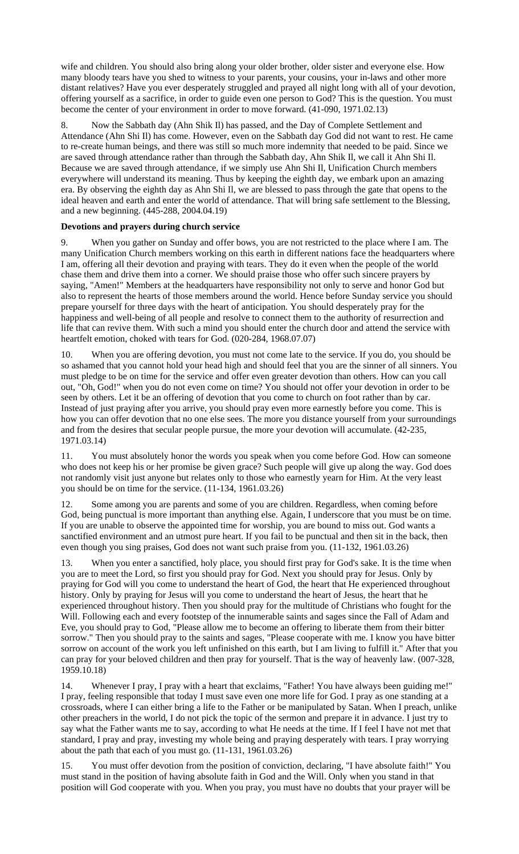wife and children. You should also bring along your older brother, older sister and everyone else. How many bloody tears have you shed to witness to your parents, your cousins, your in-laws and other more distant relatives? Have you ever desperately struggled and prayed all night long with all of your devotion, offering yourself as a sacrifice, in order to guide even one person to God? This is the question. You must become the center of your environment in order to move forward. (41-090, 1971.02.13)

8. Now the Sabbath day (Ahn Shik Il) has passed, and the Day of Complete Settlement and Attendance (Ahn Shi Il) has come. However, even on the Sabbath day God did not want to rest. He came to re-create human beings, and there was still so much more indemnity that needed to be paid. Since we are saved through attendance rather than through the Sabbath day, Ahn Shik Il, we call it Ahn Shi Il. Because we are saved through attendance, if we simply use Ahn Shi Il, Unification Church members everywhere will understand its meaning. Thus by keeping the eighth day, we embark upon an amazing era. By observing the eighth day as Ahn Shi Il, we are blessed to pass through the gate that opens to the ideal heaven and earth and enter the world of attendance. That will bring safe settlement to the Blessing, and a new beginning. (445-288, 2004.04.19)

### **Devotions and prayers during church service**

9. When you gather on Sunday and offer bows, you are not restricted to the place where I am. The many Unification Church members working on this earth in different nations face the headquarters where I am, offering all their devotion and praying with tears. They do it even when the people of the world chase them and drive them into a corner. We should praise those who offer such sincere prayers by saying, "Amen!" Members at the headquarters have responsibility not only to serve and honor God but also to represent the hearts of those members around the world. Hence before Sunday service you should prepare yourself for three days with the heart of anticipation. You should desperately pray for the happiness and well-being of all people and resolve to connect them to the authority of resurrection and life that can revive them. With such a mind you should enter the church door and attend the service with heartfelt emotion, choked with tears for God. (020-284, 1968.07.07)

10. When you are offering devotion, you must not come late to the service. If you do, you should be so ashamed that you cannot hold your head high and should feel that you are the sinner of all sinners. You must pledge to be on time for the service and offer even greater devotion than others. How can you call out, "Oh, God!" when you do not even come on time? You should not offer your devotion in order to be seen by others. Let it be an offering of devotion that you come to church on foot rather than by car. Instead of just praying after you arrive, you should pray even more earnestly before you come. This is how you can offer devotion that no one else sees. The more you distance yourself from your surroundings and from the desires that secular people pursue, the more your devotion will accumulate. (42-235, 1971.03.14)

11. You must absolutely honor the words you speak when you come before God. How can someone who does not keep his or her promise be given grace? Such people will give up along the way. God does not randomly visit just anyone but relates only to those who earnestly yearn for Him. At the very least you should be on time for the service. (11-134, 1961.03.26)

12. Some among you are parents and some of you are children. Regardless, when coming before God, being punctual is more important than anything else. Again, I underscore that you must be on time. If you are unable to observe the appointed time for worship, you are bound to miss out. God wants a sanctified environment and an utmost pure heart. If you fail to be punctual and then sit in the back, then even though you sing praises, God does not want such praise from you. (11-132, 1961.03.26)

13. When you enter a sanctified, holy place, you should first pray for God's sake. It is the time when you are to meet the Lord, so first you should pray for God. Next you should pray for Jesus. Only by praying for God will you come to understand the heart of God, the heart that He experienced throughout history. Only by praying for Jesus will you come to understand the heart of Jesus, the heart that he experienced throughout history. Then you should pray for the multitude of Christians who fought for the Will. Following each and every footstep of the innumerable saints and sages since the Fall of Adam and Eve, you should pray to God, "Please allow me to become an offering to liberate them from their bitter sorrow." Then you should pray to the saints and sages, "Please cooperate with me. I know you have bitter sorrow on account of the work you left unfinished on this earth, but I am living to fulfill it." After that you can pray for your beloved children and then pray for yourself. That is the way of heavenly law. (007-328, 1959.10.18)

14. Whenever I pray, I pray with a heart that exclaims, "Father! You have always been guiding me!" I pray, feeling responsible that today I must save even one more life for God. I pray as one standing at a crossroads, where I can either bring a life to the Father or be manipulated by Satan. When I preach, unlike other preachers in the world, I do not pick the topic of the sermon and prepare it in advance. I just try to say what the Father wants me to say, according to what He needs at the time. If I feel I have not met that standard, I pray and pray, investing my whole being and praying desperately with tears. I pray worrying about the path that each of you must go. (11-131, 1961.03.26)

15. You must offer devotion from the position of conviction, declaring, "I have absolute faith!" You must stand in the position of having absolute faith in God and the Will. Only when you stand in that position will God cooperate with you. When you pray, you must have no doubts that your prayer will be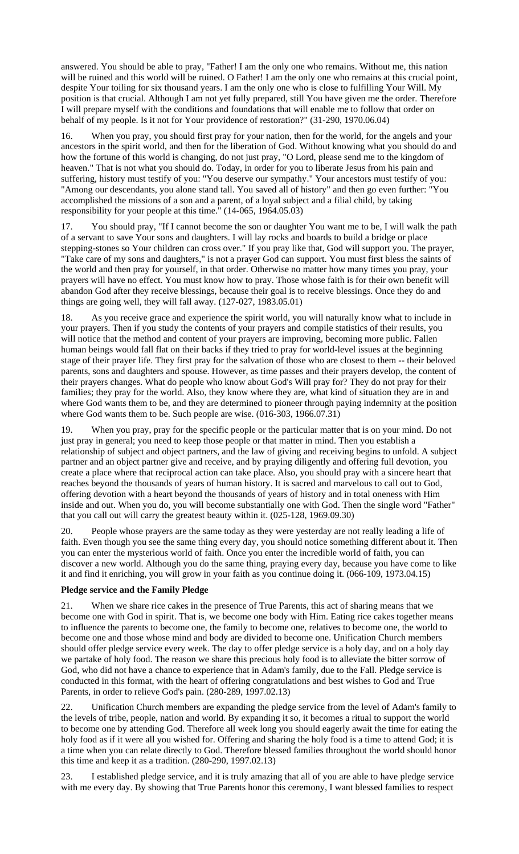answered. You should be able to pray, "Father! I am the only one who remains. Without me, this nation will be ruined and this world will be ruined. O Father! I am the only one who remains at this crucial point, despite Your toiling for six thousand years. I am the only one who is close to fulfilling Your Will. My position is that crucial. Although I am not yet fully prepared, still You have given me the order. Therefore I will prepare myself with the conditions and foundations that will enable me to follow that order on behalf of my people. Is it not for Your providence of restoration?" (31-290, 1970.06.04)

16. When you pray, you should first pray for your nation, then for the world, for the angels and your ancestors in the spirit world, and then for the liberation of God. Without knowing what you should do and how the fortune of this world is changing, do not just pray, "O Lord, please send me to the kingdom of heaven." That is not what you should do. Today, in order for you to liberate Jesus from his pain and suffering, history must testify of you: "You deserve our sympathy." Your ancestors must testify of you: "Among our descendants, you alone stand tall. You saved all of history" and then go even further: "You accomplished the missions of a son and a parent, of a loyal subject and a filial child, by taking responsibility for your people at this time." (14-065, 1964.05.03)

17. You should pray, "If I cannot become the son or daughter You want me to be, I will walk the path of a servant to save Your sons and daughters. I will lay rocks and boards to build a bridge or place stepping-stones so Your children can cross over." If you pray like that, God will support you. The prayer, "Take care of my sons and daughters," is not a prayer God can support. You must first bless the saints of the world and then pray for yourself, in that order. Otherwise no matter how many times you pray, your prayers will have no effect. You must know how to pray. Those whose faith is for their own benefit will abandon God after they receive blessings, because their goal is to receive blessings. Once they do and things are going well, they will fall away. (127-027, 1983.05.01)

18. As you receive grace and experience the spirit world, you will naturally know what to include in your prayers. Then if you study the contents of your prayers and compile statistics of their results, you will notice that the method and content of your prayers are improving, becoming more public. Fallen human beings would fall flat on their backs if they tried to pray for world-level issues at the beginning stage of their prayer life. They first pray for the salvation of those who are closest to them -- their beloved parents, sons and daughters and spouse. However, as time passes and their prayers develop, the content of their prayers changes. What do people who know about God's Will pray for? They do not pray for their families; they pray for the world. Also, they know where they are, what kind of situation they are in and where God wants them to be, and they are determined to pioneer through paying indemnity at the position where God wants them to be. Such people are wise. (016-303, 1966.07.31)

19. When you pray, pray for the specific people or the particular matter that is on your mind. Do not just pray in general; you need to keep those people or that matter in mind. Then you establish a relationship of subject and object partners, and the law of giving and receiving begins to unfold. A subject partner and an object partner give and receive, and by praying diligently and offering full devotion, you create a place where that reciprocal action can take place. Also, you should pray with a sincere heart that reaches beyond the thousands of years of human history. It is sacred and marvelous to call out to God, offering devotion with a heart beyond the thousands of years of history and in total oneness with Him inside and out. When you do, you will become substantially one with God. Then the single word "Father" that you call out will carry the greatest beauty within it. (025-128, 1969.09.30)

20. People whose prayers are the same today as they were yesterday are not really leading a life of faith. Even though you see the same thing every day, you should notice something different about it. Then you can enter the mysterious world of faith. Once you enter the incredible world of faith, you can discover a new world. Although you do the same thing, praying every day, because you have come to like it and find it enriching, you will grow in your faith as you continue doing it. (066-109, 1973.04.15)

### **Pledge service and the Family Pledge**

21. When we share rice cakes in the presence of True Parents, this act of sharing means that we become one with God in spirit. That is, we become one body with Him. Eating rice cakes together means to influence the parents to become one, the family to become one, relatives to become one, the world to become one and those whose mind and body are divided to become one. Unification Church members should offer pledge service every week. The day to offer pledge service is a holy day, and on a holy day we partake of holy food. The reason we share this precious holy food is to alleviate the bitter sorrow of God, who did not have a chance to experience that in Adam's family, due to the Fall. Pledge service is conducted in this format, with the heart of offering congratulations and best wishes to God and True Parents, in order to relieve God's pain. (280-289, 1997.02.13)

22. Unification Church members are expanding the pledge service from the level of Adam's family to the levels of tribe, people, nation and world. By expanding it so, it becomes a ritual to support the world to become one by attending God. Therefore all week long you should eagerly await the time for eating the holy food as if it were all you wished for. Offering and sharing the holy food is a time to attend God; it is a time when you can relate directly to God. Therefore blessed families throughout the world should honor this time and keep it as a tradition. (280-290, 1997.02.13)

23. I established pledge service, and it is truly amazing that all of you are able to have pledge service with me every day. By showing that True Parents honor this ceremony, I want blessed families to respect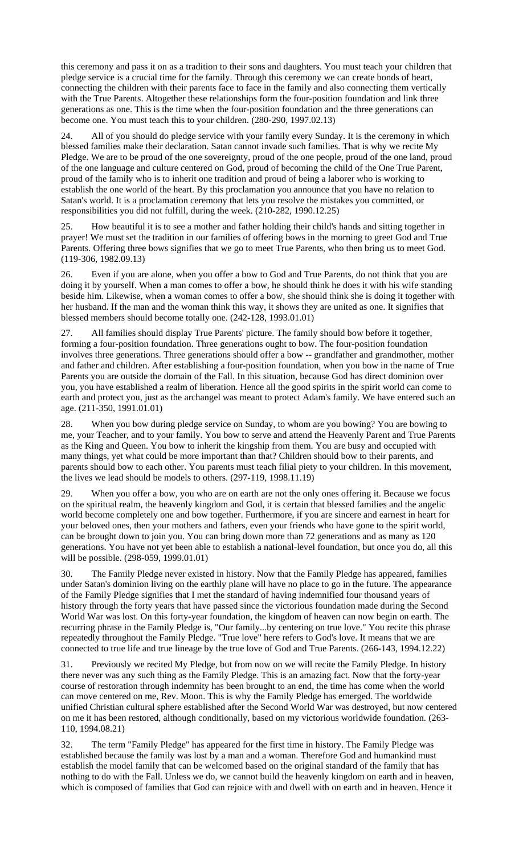this ceremony and pass it on as a tradition to their sons and daughters. You must teach your children that pledge service is a crucial time for the family. Through this ceremony we can create bonds of heart, connecting the children with their parents face to face in the family and also connecting them vertically with the True Parents. Altogether these relationships form the four-position foundation and link three generations as one. This is the time when the four-position foundation and the three generations can become one. You must teach this to your children. (280-290, 1997.02.13)

24. All of you should do pledge service with your family every Sunday. It is the ceremony in which blessed families make their declaration. Satan cannot invade such families. That is why we recite My Pledge. We are to be proud of the one sovereignty, proud of the one people, proud of the one land, proud of the one language and culture centered on God, proud of becoming the child of the One True Parent, proud of the family who is to inherit one tradition and proud of being a laborer who is working to establish the one world of the heart. By this proclamation you announce that you have no relation to Satan's world. It is a proclamation ceremony that lets you resolve the mistakes you committed, or responsibilities you did not fulfill, during the week. (210-282, 1990.12.25)

25. How beautiful it is to see a mother and father holding their child's hands and sitting together in prayer! We must set the tradition in our families of offering bows in the morning to greet God and True Parents. Offering three bows signifies that we go to meet True Parents, who then bring us to meet God. (119-306, 1982.09.13)

26. Even if you are alone, when you offer a bow to God and True Parents, do not think that you are doing it by yourself. When a man comes to offer a bow, he should think he does it with his wife standing beside him. Likewise, when a woman comes to offer a bow, she should think she is doing it together with her husband. If the man and the woman think this way, it shows they are united as one. It signifies that blessed members should become totally one. (242-128, 1993.01.01)

27. All families should display True Parents' picture. The family should bow before it together, forming a four-position foundation. Three generations ought to bow. The four-position foundation involves three generations. Three generations should offer a bow -- grandfather and grandmother, mother and father and children. After establishing a four-position foundation, when you bow in the name of True Parents you are outside the domain of the Fall. In this situation, because God has direct dominion over you, you have established a realm of liberation. Hence all the good spirits in the spirit world can come to earth and protect you, just as the archangel was meant to protect Adam's family. We have entered such an age. (211-350, 1991.01.01)

28. When you bow during pledge service on Sunday, to whom are you bowing? You are bowing to me, your Teacher, and to your family. You bow to serve and attend the Heavenly Parent and True Parents as the King and Queen. You bow to inherit the kingship from them. You are busy and occupied with many things, yet what could be more important than that? Children should bow to their parents, and parents should bow to each other. You parents must teach filial piety to your children. In this movement, the lives we lead should be models to others. (297-119, 1998.11.19)

29. When you offer a bow, you who are on earth are not the only ones offering it. Because we focus on the spiritual realm, the heavenly kingdom and God, it is certain that blessed families and the angelic world become completely one and bow together. Furthermore, if you are sincere and earnest in heart for your beloved ones, then your mothers and fathers, even your friends who have gone to the spirit world, can be brought down to join you. You can bring down more than 72 generations and as many as 120 generations. You have not yet been able to establish a national-level foundation, but once you do, all this will be possible. (298-059, 1999.01.01)

30. The Family Pledge never existed in history. Now that the Family Pledge has appeared, families under Satan's dominion living on the earthly plane will have no place to go in the future. The appearance of the Family Pledge signifies that I met the standard of having indemnified four thousand years of history through the forty years that have passed since the victorious foundation made during the Second World War was lost. On this forty-year foundation, the kingdom of heaven can now begin on earth. The recurring phrase in the Family Pledge is, "Our family...by centering on true love." You recite this phrase repeatedly throughout the Family Pledge. "True love" here refers to God's love. It means that we are connected to true life and true lineage by the true love of God and True Parents. (266-143, 1994.12.22)

31. Previously we recited My Pledge, but from now on we will recite the Family Pledge. In history there never was any such thing as the Family Pledge. This is an amazing fact. Now that the forty-year course of restoration through indemnity has been brought to an end, the time has come when the world can move centered on me, Rev. Moon. This is why the Family Pledge has emerged. The worldwide unified Christian cultural sphere established after the Second World War was destroyed, but now centered on me it has been restored, although conditionally, based on my victorious worldwide foundation. (263- 110, 1994.08.21)

32. The term "Family Pledge" has appeared for the first time in history. The Family Pledge was established because the family was lost by a man and a woman. Therefore God and humankind must establish the model family that can be welcomed based on the original standard of the family that has nothing to do with the Fall. Unless we do, we cannot build the heavenly kingdom on earth and in heaven, which is composed of families that God can rejoice with and dwell with on earth and in heaven. Hence it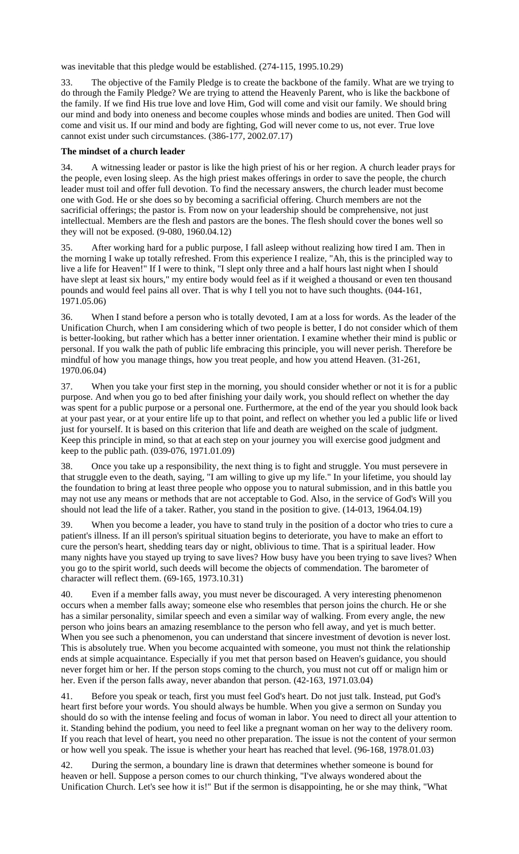was inevitable that this pledge would be established. (274-115, 1995.10.29)

33. The objective of the Family Pledge is to create the backbone of the family. What are we trying to do through the Family Pledge? We are trying to attend the Heavenly Parent, who is like the backbone of the family. If we find His true love and love Him, God will come and visit our family. We should bring our mind and body into oneness and become couples whose minds and bodies are united. Then God will come and visit us. If our mind and body are fighting, God will never come to us, not ever. True love cannot exist under such circumstances. (386-177, 2002.07.17)

#### **The mindset of a church leader**

34. A witnessing leader or pastor is like the high priest of his or her region. A church leader prays for the people, even losing sleep. As the high priest makes offerings in order to save the people, the church leader must toil and offer full devotion. To find the necessary answers, the church leader must become one with God. He or she does so by becoming a sacrificial offering. Church members are not the sacrificial offerings; the pastor is. From now on your leadership should be comprehensive, not just intellectual. Members are the flesh and pastors are the bones. The flesh should cover the bones well so they will not be exposed. (9-080, 1960.04.12)

35. After working hard for a public purpose, I fall asleep without realizing how tired I am. Then in the morning I wake up totally refreshed. From this experience I realize, "Ah, this is the principled way to live a life for Heaven!" If I were to think, "I slept only three and a half hours last night when I should have slept at least six hours," my entire body would feel as if it weighed a thousand or even ten thousand pounds and would feel pains all over. That is why I tell you not to have such thoughts. (044-161, 1971.05.06)

36. When I stand before a person who is totally devoted, I am at a loss for words. As the leader of the Unification Church, when I am considering which of two people is better, I do not consider which of them is better-looking, but rather which has a better inner orientation. I examine whether their mind is public or personal. If you walk the path of public life embracing this principle, you will never perish. Therefore be mindful of how you manage things, how you treat people, and how you attend Heaven. (31-261, 1970.06.04)

37. When you take your first step in the morning, you should consider whether or not it is for a public purpose. And when you go to bed after finishing your daily work, you should reflect on whether the day was spent for a public purpose or a personal one. Furthermore, at the end of the year you should look back at your past year, or at your entire life up to that point, and reflect on whether you led a public life or lived just for yourself. It is based on this criterion that life and death are weighed on the scale of judgment. Keep this principle in mind, so that at each step on your journey you will exercise good judgment and keep to the public path. (039-076, 1971.01.09)

38. Once you take up a responsibility, the next thing is to fight and struggle. You must persevere in that struggle even to the death, saying, "I am willing to give up my life." In your lifetime, you should lay the foundation to bring at least three people who oppose you to natural submission, and in this battle you may not use any means or methods that are not acceptable to God. Also, in the service of God's Will you should not lead the life of a taker. Rather, you stand in the position to give. (14-013, 1964.04.19)

39. When you become a leader, you have to stand truly in the position of a doctor who tries to cure a patient's illness. If an ill person's spiritual situation begins to deteriorate, you have to make an effort to cure the person's heart, shedding tears day or night, oblivious to time. That is a spiritual leader. How many nights have you stayed up trying to save lives? How busy have you been trying to save lives? When you go to the spirit world, such deeds will become the objects of commendation. The barometer of character will reflect them. (69-165, 1973.10.31)

40. Even if a member falls away, you must never be discouraged. A very interesting phenomenon occurs when a member falls away; someone else who resembles that person joins the church. He or she has a similar personality, similar speech and even a similar way of walking. From every angle, the new person who joins bears an amazing resemblance to the person who fell away, and yet is much better. When you see such a phenomenon, you can understand that sincere investment of devotion is never lost. This is absolutely true. When you become acquainted with someone, you must not think the relationship ends at simple acquaintance. Especially if you met that person based on Heaven's guidance, you should never forget him or her. If the person stops coming to the church, you must not cut off or malign him or her. Even if the person falls away, never abandon that person. (42-163, 1971.03.04)

41. Before you speak or teach, first you must feel God's heart. Do not just talk. Instead, put God's heart first before your words. You should always be humble. When you give a sermon on Sunday you should do so with the intense feeling and focus of woman in labor. You need to direct all your attention to it. Standing behind the podium, you need to feel like a pregnant woman on her way to the delivery room. If you reach that level of heart, you need no other preparation. The issue is not the content of your sermon or how well you speak. The issue is whether your heart has reached that level. (96-168, 1978.01.03)

42. During the sermon, a boundary line is drawn that determines whether someone is bound for heaven or hell. Suppose a person comes to our church thinking, "I've always wondered about the Unification Church. Let's see how it is!" But if the sermon is disappointing, he or she may think, "What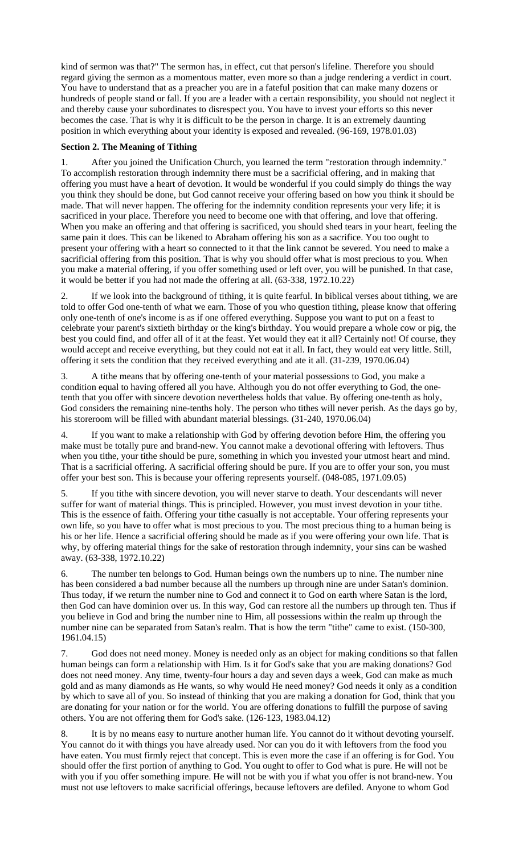kind of sermon was that?" The sermon has, in effect, cut that person's lifeline. Therefore you should regard giving the sermon as a momentous matter, even more so than a judge rendering a verdict in court. You have to understand that as a preacher you are in a fateful position that can make many dozens or hundreds of people stand or fall. If you are a leader with a certain responsibility, you should not neglect it and thereby cause your subordinates to disrespect you. You have to invest your efforts so this never becomes the case. That is why it is difficult to be the person in charge. It is an extremely daunting position in which everything about your identity is exposed and revealed. (96-169, 1978.01.03)

# **Section 2. The Meaning of Tithing**

1. After you joined the Unification Church, you learned the term "restoration through indemnity." To accomplish restoration through indemnity there must be a sacrificial offering, and in making that offering you must have a heart of devotion. It would be wonderful if you could simply do things the way you think they should be done, but God cannot receive your offering based on how you think it should be made. That will never happen. The offering for the indemnity condition represents your very life; it is sacrificed in your place. Therefore you need to become one with that offering, and love that offering. When you make an offering and that offering is sacrificed, you should shed tears in your heart, feeling the same pain it does. This can be likened to Abraham offering his son as a sacrifice. You too ought to present your offering with a heart so connected to it that the link cannot be severed. You need to make a sacrificial offering from this position. That is why you should offer what is most precious to you. When you make a material offering, if you offer something used or left over, you will be punished. In that case, it would be better if you had not made the offering at all. (63-338, 1972.10.22)

2. If we look into the background of tithing, it is quite fearful. In biblical verses about tithing, we are told to offer God one-tenth of what we earn. Those of you who question tithing, please know that offering only one-tenth of one's income is as if one offered everything. Suppose you want to put on a feast to celebrate your parent's sixtieth birthday or the king's birthday. You would prepare a whole cow or pig, the best you could find, and offer all of it at the feast. Yet would they eat it all? Certainly not! Of course, they would accept and receive everything, but they could not eat it all. In fact, they would eat very little. Still, offering it sets the condition that they received everything and ate it all. (31-239, 1970.06.04)

3. A tithe means that by offering one-tenth of your material possessions to God, you make a condition equal to having offered all you have. Although you do not offer everything to God, the onetenth that you offer with sincere devotion nevertheless holds that value. By offering one-tenth as holy, God considers the remaining nine-tenths holy. The person who tithes will never perish. As the days go by, his storeroom will be filled with abundant material blessings. (31-240, 1970.06.04)

4. If you want to make a relationship with God by offering devotion before Him, the offering you make must be totally pure and brand-new. You cannot make a devotional offering with leftovers. Thus when you tithe, your tithe should be pure, something in which you invested your utmost heart and mind. That is a sacrificial offering. A sacrificial offering should be pure. If you are to offer your son, you must offer your best son. This is because your offering represents yourself. (048-085, 1971.09.05)

5. If you tithe with sincere devotion, you will never starve to death. Your descendants will never suffer for want of material things. This is principled. However, you must invest devotion in your tithe. This is the essence of faith. Offering your tithe casually is not acceptable. Your offering represents your own life, so you have to offer what is most precious to you. The most precious thing to a human being is his or her life. Hence a sacrificial offering should be made as if you were offering your own life. That is why, by offering material things for the sake of restoration through indemnity, your sins can be washed away. (63-338, 1972.10.22)

6. The number ten belongs to God. Human beings own the numbers up to nine. The number nine has been considered a bad number because all the numbers up through nine are under Satan's dominion. Thus today, if we return the number nine to God and connect it to God on earth where Satan is the lord, then God can have dominion over us. In this way, God can restore all the numbers up through ten. Thus if you believe in God and bring the number nine to Him, all possessions within the realm up through the number nine can be separated from Satan's realm. That is how the term "tithe" came to exist. (150-300, 1961.04.15)

7. God does not need money. Money is needed only as an object for making conditions so that fallen human beings can form a relationship with Him. Is it for God's sake that you are making donations? God does not need money. Any time, twenty-four hours a day and seven days a week, God can make as much gold and as many diamonds as He wants, so why would He need money? God needs it only as a condition by which to save all of you. So instead of thinking that you are making a donation for God, think that you are donating for your nation or for the world. You are offering donations to fulfill the purpose of saving others. You are not offering them for God's sake. (126-123, 1983.04.12)

8. It is by no means easy to nurture another human life. You cannot do it without devoting yourself. You cannot do it with things you have already used. Nor can you do it with leftovers from the food you have eaten. You must firmly reject that concept. This is even more the case if an offering is for God. You should offer the first portion of anything to God. You ought to offer to God what is pure. He will not be with you if you offer something impure. He will not be with you if what you offer is not brand-new. You must not use leftovers to make sacrificial offerings, because leftovers are defiled. Anyone to whom God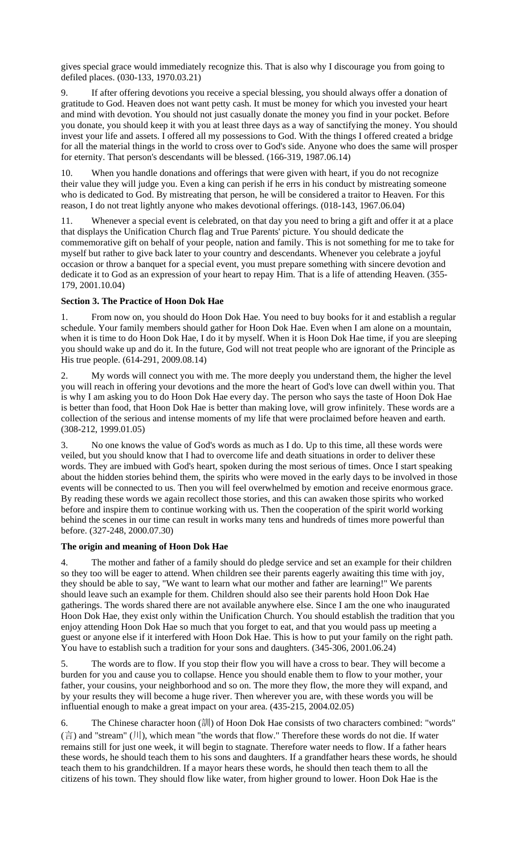gives special grace would immediately recognize this. That is also why I discourage you from going to defiled places. (030-133, 1970.03.21)

9. If after offering devotions you receive a special blessing, you should always offer a donation of gratitude to God. Heaven does not want petty cash. It must be money for which you invested your heart and mind with devotion. You should not just casually donate the money you find in your pocket. Before you donate, you should keep it with you at least three days as a way of sanctifying the money. You should invest your life and assets. I offered all my possessions to God. With the things I offered created a bridge for all the material things in the world to cross over to God's side. Anyone who does the same will prosper for eternity. That person's descendants will be blessed. (166-319, 1987.06.14)

10. When you handle donations and offerings that were given with heart, if you do not recognize their value they will judge you. Even a king can perish if he errs in his conduct by mistreating someone who is dedicated to God. By mistreating that person, he will be considered a traitor to Heaven. For this reason, I do not treat lightly anyone who makes devotional offerings. (018-143, 1967.06.04)

11. Whenever a special event is celebrated, on that day you need to bring a gift and offer it at a place that displays the Unification Church flag and True Parents' picture. You should dedicate the commemorative gift on behalf of your people, nation and family. This is not something for me to take for myself but rather to give back later to your country and descendants. Whenever you celebrate a joyful occasion or throw a banquet for a special event, you must prepare something with sincere devotion and dedicate it to God as an expression of your heart to repay Him. That is a life of attending Heaven. (355- 179, 2001.10.04)

# **Section 3. The Practice of Hoon Dok Hae**

1. From now on, you should do Hoon Dok Hae. You need to buy books for it and establish a regular schedule. Your family members should gather for Hoon Dok Hae. Even when I am alone on a mountain, when it is time to do Hoon Dok Hae, I do it by myself. When it is Hoon Dok Hae time, if you are sleeping you should wake up and do it. In the future, God will not treat people who are ignorant of the Principle as His true people. (614-291, 2009.08.14)

My words will connect you with me. The more deeply you understand them, the higher the level you will reach in offering your devotions and the more the heart of God's love can dwell within you. That is why I am asking you to do Hoon Dok Hae every day. The person who says the taste of Hoon Dok Hae is better than food, that Hoon Dok Hae is better than making love, will grow infinitely. These words are a collection of the serious and intense moments of my life that were proclaimed before heaven and earth. (308-212, 1999.01.05)

3. No one knows the value of God's words as much as I do. Up to this time, all these words were veiled, but you should know that I had to overcome life and death situations in order to deliver these words. They are imbued with God's heart, spoken during the most serious of times. Once I start speaking about the hidden stories behind them, the spirits who were moved in the early days to be involved in those events will be connected to us. Then you will feel overwhelmed by emotion and receive enormous grace. By reading these words we again recollect those stories, and this can awaken those spirits who worked before and inspire them to continue working with us. Then the cooperation of the spirit world working behind the scenes in our time can result in works many tens and hundreds of times more powerful than before. (327-248, 2000.07.30)

### **The origin and meaning of Hoon Dok Hae**

4. The mother and father of a family should do pledge service and set an example for their children so they too will be eager to attend. When children see their parents eagerly awaiting this time with joy, they should be able to say, "We want to learn what our mother and father are learning!" We parents should leave such an example for them. Children should also see their parents hold Hoon Dok Hae gatherings. The words shared there are not available anywhere else. Since I am the one who inaugurated Hoon Dok Hae, they exist only within the Unification Church. You should establish the tradition that you enjoy attending Hoon Dok Hae so much that you forget to eat, and that you would pass up meeting a guest or anyone else if it interfered with Hoon Dok Hae. This is how to put your family on the right path. You have to establish such a tradition for your sons and daughters. (345-306, 2001.06.24)

5. The words are to flow. If you stop their flow you will have a cross to bear. They will become a burden for you and cause you to collapse. Hence you should enable them to flow to your mother, your father, your cousins, your neighborhood and so on. The more they flow, the more they will expand, and by your results they will become a huge river. Then wherever you are, with these words you will be influential enough to make a great impact on your area. (435-215, 2004.02.05)

6. The Chinese character hoon (訓) of Hoon Dok Hae consists of two characters combined: "words" (言) and "stream" (川), which mean "the words that flow." Therefore these words do not die. If water remains still for just one week, it will begin to stagnate. Therefore water needs to flow. If a father hears these words, he should teach them to his sons and daughters. If a grandfather hears these words, he should teach them to his grandchildren. If a mayor hears these words, he should then teach them to all the citizens of his town. They should flow like water, from higher ground to lower. Hoon Dok Hae is the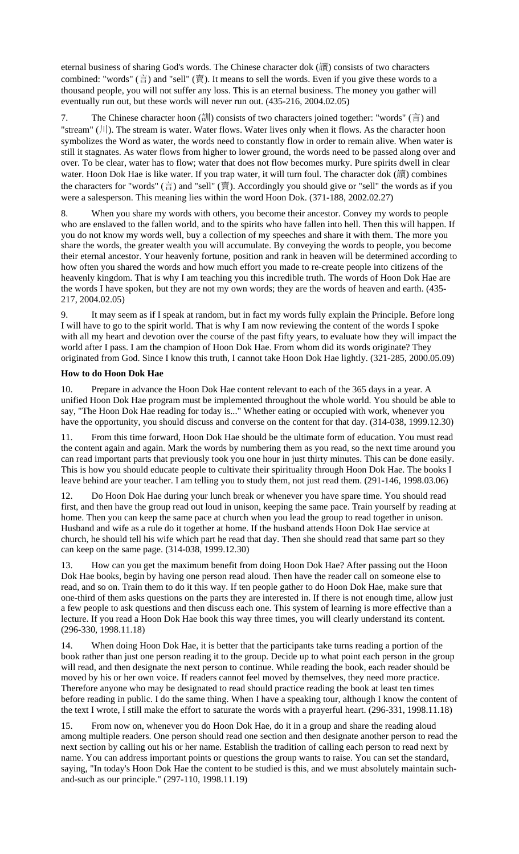eternal business of sharing God's words. The Chinese character dok (讀) consists of two characters combined: "words"  $(\dot{\vec{\theta}})$  and "sell"  $(\dot{\vec{\theta}})$ . It means to sell the words. Even if you give these words to a thousand people, you will not suffer any loss. This is an eternal business. The money you gather will eventually run out, but these words will never run out. (435-216, 2004.02.05)

7. The Chinese character hoon (訓) consists of two characters joined together: "words" (言) and "stream"  $(|1|)$ . The stream is water. Water flows. Water lives only when it flows. As the character hoon symbolizes the Word as water, the words need to constantly flow in order to remain alive. When water is still it stagnates. As water flows from higher to lower ground, the words need to be passed along over and over. To be clear, water has to flow; water that does not flow becomes murky. Pure spirits dwell in clear water. Hoon Dok Hae is like water. If you trap water, it will turn foul. The character dok (讀) combines the characters for "words" (言) and "sell" (賣). Accordingly you should give or "sell" the words as if you were a salesperson. This meaning lies within the word Hoon Dok. (371-188, 2002.02.27)

8. When you share my words with others, you become their ancestor. Convey my words to people who are enslaved to the fallen world, and to the spirits who have fallen into hell. Then this will happen. If you do not know my words well, buy a collection of my speeches and share it with them. The more you share the words, the greater wealth you will accumulate. By conveying the words to people, you become their eternal ancestor. Your heavenly fortune, position and rank in heaven will be determined according to how often you shared the words and how much effort you made to re-create people into citizens of the heavenly kingdom. That is why I am teaching you this incredible truth. The words of Hoon Dok Hae are the words I have spoken, but they are not my own words; they are the words of heaven and earth. (435- 217, 2004.02.05)

9. It may seem as if I speak at random, but in fact my words fully explain the Principle. Before long I will have to go to the spirit world. That is why I am now reviewing the content of the words I spoke with all my heart and devotion over the course of the past fifty years, to evaluate how they will impact the world after I pass. I am the champion of Hoon Dok Hae. From whom did its words originate? They originated from God. Since I know this truth, I cannot take Hoon Dok Hae lightly. (321-285, 2000.05.09)

# **How to do Hoon Dok Hae**

10. Prepare in advance the Hoon Dok Hae content relevant to each of the 365 days in a year. A unified Hoon Dok Hae program must be implemented throughout the whole world. You should be able to say, "The Hoon Dok Hae reading for today is..." Whether eating or occupied with work, whenever you have the opportunity, you should discuss and converse on the content for that day. (314-038, 1999.12.30)

11. From this time forward, Hoon Dok Hae should be the ultimate form of education. You must read the content again and again. Mark the words by numbering them as you read, so the next time around you can read important parts that previously took you one hour in just thirty minutes. This can be done easily. This is how you should educate people to cultivate their spirituality through Hoon Dok Hae. The books I leave behind are your teacher. I am telling you to study them, not just read them. (291-146, 1998.03.06)

12. Do Hoon Dok Hae during your lunch break or whenever you have spare time. You should read first, and then have the group read out loud in unison, keeping the same pace. Train yourself by reading at home. Then you can keep the same pace at church when you lead the group to read together in unison. Husband and wife as a rule do it together at home. If the husband attends Hoon Dok Hae service at church, he should tell his wife which part he read that day. Then she should read that same part so they can keep on the same page. (314-038, 1999.12.30)

13. How can you get the maximum benefit from doing Hoon Dok Hae? After passing out the Hoon Dok Hae books, begin by having one person read aloud. Then have the reader call on someone else to read, and so on. Train them to do it this way. If ten people gather to do Hoon Dok Hae, make sure that one-third of them asks questions on the parts they are interested in. If there is not enough time, allow just a few people to ask questions and then discuss each one. This system of learning is more effective than a lecture. If you read a Hoon Dok Hae book this way three times, you will clearly understand its content. (296-330, 1998.11.18)

14. When doing Hoon Dok Hae, it is better that the participants take turns reading a portion of the book rather than just one person reading it to the group. Decide up to what point each person in the group will read, and then designate the next person to continue. While reading the book, each reader should be moved by his or her own voice. If readers cannot feel moved by themselves, they need more practice. Therefore anyone who may be designated to read should practice reading the book at least ten times before reading in public. I do the same thing. When I have a speaking tour, although I know the content of the text I wrote, I still make the effort to saturate the words with a prayerful heart. (296-331, 1998.11.18)

15. From now on, whenever you do Hoon Dok Hae, do it in a group and share the reading aloud among multiple readers. One person should read one section and then designate another person to read the next section by calling out his or her name. Establish the tradition of calling each person to read next by name. You can address important points or questions the group wants to raise. You can set the standard, saying, "In today's Hoon Dok Hae the content to be studied is this, and we must absolutely maintain suchand-such as our principle." (297-110, 1998.11.19)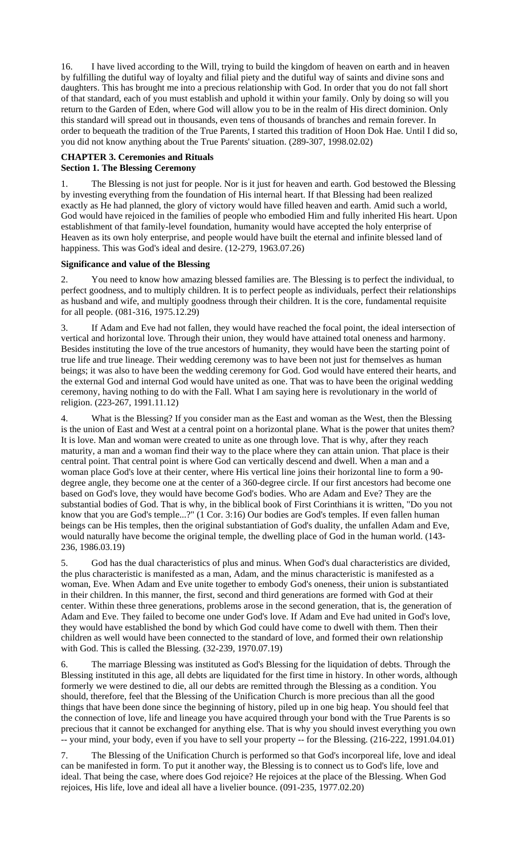16. I have lived according to the Will, trying to build the kingdom of heaven on earth and in heaven by fulfilling the dutiful way of loyalty and filial piety and the dutiful way of saints and divine sons and daughters. This has brought me into a precious relationship with God. In order that you do not fall short of that standard, each of you must establish and uphold it within your family. Only by doing so will you return to the Garden of Eden, where God will allow you to be in the realm of His direct dominion. Only this standard will spread out in thousands, even tens of thousands of branches and remain forever. In order to bequeath the tradition of the True Parents, I started this tradition of Hoon Dok Hae. Until I did so, you did not know anything about the True Parents' situation. (289-307, 1998.02.02)

## **CHAPTER 3. Ceremonies and Rituals Section 1. The Blessing Ceremony**

1. The Blessing is not just for people. Nor is it just for heaven and earth. God bestowed the Blessing by investing everything from the foundation of His internal heart. If that Blessing had been realized exactly as He had planned, the glory of victory would have filled heaven and earth. Amid such a world, God would have rejoiced in the families of people who embodied Him and fully inherited His heart. Upon establishment of that family-level foundation, humanity would have accepted the holy enterprise of Heaven as its own holy enterprise, and people would have built the eternal and infinite blessed land of happiness. This was God's ideal and desire. (12-279, 1963.07.26)

# **Significance and value of the Blessing**

2. You need to know how amazing blessed families are. The Blessing is to perfect the individual, to perfect goodness, and to multiply children. It is to perfect people as individuals, perfect their relationships as husband and wife, and multiply goodness through their children. It is the core, fundamental requisite for all people. (081-316, 1975.12.29)

3. If Adam and Eve had not fallen, they would have reached the focal point, the ideal intersection of vertical and horizontal love. Through their union, they would have attained total oneness and harmony. Besides instituting the love of the true ancestors of humanity, they would have been the starting point of true life and true lineage. Their wedding ceremony was to have been not just for themselves as human beings; it was also to have been the wedding ceremony for God. God would have entered their hearts, and the external God and internal God would have united as one. That was to have been the original wedding ceremony, having nothing to do with the Fall. What I am saying here is revolutionary in the world of religion. (223-267, 1991.11.12)

4. What is the Blessing? If you consider man as the East and woman as the West, then the Blessing is the union of East and West at a central point on a horizontal plane. What is the power that unites them? It is love. Man and woman were created to unite as one through love. That is why, after they reach maturity, a man and a woman find their way to the place where they can attain union. That place is their central point. That central point is where God can vertically descend and dwell. When a man and a woman place God's love at their center, where His vertical line joins their horizontal line to form a 90 degree angle, they become one at the center of a 360-degree circle. If our first ancestors had become one based on God's love, they would have become God's bodies. Who are Adam and Eve? They are the substantial bodies of God. That is why, in the biblical book of First Corinthians it is written, "Do you not know that you are God's temple...?" (1 Cor. 3:16) Our bodies are God's temples. If even fallen human beings can be His temples, then the original substantiation of God's duality, the unfallen Adam and Eve, would naturally have become the original temple, the dwelling place of God in the human world. (143- 236, 1986.03.19)

5. God has the dual characteristics of plus and minus. When God's dual characteristics are divided, the plus characteristic is manifested as a man, Adam, and the minus characteristic is manifested as a woman, Eve. When Adam and Eve unite together to embody God's oneness, their union is substantiated in their children. In this manner, the first, second and third generations are formed with God at their center. Within these three generations, problems arose in the second generation, that is, the generation of Adam and Eve. They failed to become one under God's love. If Adam and Eve had united in God's love, they would have established the bond by which God could have come to dwell with them. Then their children as well would have been connected to the standard of love, and formed their own relationship with God. This is called the Blessing. (32-239, 1970.07.19)

6. The marriage Blessing was instituted as God's Blessing for the liquidation of debts. Through the Blessing instituted in this age, all debts are liquidated for the first time in history. In other words, although formerly we were destined to die, all our debts are remitted through the Blessing as a condition. You should, therefore, feel that the Blessing of the Unification Church is more precious than all the good things that have been done since the beginning of history, piled up in one big heap. You should feel that the connection of love, life and lineage you have acquired through your bond with the True Parents is so precious that it cannot be exchanged for anything else. That is why you should invest everything you own -- your mind, your body, even if you have to sell your property -- for the Blessing. (216-222, 1991.04.01)

7. The Blessing of the Unification Church is performed so that God's incorporeal life, love and ideal can be manifested in form. To put it another way, the Blessing is to connect us to God's life, love and ideal. That being the case, where does God rejoice? He rejoices at the place of the Blessing. When God rejoices, His life, love and ideal all have a livelier bounce. (091-235, 1977.02.20)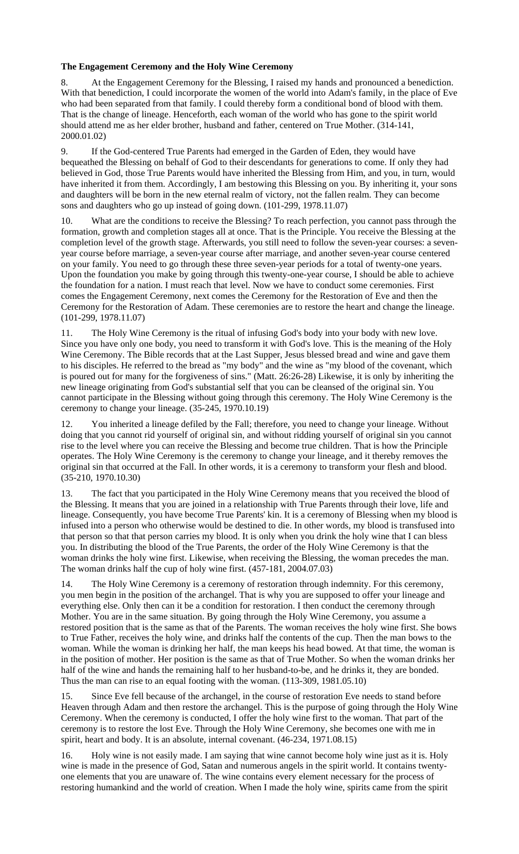# **The Engagement Ceremony and the Holy Wine Ceremony**

8. At the Engagement Ceremony for the Blessing, I raised my hands and pronounced a benediction. With that benediction, I could incorporate the women of the world into Adam's family, in the place of Eve who had been separated from that family. I could thereby form a conditional bond of blood with them. That is the change of lineage. Henceforth, each woman of the world who has gone to the spirit world should attend me as her elder brother, husband and father, centered on True Mother. (314-141, 2000.01.02)

9. If the God-centered True Parents had emerged in the Garden of Eden, they would have bequeathed the Blessing on behalf of God to their descendants for generations to come. If only they had believed in God, those True Parents would have inherited the Blessing from Him, and you, in turn, would have inherited it from them. Accordingly, I am bestowing this Blessing on you. By inheriting it, your sons and daughters will be born in the new eternal realm of victory, not the fallen realm. They can become sons and daughters who go up instead of going down. (101-299, 1978.11.07)

10. What are the conditions to receive the Blessing? To reach perfection, you cannot pass through the formation, growth and completion stages all at once. That is the Principle. You receive the Blessing at the completion level of the growth stage. Afterwards, you still need to follow the seven-year courses: a sevenyear course before marriage, a seven-year course after marriage, and another seven-year course centered on your family. You need to go through these three seven-year periods for a total of twenty-one years. Upon the foundation you make by going through this twenty-one-year course, I should be able to achieve the foundation for a nation. I must reach that level. Now we have to conduct some ceremonies. First comes the Engagement Ceremony, next comes the Ceremony for the Restoration of Eve and then the Ceremony for the Restoration of Adam. These ceremonies are to restore the heart and change the lineage. (101-299, 1978.11.07)

11. The Holy Wine Ceremony is the ritual of infusing God's body into your body with new love. Since you have only one body, you need to transform it with God's love. This is the meaning of the Holy Wine Ceremony. The Bible records that at the Last Supper, Jesus blessed bread and wine and gave them to his disciples. He referred to the bread as "my body" and the wine as "my blood of the covenant, which is poured out for many for the forgiveness of sins." (Matt. 26:26-28) Likewise, it is only by inheriting the new lineage originating from God's substantial self that you can be cleansed of the original sin. You cannot participate in the Blessing without going through this ceremony. The Holy Wine Ceremony is the ceremony to change your lineage. (35-245, 1970.10.19)

12. You inherited a lineage defiled by the Fall; therefore, you need to change your lineage. Without doing that you cannot rid yourself of original sin, and without ridding yourself of original sin you cannot rise to the level where you can receive the Blessing and become true children. That is how the Principle operates. The Holy Wine Ceremony is the ceremony to change your lineage, and it thereby removes the original sin that occurred at the Fall. In other words, it is a ceremony to transform your flesh and blood. (35-210, 1970.10.30)

13. The fact that you participated in the Holy Wine Ceremony means that you received the blood of the Blessing. It means that you are joined in a relationship with True Parents through their love, life and lineage. Consequently, you have become True Parents' kin. It is a ceremony of Blessing when my blood is infused into a person who otherwise would be destined to die. In other words, my blood is transfused into that person so that that person carries my blood. It is only when you drink the holy wine that I can bless you. In distributing the blood of the True Parents, the order of the Holy Wine Ceremony is that the woman drinks the holy wine first. Likewise, when receiving the Blessing, the woman precedes the man. The woman drinks half the cup of holy wine first. (457-181, 2004.07.03)

14. The Holy Wine Ceremony is a ceremony of restoration through indemnity. For this ceremony, you men begin in the position of the archangel. That is why you are supposed to offer your lineage and everything else. Only then can it be a condition for restoration. I then conduct the ceremony through Mother. You are in the same situation. By going through the Holy Wine Ceremony, you assume a restored position that is the same as that of the Parents. The woman receives the holy wine first. She bows to True Father, receives the holy wine, and drinks half the contents of the cup. Then the man bows to the woman. While the woman is drinking her half, the man keeps his head bowed. At that time, the woman is in the position of mother. Her position is the same as that of True Mother. So when the woman drinks her half of the wine and hands the remaining half to her husband-to-be, and he drinks it, they are bonded. Thus the man can rise to an equal footing with the woman. (113-309, 1981.05.10)

15. Since Eve fell because of the archangel, in the course of restoration Eve needs to stand before Heaven through Adam and then restore the archangel. This is the purpose of going through the Holy Wine Ceremony. When the ceremony is conducted, I offer the holy wine first to the woman. That part of the ceremony is to restore the lost Eve. Through the Holy Wine Ceremony, she becomes one with me in spirit, heart and body. It is an absolute, internal covenant. (46-234, 1971.08.15)

16. Holy wine is not easily made. I am saying that wine cannot become holy wine just as it is. Holy wine is made in the presence of God, Satan and numerous angels in the spirit world. It contains twentyone elements that you are unaware of. The wine contains every element necessary for the process of restoring humankind and the world of creation. When I made the holy wine, spirits came from the spirit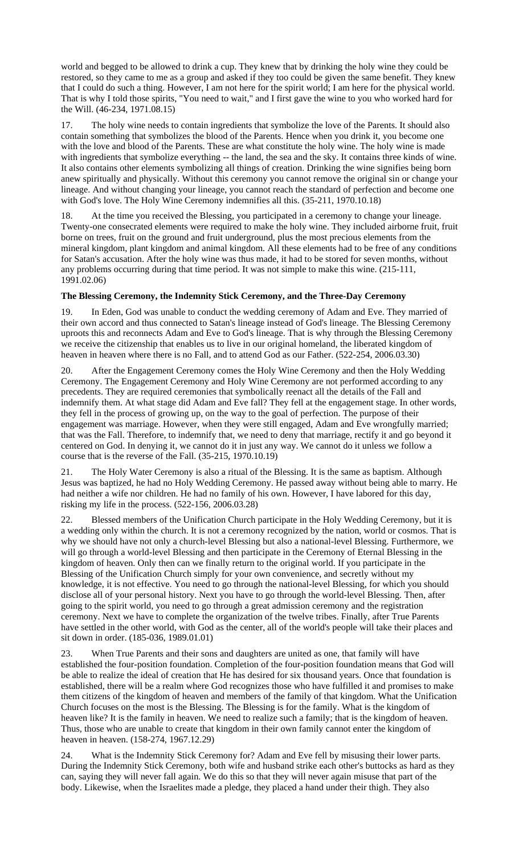world and begged to be allowed to drink a cup. They knew that by drinking the holy wine they could be restored, so they came to me as a group and asked if they too could be given the same benefit. They knew that I could do such a thing. However, I am not here for the spirit world; I am here for the physical world. That is why I told those spirits, "You need to wait," and I first gave the wine to you who worked hard for the Will. (46-234, 1971.08.15)

The holy wine needs to contain ingredients that symbolize the love of the Parents. It should also contain something that symbolizes the blood of the Parents. Hence when you drink it, you become one with the love and blood of the Parents. These are what constitute the holy wine. The holy wine is made with ingredients that symbolize everything -- the land, the sea and the sky. It contains three kinds of wine. It also contains other elements symbolizing all things of creation. Drinking the wine signifies being born anew spiritually and physically. Without this ceremony you cannot remove the original sin or change your lineage. And without changing your lineage, you cannot reach the standard of perfection and become one with God's love. The Holy Wine Ceremony indemnifies all this. (35-211, 1970.10.18)

18. At the time you received the Blessing, you participated in a ceremony to change your lineage. Twenty-one consecrated elements were required to make the holy wine. They included airborne fruit, fruit borne on trees, fruit on the ground and fruit underground, plus the most precious elements from the mineral kingdom, plant kingdom and animal kingdom. All these elements had to be free of any conditions for Satan's accusation. After the holy wine was thus made, it had to be stored for seven months, without any problems occurring during that time period. It was not simple to make this wine. (215-111, 1991.02.06)

# **The Blessing Ceremony, the Indemnity Stick Ceremony, and the Three-Day Ceremony**

In Eden, God was unable to conduct the wedding ceremony of Adam and Eve. They married of their own accord and thus connected to Satan's lineage instead of God's lineage. The Blessing Ceremony uproots this and reconnects Adam and Eve to God's lineage. That is why through the Blessing Ceremony we receive the citizenship that enables us to live in our original homeland, the liberated kingdom of heaven in heaven where there is no Fall, and to attend God as our Father. (522-254, 2006.03.30)

20. After the Engagement Ceremony comes the Holy Wine Ceremony and then the Holy Wedding Ceremony. The Engagement Ceremony and Holy Wine Ceremony are not performed according to any precedents. They are required ceremonies that symbolically reenact all the details of the Fall and indemnify them. At what stage did Adam and Eve fall? They fell at the engagement stage. In other words, they fell in the process of growing up, on the way to the goal of perfection. The purpose of their engagement was marriage. However, when they were still engaged, Adam and Eve wrongfully married; that was the Fall. Therefore, to indemnify that, we need to deny that marriage, rectify it and go beyond it centered on God. In denying it, we cannot do it in just any way. We cannot do it unless we follow a course that is the reverse of the Fall. (35-215, 1970.10.19)

21. The Holy Water Ceremony is also a ritual of the Blessing. It is the same as baptism. Although Jesus was baptized, he had no Holy Wedding Ceremony. He passed away without being able to marry. He had neither a wife nor children. He had no family of his own. However, I have labored for this day, risking my life in the process. (522-156, 2006.03.28)

22. Blessed members of the Unification Church participate in the Holy Wedding Ceremony, but it is a wedding only within the church. It is not a ceremony recognized by the nation, world or cosmos. That is why we should have not only a church-level Blessing but also a national-level Blessing. Furthermore, we will go through a world-level Blessing and then participate in the Ceremony of Eternal Blessing in the kingdom of heaven. Only then can we finally return to the original world. If you participate in the Blessing of the Unification Church simply for your own convenience, and secretly without my knowledge, it is not effective. You need to go through the national-level Blessing, for which you should disclose all of your personal history. Next you have to go through the world-level Blessing. Then, after going to the spirit world, you need to go through a great admission ceremony and the registration ceremony. Next we have to complete the organization of the twelve tribes. Finally, after True Parents have settled in the other world, with God as the center, all of the world's people will take their places and sit down in order. (185-036, 1989.01.01)

23. When True Parents and their sons and daughters are united as one, that family will have established the four-position foundation. Completion of the four-position foundation means that God will be able to realize the ideal of creation that He has desired for six thousand years. Once that foundation is established, there will be a realm where God recognizes those who have fulfilled it and promises to make them citizens of the kingdom of heaven and members of the family of that kingdom. What the Unification Church focuses on the most is the Blessing. The Blessing is for the family. What is the kingdom of heaven like? It is the family in heaven. We need to realize such a family; that is the kingdom of heaven. Thus, those who are unable to create that kingdom in their own family cannot enter the kingdom of heaven in heaven. (158-274, 1967.12.29)

24. What is the Indemnity Stick Ceremony for? Adam and Eve fell by misusing their lower parts. During the Indemnity Stick Ceremony, both wife and husband strike each other's buttocks as hard as they can, saying they will never fall again. We do this so that they will never again misuse that part of the body. Likewise, when the Israelites made a pledge, they placed a hand under their thigh. They also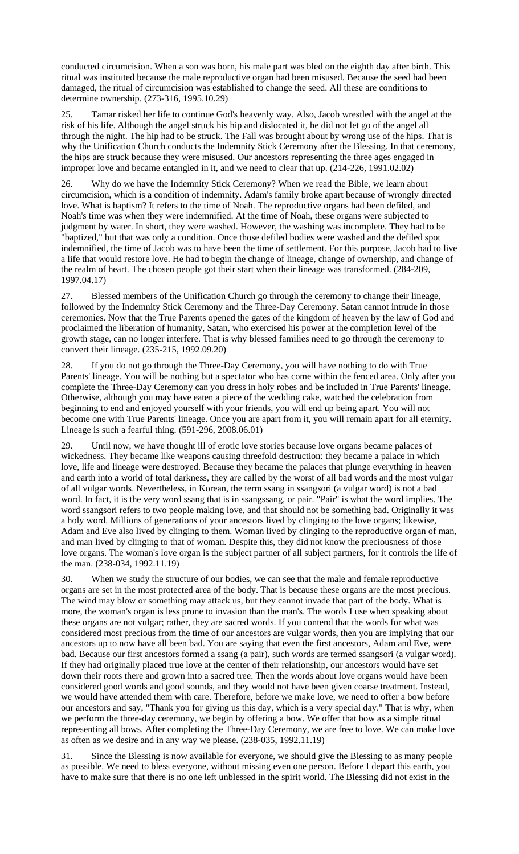conducted circumcision. When a son was born, his male part was bled on the eighth day after birth. This ritual was instituted because the male reproductive organ had been misused. Because the seed had been damaged, the ritual of circumcision was established to change the seed. All these are conditions to determine ownership. (273-316, 1995.10.29)

25. Tamar risked her life to continue God's heavenly way. Also, Jacob wrestled with the angel at the risk of his life. Although the angel struck his hip and dislocated it, he did not let go of the angel all through the night. The hip had to be struck. The Fall was brought about by wrong use of the hips. That is why the Unification Church conducts the Indemnity Stick Ceremony after the Blessing. In that ceremony, the hips are struck because they were misused. Our ancestors representing the three ages engaged in improper love and became entangled in it, and we need to clear that up. (214-226, 1991.02.02)

26. Why do we have the Indemnity Stick Ceremony? When we read the Bible, we learn about circumcision, which is a condition of indemnity. Adam's family broke apart because of wrongly directed love. What is baptism? It refers to the time of Noah. The reproductive organs had been defiled, and Noah's time was when they were indemnified. At the time of Noah, these organs were subjected to judgment by water. In short, they were washed. However, the washing was incomplete. They had to be "baptized," but that was only a condition. Once those defiled bodies were washed and the defiled spot indemnified, the time of Jacob was to have been the time of settlement. For this purpose, Jacob had to live a life that would restore love. He had to begin the change of lineage, change of ownership, and change of the realm of heart. The chosen people got their start when their lineage was transformed. (284-209, 1997.04.17)

27. Blessed members of the Unification Church go through the ceremony to change their lineage, followed by the Indemnity Stick Ceremony and the Three-Day Ceremony. Satan cannot intrude in those ceremonies. Now that the True Parents opened the gates of the kingdom of heaven by the law of God and proclaimed the liberation of humanity, Satan, who exercised his power at the completion level of the growth stage, can no longer interfere. That is why blessed families need to go through the ceremony to convert their lineage. (235-215, 1992.09.20)

28. If you do not go through the Three-Day Ceremony, you will have nothing to do with True Parents' lineage. You will be nothing but a spectator who has come within the fenced area. Only after you complete the Three-Day Ceremony can you dress in holy robes and be included in True Parents' lineage. Otherwise, although you may have eaten a piece of the wedding cake, watched the celebration from beginning to end and enjoyed yourself with your friends, you will end up being apart. You will not become one with True Parents' lineage. Once you are apart from it, you will remain apart for all eternity. Lineage is such a fearful thing. (591-296, 2008.06.01)

29. Until now, we have thought ill of erotic love stories because love organs became palaces of wickedness. They became like weapons causing threefold destruction: they became a palace in which love, life and lineage were destroyed. Because they became the palaces that plunge everything in heaven and earth into a world of total darkness, they are called by the worst of all bad words and the most vulgar of all vulgar words. Nevertheless, in Korean, the term ssang in ssangsori (a vulgar word) is not a bad word. In fact, it is the very word ssang that is in ssangssang, or pair. "Pair" is what the word implies. The word ssangsori refers to two people making love, and that should not be something bad. Originally it was a holy word. Millions of generations of your ancestors lived by clinging to the love organs; likewise, Adam and Eve also lived by clinging to them. Woman lived by clinging to the reproductive organ of man, and man lived by clinging to that of woman. Despite this, they did not know the preciousness of those love organs. The woman's love organ is the subject partner of all subject partners, for it controls the life of the man. (238-034, 1992.11.19)

30. When we study the structure of our bodies, we can see that the male and female reproductive organs are set in the most protected area of the body. That is because these organs are the most precious. The wind may blow or something may attack us, but they cannot invade that part of the body. What is more, the woman's organ is less prone to invasion than the man's. The words I use when speaking about these organs are not vulgar; rather, they are sacred words. If you contend that the words for what was considered most precious from the time of our ancestors are vulgar words, then you are implying that our ancestors up to now have all been bad. You are saying that even the first ancestors, Adam and Eve, were bad. Because our first ancestors formed a ssang (a pair), such words are termed ssangsori (a vulgar word). If they had originally placed true love at the center of their relationship, our ancestors would have set down their roots there and grown into a sacred tree. Then the words about love organs would have been considered good words and good sounds, and they would not have been given coarse treatment. Instead, we would have attended them with care. Therefore, before we make love, we need to offer a bow before our ancestors and say, "Thank you for giving us this day, which is a very special day." That is why, when we perform the three-day ceremony, we begin by offering a bow. We offer that bow as a simple ritual representing all bows. After completing the Three-Day Ceremony, we are free to love. We can make love as often as we desire and in any way we please. (238-035, 1992.11.19)

31. Since the Blessing is now available for everyone, we should give the Blessing to as many people as possible. We need to bless everyone, without missing even one person. Before I depart this earth, you have to make sure that there is no one left unblessed in the spirit world. The Blessing did not exist in the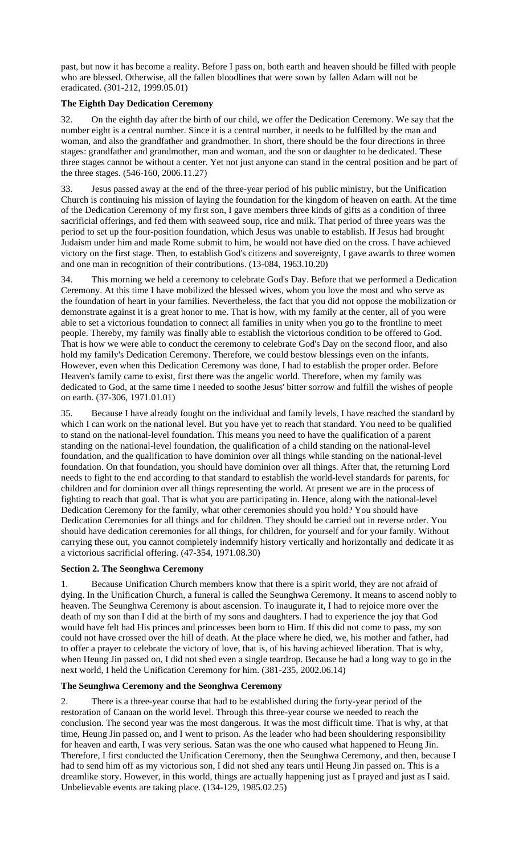past, but now it has become a reality. Before I pass on, both earth and heaven should be filled with people who are blessed. Otherwise, all the fallen bloodlines that were sown by fallen Adam will not be eradicated. (301-212, 1999.05.01)

# **The Eighth Day Dedication Ceremony**

32. On the eighth day after the birth of our child, we offer the Dedication Ceremony. We say that the number eight is a central number. Since it is a central number, it needs to be fulfilled by the man and woman, and also the grandfather and grandmother. In short, there should be the four directions in three stages: grandfather and grandmother, man and woman, and the son or daughter to be dedicated. These three stages cannot be without a center. Yet not just anyone can stand in the central position and be part of the three stages. (546-160, 2006.11.27)

33. Jesus passed away at the end of the three-year period of his public ministry, but the Unification Church is continuing his mission of laying the foundation for the kingdom of heaven on earth. At the time of the Dedication Ceremony of my first son, I gave members three kinds of gifts as a condition of three sacrificial offerings, and fed them with seaweed soup, rice and milk. That period of three years was the period to set up the four-position foundation, which Jesus was unable to establish. If Jesus had brought Judaism under him and made Rome submit to him, he would not have died on the cross. I have achieved victory on the first stage. Then, to establish God's citizens and sovereignty, I gave awards to three women and one man in recognition of their contributions. (13-084, 1963.10.20)

34. This morning we held a ceremony to celebrate God's Day. Before that we performed a Dedication Ceremony. At this time I have mobilized the blessed wives, whom you love the most and who serve as the foundation of heart in your families. Nevertheless, the fact that you did not oppose the mobilization or demonstrate against it is a great honor to me. That is how, with my family at the center, all of you were able to set a victorious foundation to connect all families in unity when you go to the frontline to meet people. Thereby, my family was finally able to establish the victorious condition to be offered to God. That is how we were able to conduct the ceremony to celebrate God's Day on the second floor, and also hold my family's Dedication Ceremony. Therefore, we could bestow blessings even on the infants. However, even when this Dedication Ceremony was done, I had to establish the proper order. Before Heaven's family came to exist, first there was the angelic world. Therefore, when my family was dedicated to God, at the same time I needed to soothe Jesus' bitter sorrow and fulfill the wishes of people on earth. (37-306, 1971.01.01)

35. Because I have already fought on the individual and family levels, I have reached the standard by which I can work on the national level. But you have yet to reach that standard. You need to be qualified to stand on the national-level foundation. This means you need to have the qualification of a parent standing on the national-level foundation, the qualification of a child standing on the national-level foundation, and the qualification to have dominion over all things while standing on the national-level foundation. On that foundation, you should have dominion over all things. After that, the returning Lord needs to fight to the end according to that standard to establish the world-level standards for parents, for children and for dominion over all things representing the world. At present we are in the process of fighting to reach that goal. That is what you are participating in. Hence, along with the national-level Dedication Ceremony for the family, what other ceremonies should you hold? You should have Dedication Ceremonies for all things and for children. They should be carried out in reverse order. You should have dedication ceremonies for all things, for children, for yourself and for your family. Without carrying these out, you cannot completely indemnify history vertically and horizontally and dedicate it as a victorious sacrificial offering. (47-354, 1971.08.30)

### **Section 2. The Seonghwa Ceremony**

1. Because Unification Church members know that there is a spirit world, they are not afraid of dying. In the Unification Church, a funeral is called the Seunghwa Ceremony. It means to ascend nobly to heaven. The Seunghwa Ceremony is about ascension. To inaugurate it, I had to rejoice more over the death of my son than I did at the birth of my sons and daughters. I had to experience the joy that God would have felt had His princes and princesses been born to Him. If this did not come to pass, my son could not have crossed over the hill of death. At the place where he died, we, his mother and father, had to offer a prayer to celebrate the victory of love, that is, of his having achieved liberation. That is why, when Heung Jin passed on, I did not shed even a single teardrop. Because he had a long way to go in the next world, I held the Unification Ceremony for him. (381-235, 2002.06.14)

### **The Seunghwa Ceremony and the Seonghwa Ceremony**

2. There is a three-year course that had to be established during the forty-year period of the restoration of Canaan on the world level. Through this three-year course we needed to reach the conclusion. The second year was the most dangerous. It was the most difficult time. That is why, at that time, Heung Jin passed on, and I went to prison. As the leader who had been shouldering responsibility for heaven and earth, I was very serious. Satan was the one who caused what happened to Heung Jin. Therefore, I first conducted the Unification Ceremony, then the Seunghwa Ceremony, and then, because I had to send him off as my victorious son, I did not shed any tears until Heung Jin passed on. This is a dreamlike story. However, in this world, things are actually happening just as I prayed and just as I said. Unbelievable events are taking place. (134-129, 1985.02.25)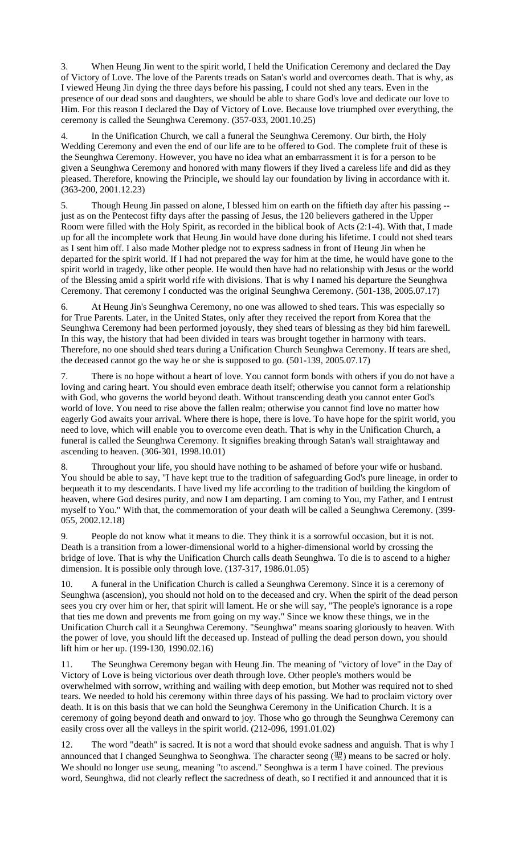3. When Heung Jin went to the spirit world, I held the Unification Ceremony and declared the Day of Victory of Love. The love of the Parents treads on Satan's world and overcomes death. That is why, as I viewed Heung Jin dying the three days before his passing, I could not shed any tears. Even in the presence of our dead sons and daughters, we should be able to share God's love and dedicate our love to Him. For this reason I declared the Day of Victory of Love. Because love triumphed over everything, the ceremony is called the Seunghwa Ceremony. (357-033, 2001.10.25)

4. In the Unification Church, we call a funeral the Seunghwa Ceremony. Our birth, the Holy Wedding Ceremony and even the end of our life are to be offered to God. The complete fruit of these is the Seunghwa Ceremony. However, you have no idea what an embarrassment it is for a person to be given a Seunghwa Ceremony and honored with many flowers if they lived a careless life and did as they pleased. Therefore, knowing the Principle, we should lay our foundation by living in accordance with it. (363-200, 2001.12.23)

5. Though Heung Jin passed on alone, I blessed him on earth on the fiftieth day after his passing - just as on the Pentecost fifty days after the passing of Jesus, the 120 believers gathered in the Upper Room were filled with the Holy Spirit, as recorded in the biblical book of Acts (2:1-4). With that, I made up for all the incomplete work that Heung Jin would have done during his lifetime. I could not shed tears as I sent him off. I also made Mother pledge not to express sadness in front of Heung Jin when he departed for the spirit world. If I had not prepared the way for him at the time, he would have gone to the spirit world in tragedy, like other people. He would then have had no relationship with Jesus or the world of the Blessing amid a spirit world rife with divisions. That is why I named his departure the Seunghwa Ceremony. That ceremony I conducted was the original Seunghwa Ceremony. (501-138, 2005.07.17)

6. At Heung Jin's Seunghwa Ceremony, no one was allowed to shed tears. This was especially so for True Parents. Later, in the United States, only after they received the report from Korea that the Seunghwa Ceremony had been performed joyously, they shed tears of blessing as they bid him farewell. In this way, the history that had been divided in tears was brought together in harmony with tears. Therefore, no one should shed tears during a Unification Church Seunghwa Ceremony. If tears are shed, the deceased cannot go the way he or she is supposed to go. (501-139, 2005.07.17)

7. There is no hope without a heart of love. You cannot form bonds with others if you do not have a loving and caring heart. You should even embrace death itself; otherwise you cannot form a relationship with God, who governs the world beyond death. Without transcending death you cannot enter God's world of love. You need to rise above the fallen realm; otherwise you cannot find love no matter how eagerly God awaits your arrival. Where there is hope, there is love. To have hope for the spirit world, you need to love, which will enable you to overcome even death. That is why in the Unification Church, a funeral is called the Seunghwa Ceremony. It signifies breaking through Satan's wall straightaway and ascending to heaven. (306-301, 1998.10.01)

8. Throughout your life, you should have nothing to be ashamed of before your wife or husband. You should be able to say, "I have kept true to the tradition of safeguarding God's pure lineage, in order to bequeath it to my descendants. I have lived my life according to the tradition of building the kingdom of heaven, where God desires purity, and now I am departing. I am coming to You, my Father, and I entrust myself to You." With that, the commemoration of your death will be called a Seunghwa Ceremony. (399- 055, 2002.12.18)

9. People do not know what it means to die. They think it is a sorrowful occasion, but it is not. Death is a transition from a lower-dimensional world to a higher-dimensional world by crossing the bridge of love. That is why the Unification Church calls death Seunghwa. To die is to ascend to a higher dimension. It is possible only through love. (137-317, 1986.01.05)

10. A funeral in the Unification Church is called a Seunghwa Ceremony. Since it is a ceremony of Seunghwa (ascension), you should not hold on to the deceased and cry. When the spirit of the dead person sees you cry over him or her, that spirit will lament. He or she will say, "The people's ignorance is a rope that ties me down and prevents me from going on my way." Since we know these things, we in the Unification Church call it a Seunghwa Ceremony. "Seunghwa" means soaring gloriously to heaven. With the power of love, you should lift the deceased up. Instead of pulling the dead person down, you should lift him or her up. (199-130, 1990.02.16)

11. The Seunghwa Ceremony began with Heung Jin. The meaning of "victory of love" in the Day of Victory of Love is being victorious over death through love. Other people's mothers would be overwhelmed with sorrow, writhing and wailing with deep emotion, but Mother was required not to shed tears. We needed to hold his ceremony within three days of his passing. We had to proclaim victory over death. It is on this basis that we can hold the Seunghwa Ceremony in the Unification Church. It is a ceremony of going beyond death and onward to joy. Those who go through the Seunghwa Ceremony can easily cross over all the valleys in the spirit world. (212-096, 1991.01.02)

12. The word "death" is sacred. It is not a word that should evoke sadness and anguish. That is why I announced that I changed Seunghwa to Seonghwa. The character seong (聖) means to be sacred or holy. We should no longer use seung, meaning "to ascend." Seonghwa is a term I have coined. The previous word, Seunghwa, did not clearly reflect the sacredness of death, so I rectified it and announced that it is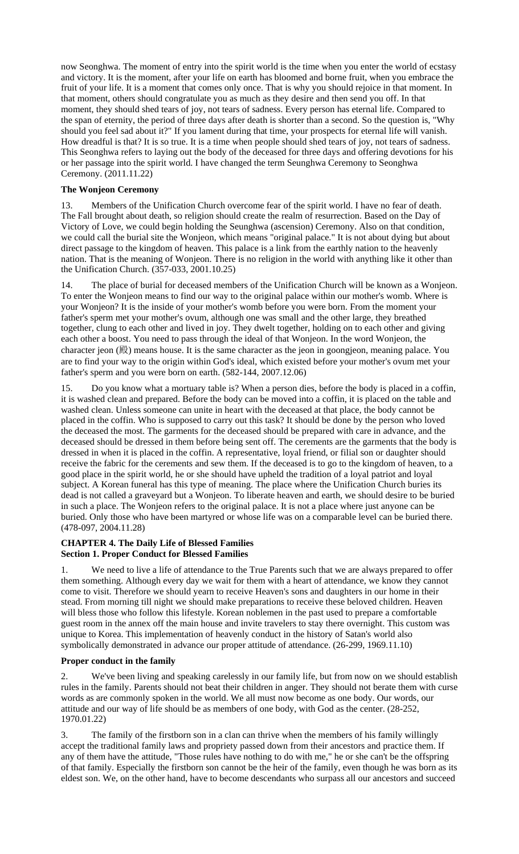now Seonghwa. The moment of entry into the spirit world is the time when you enter the world of ecstasy and victory. It is the moment, after your life on earth has bloomed and borne fruit, when you embrace the fruit of your life. It is a moment that comes only once. That is why you should rejoice in that moment. In that moment, others should congratulate you as much as they desire and then send you off. In that moment, they should shed tears of joy, not tears of sadness. Every person has eternal life. Compared to the span of eternity, the period of three days after death is shorter than a second. So the question is, "Why should you feel sad about it?" If you lament during that time, your prospects for eternal life will vanish. How dreadful is that? It is so true. It is a time when people should shed tears of joy, not tears of sadness. This Seonghwa refers to laying out the body of the deceased for three days and offering devotions for his or her passage into the spirit world. I have changed the term Seunghwa Ceremony to Seonghwa Ceremony. (2011.11.22)

# **The Wonjeon Ceremony**

13. Members of the Unification Church overcome fear of the spirit world. I have no fear of death. The Fall brought about death, so religion should create the realm of resurrection. Based on the Day of Victory of Love, we could begin holding the Seunghwa (ascension) Ceremony. Also on that condition, we could call the burial site the Wonjeon, which means "original palace." It is not about dying but about direct passage to the kingdom of heaven. This palace is a link from the earthly nation to the heavenly nation. That is the meaning of Wonjeon. There is no religion in the world with anything like it other than the Unification Church. (357-033, 2001.10.25)

14. The place of burial for deceased members of the Unification Church will be known as a Wonjeon. To enter the Wonjeon means to find our way to the original palace within our mother's womb. Where is your Wonjeon? It is the inside of your mother's womb before you were born. From the moment your father's sperm met your mother's ovum, although one was small and the other large, they breathed together, clung to each other and lived in joy. They dwelt together, holding on to each other and giving each other a boost. You need to pass through the ideal of that Wonjeon. In the word Wonjeon, the character jeon (殿) means house. It is the same character as the jeon in goongjeon, meaning palace. You are to find your way to the origin within God's ideal, which existed before your mother's ovum met your father's sperm and you were born on earth. (582-144, 2007.12.06)

15. Do you know what a mortuary table is? When a person dies, before the body is placed in a coffin, it is washed clean and prepared. Before the body can be moved into a coffin, it is placed on the table and washed clean. Unless someone can unite in heart with the deceased at that place, the body cannot be placed in the coffin. Who is supposed to carry out this task? It should be done by the person who loved the deceased the most. The garments for the deceased should be prepared with care in advance, and the deceased should be dressed in them before being sent off. The cerements are the garments that the body is dressed in when it is placed in the coffin. A representative, loyal friend, or filial son or daughter should receive the fabric for the cerements and sew them. If the deceased is to go to the kingdom of heaven, to a good place in the spirit world, he or she should have upheld the tradition of a loyal patriot and loyal subject. A Korean funeral has this type of meaning. The place where the Unification Church buries its dead is not called a graveyard but a Wonjeon. To liberate heaven and earth, we should desire to be buried in such a place. The Wonjeon refers to the original palace. It is not a place where just anyone can be buried. Only those who have been martyred or whose life was on a comparable level can be buried there. (478-097, 2004.11.28)

# **CHAPTER 4. The Daily Life of Blessed Families Section 1. Proper Conduct for Blessed Families**

1. We need to live a life of attendance to the True Parents such that we are always prepared to offer them something. Although every day we wait for them with a heart of attendance, we know they cannot come to visit. Therefore we should yearn to receive Heaven's sons and daughters in our home in their stead. From morning till night we should make preparations to receive these beloved children. Heaven will bless those who follow this lifestyle. Korean noblemen in the past used to prepare a comfortable guest room in the annex off the main house and invite travelers to stay there overnight. This custom was unique to Korea. This implementation of heavenly conduct in the history of Satan's world also symbolically demonstrated in advance our proper attitude of attendance. (26-299, 1969.11.10)

# **Proper conduct in the family**

2. We've been living and speaking carelessly in our family life, but from now on we should establish rules in the family. Parents should not beat their children in anger. They should not berate them with curse words as are commonly spoken in the world. We all must now become as one body. Our words, our attitude and our way of life should be as members of one body, with God as the center. (28-252, 1970.01.22)

3. The family of the firstborn son in a clan can thrive when the members of his family willingly accept the traditional family laws and propriety passed down from their ancestors and practice them. If any of them have the attitude, "Those rules have nothing to do with me," he or she can't be the offspring of that family. Especially the firstborn son cannot be the heir of the family, even though he was born as its eldest son. We, on the other hand, have to become descendants who surpass all our ancestors and succeed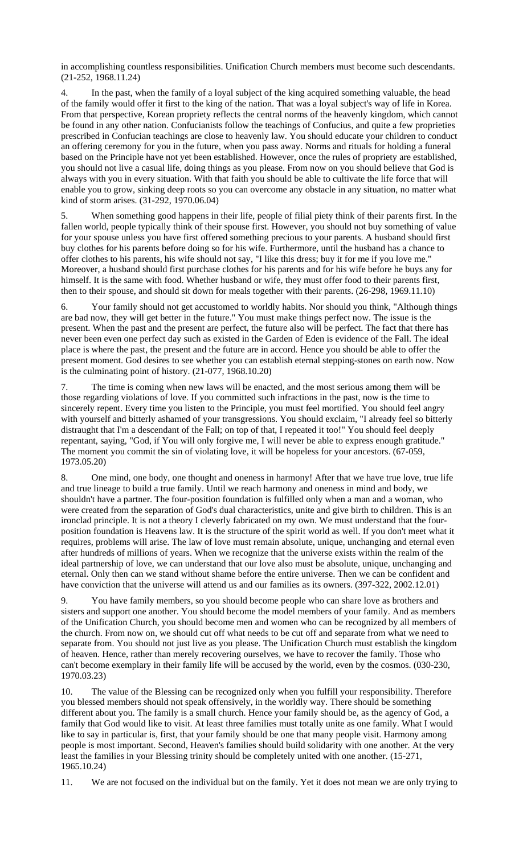in accomplishing countless responsibilities. Unification Church members must become such descendants. (21-252, 1968.11.24)

4. In the past, when the family of a loyal subject of the king acquired something valuable, the head of the family would offer it first to the king of the nation. That was a loyal subject's way of life in Korea. From that perspective, Korean propriety reflects the central norms of the heavenly kingdom, which cannot be found in any other nation. Confucianists follow the teachings of Confucius, and quite a few proprieties prescribed in Confucian teachings are close to heavenly law. You should educate your children to conduct an offering ceremony for you in the future, when you pass away. Norms and rituals for holding a funeral based on the Principle have not yet been established. However, once the rules of propriety are established, you should not live a casual life, doing things as you please. From now on you should believe that God is always with you in every situation. With that faith you should be able to cultivate the life force that will enable you to grow, sinking deep roots so you can overcome any obstacle in any situation, no matter what kind of storm arises. (31-292, 1970.06.04)

5. When something good happens in their life, people of filial piety think of their parents first. In the fallen world, people typically think of their spouse first. However, you should not buy something of value for your spouse unless you have first offered something precious to your parents. A husband should first buy clothes for his parents before doing so for his wife. Furthermore, until the husband has a chance to offer clothes to his parents, his wife should not say, "I like this dress; buy it for me if you love me." Moreover, a husband should first purchase clothes for his parents and for his wife before he buys any for himself. It is the same with food. Whether husband or wife, they must offer food to their parents first, then to their spouse, and should sit down for meals together with their parents. (26-298, 1969.11.10)

6. Your family should not get accustomed to worldly habits. Nor should you think, "Although things are bad now, they will get better in the future." You must make things perfect now. The issue is the present. When the past and the present are perfect, the future also will be perfect. The fact that there has never been even one perfect day such as existed in the Garden of Eden is evidence of the Fall. The ideal place is where the past, the present and the future are in accord. Hence you should be able to offer the present moment. God desires to see whether you can establish eternal stepping-stones on earth now. Now is the culminating point of history. (21-077, 1968.10.20)

The time is coming when new laws will be enacted, and the most serious among them will be those regarding violations of love. If you committed such infractions in the past, now is the time to sincerely repent. Every time you listen to the Principle, you must feel mortified. You should feel angry with yourself and bitterly ashamed of your transgressions. You should exclaim, "I already feel so bitterly distraught that I'm a descendant of the Fall; on top of that, I repeated it too!" You should feel deeply repentant, saying, "God, if You will only forgive me, I will never be able to express enough gratitude." The moment you commit the sin of violating love, it will be hopeless for your ancestors. (67-059, 1973.05.20)

8. One mind, one body, one thought and oneness in harmony! After that we have true love, true life and true lineage to build a true family. Until we reach harmony and oneness in mind and body, we shouldn't have a partner. The four-position foundation is fulfilled only when a man and a woman, who were created from the separation of God's dual characteristics, unite and give birth to children. This is an ironclad principle. It is not a theory I cleverly fabricated on my own. We must understand that the fourposition foundation is Heavens law. It is the structure of the spirit world as well. If you don't meet what it requires, problems will arise. The law of love must remain absolute, unique, unchanging and eternal even after hundreds of millions of years. When we recognize that the universe exists within the realm of the ideal partnership of love, we can understand that our love also must be absolute, unique, unchanging and eternal. Only then can we stand without shame before the entire universe. Then we can be confident and have conviction that the universe will attend us and our families as its owners. (397-322, 2002.12.01)

9. You have family members, so you should become people who can share love as brothers and sisters and support one another. You should become the model members of your family. And as members of the Unification Church, you should become men and women who can be recognized by all members of the church. From now on, we should cut off what needs to be cut off and separate from what we need to separate from. You should not just live as you please. The Unification Church must establish the kingdom of heaven. Hence, rather than merely recovering ourselves, we have to recover the family. Those who can't become exemplary in their family life will be accused by the world, even by the cosmos. (030-230, 1970.03.23)

10. The value of the Blessing can be recognized only when you fulfill your responsibility. Therefore you blessed members should not speak offensively, in the worldly way. There should be something different about you. The family is a small church. Hence your family should be, as the agency of God, a family that God would like to visit. At least three families must totally unite as one family. What I would like to say in particular is, first, that your family should be one that many people visit. Harmony among people is most important. Second, Heaven's families should build solidarity with one another. At the very least the families in your Blessing trinity should be completely united with one another. (15-271, 1965.10.24)

11. We are not focused on the individual but on the family. Yet it does not mean we are only trying to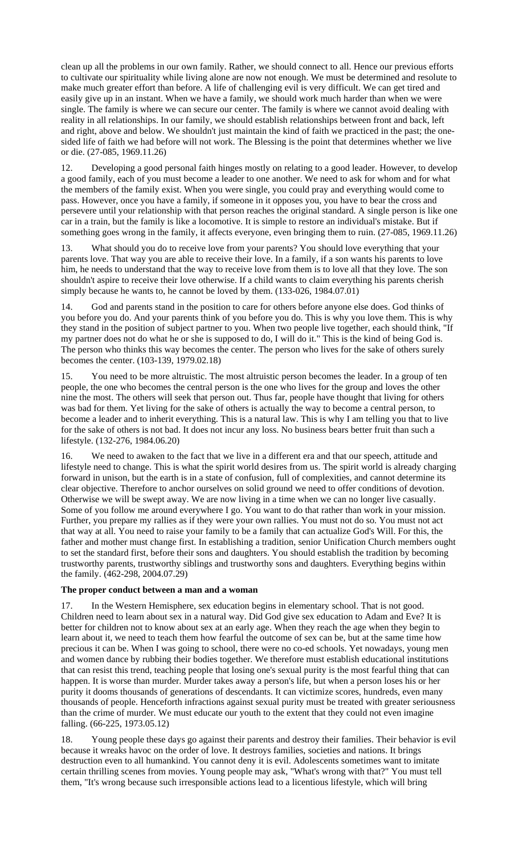clean up all the problems in our own family. Rather, we should connect to all. Hence our previous efforts to cultivate our spirituality while living alone are now not enough. We must be determined and resolute to make much greater effort than before. A life of challenging evil is very difficult. We can get tired and easily give up in an instant. When we have a family, we should work much harder than when we were single. The family is where we can secure our center. The family is where we cannot avoid dealing with reality in all relationships. In our family, we should establish relationships between front and back, left and right, above and below. We shouldn't just maintain the kind of faith we practiced in the past; the onesided life of faith we had before will not work. The Blessing is the point that determines whether we live or die. (27-085, 1969.11.26)

12. Developing a good personal faith hinges mostly on relating to a good leader. However, to develop a good family, each of you must become a leader to one another. We need to ask for whom and for what the members of the family exist. When you were single, you could pray and everything would come to pass. However, once you have a family, if someone in it opposes you, you have to bear the cross and persevere until your relationship with that person reaches the original standard. A single person is like one car in a train, but the family is like a locomotive. It is simple to restore an individual's mistake. But if something goes wrong in the family, it affects everyone, even bringing them to ruin. (27-085, 1969.11.26)

13. What should you do to receive love from your parents? You should love everything that your parents love. That way you are able to receive their love. In a family, if a son wants his parents to love him, he needs to understand that the way to receive love from them is to love all that they love. The son shouldn't aspire to receive their love otherwise. If a child wants to claim everything his parents cherish simply because he wants to, he cannot be loved by them. (133-026, 1984.07.01)

14. God and parents stand in the position to care for others before anyone else does. God thinks of you before you do. And your parents think of you before you do. This is why you love them. This is why they stand in the position of subject partner to you. When two people live together, each should think, "If my partner does not do what he or she is supposed to do, I will do it." This is the kind of being God is. The person who thinks this way becomes the center. The person who lives for the sake of others surely becomes the center. (103-139, 1979.02.18)

15. You need to be more altruistic. The most altruistic person becomes the leader. In a group of ten people, the one who becomes the central person is the one who lives for the group and loves the other nine the most. The others will seek that person out. Thus far, people have thought that living for others was bad for them. Yet living for the sake of others is actually the way to become a central person, to become a leader and to inherit everything. This is a natural law. This is why I am telling you that to live for the sake of others is not bad. It does not incur any loss. No business bears better fruit than such a lifestyle. (132-276, 1984.06.20)

16. We need to awaken to the fact that we live in a different era and that our speech, attitude and lifestyle need to change. This is what the spirit world desires from us. The spirit world is already charging forward in unison, but the earth is in a state of confusion, full of complexities, and cannot determine its clear objective. Therefore to anchor ourselves on solid ground we need to offer conditions of devotion. Otherwise we will be swept away. We are now living in a time when we can no longer live casually. Some of you follow me around everywhere I go. You want to do that rather than work in your mission. Further, you prepare my rallies as if they were your own rallies. You must not do so. You must not act that way at all. You need to raise your family to be a family that can actualize God's Will. For this, the father and mother must change first. In establishing a tradition, senior Unification Church members ought to set the standard first, before their sons and daughters. You should establish the tradition by becoming trustworthy parents, trustworthy siblings and trustworthy sons and daughters. Everything begins within the family. (462-298, 2004.07.29)

### **The proper conduct between a man and a woman**

17. In the Western Hemisphere, sex education begins in elementary school. That is not good. Children need to learn about sex in a natural way. Did God give sex education to Adam and Eve? It is better for children not to know about sex at an early age. When they reach the age when they begin to learn about it, we need to teach them how fearful the outcome of sex can be, but at the same time how precious it can be. When I was going to school, there were no co-ed schools. Yet nowadays, young men and women dance by rubbing their bodies together. We therefore must establish educational institutions that can resist this trend, teaching people that losing one's sexual purity is the most fearful thing that can happen. It is worse than murder. Murder takes away a person's life, but when a person loses his or her purity it dooms thousands of generations of descendants. It can victimize scores, hundreds, even many thousands of people. Henceforth infractions against sexual purity must be treated with greater seriousness than the crime of murder. We must educate our youth to the extent that they could not even imagine falling. (66-225, 1973.05.12)

18. Young people these days go against their parents and destroy their families. Their behavior is evil because it wreaks havoc on the order of love. It destroys families, societies and nations. It brings destruction even to all humankind. You cannot deny it is evil. Adolescents sometimes want to imitate certain thrilling scenes from movies. Young people may ask, "What's wrong with that?" You must tell them, "It's wrong because such irresponsible actions lead to a licentious lifestyle, which will bring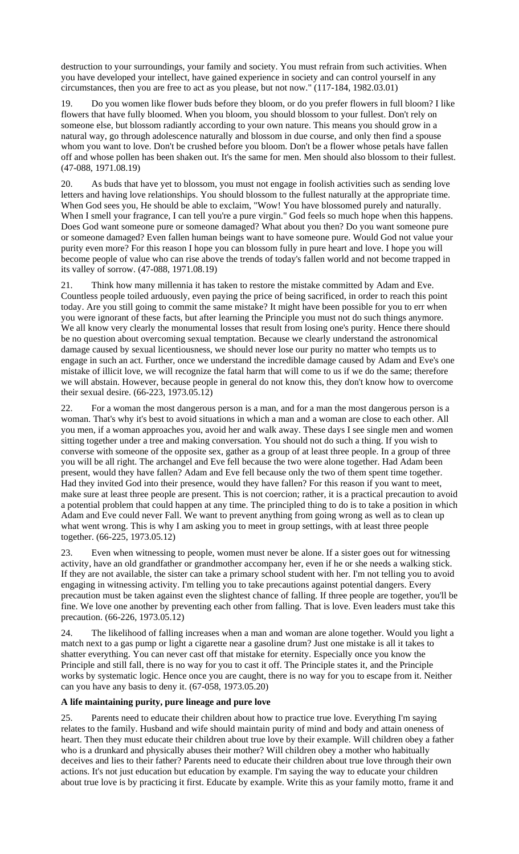destruction to your surroundings, your family and society. You must refrain from such activities. When you have developed your intellect, have gained experience in society and can control yourself in any circumstances, then you are free to act as you please, but not now." (117-184, 1982.03.01)

19. Do you women like flower buds before they bloom, or do you prefer flowers in full bloom? I like flowers that have fully bloomed. When you bloom, you should blossom to your fullest. Don't rely on someone else, but blossom radiantly according to your own nature. This means you should grow in a natural way, go through adolescence naturally and blossom in due course, and only then find a spouse whom you want to love. Don't be crushed before you bloom. Don't be a flower whose petals have fallen off and whose pollen has been shaken out. It's the same for men. Men should also blossom to their fullest. (47-088, 1971.08.19)

20. As buds that have yet to blossom, you must not engage in foolish activities such as sending love letters and having love relationships. You should blossom to the fullest naturally at the appropriate time. When God sees you, He should be able to exclaim, "Wow! You have blossomed purely and naturally. When I smell your fragrance, I can tell you're a pure virgin." God feels so much hope when this happens. Does God want someone pure or someone damaged? What about you then? Do you want someone pure or someone damaged? Even fallen human beings want to have someone pure. Would God not value your purity even more? For this reason I hope you can blossom fully in pure heart and love. I hope you will become people of value who can rise above the trends of today's fallen world and not become trapped in its valley of sorrow. (47-088, 1971.08.19)

21. Think how many millennia it has taken to restore the mistake committed by Adam and Eve. Countless people toiled arduously, even paying the price of being sacrificed, in order to reach this point today. Are you still going to commit the same mistake? It might have been possible for you to err when you were ignorant of these facts, but after learning the Principle you must not do such things anymore. We all know very clearly the monumental losses that result from losing one's purity. Hence there should be no question about overcoming sexual temptation. Because we clearly understand the astronomical damage caused by sexual licentiousness, we should never lose our purity no matter who tempts us to engage in such an act. Further, once we understand the incredible damage caused by Adam and Eve's one mistake of illicit love, we will recognize the fatal harm that will come to us if we do the same; therefore we will abstain. However, because people in general do not know this, they don't know how to overcome their sexual desire. (66-223, 1973.05.12)

22. For a woman the most dangerous person is a man, and for a man the most dangerous person is a woman. That's why it's best to avoid situations in which a man and a woman are close to each other. All you men, if a woman approaches you, avoid her and walk away. These days I see single men and women sitting together under a tree and making conversation. You should not do such a thing. If you wish to converse with someone of the opposite sex, gather as a group of at least three people. In a group of three you will be all right. The archangel and Eve fell because the two were alone together. Had Adam been present, would they have fallen? Adam and Eve fell because only the two of them spent time together. Had they invited God into their presence, would they have fallen? For this reason if you want to meet, make sure at least three people are present. This is not coercion; rather, it is a practical precaution to avoid a potential problem that could happen at any time. The principled thing to do is to take a position in which Adam and Eve could never Fall. We want to prevent anything from going wrong as well as to clean up what went wrong. This is why I am asking you to meet in group settings, with at least three people together. (66-225, 1973.05.12)

23. Even when witnessing to people, women must never be alone. If a sister goes out for witnessing activity, have an old grandfather or grandmother accompany her, even if he or she needs a walking stick. If they are not available, the sister can take a primary school student with her. I'm not telling you to avoid engaging in witnessing activity. I'm telling you to take precautions against potential dangers. Every precaution must be taken against even the slightest chance of falling. If three people are together, you'll be fine. We love one another by preventing each other from falling. That is love. Even leaders must take this precaution. (66-226, 1973.05.12)

24. The likelihood of falling increases when a man and woman are alone together. Would you light a match next to a gas pump or light a cigarette near a gasoline drum? Just one mistake is all it takes to shatter everything. You can never cast off that mistake for eternity. Especially once you know the Principle and still fall, there is no way for you to cast it off. The Principle states it, and the Principle works by systematic logic. Hence once you are caught, there is no way for you to escape from it. Neither can you have any basis to deny it. (67-058, 1973.05.20)

### **A life maintaining purity, pure lineage and pure love**

25. Parents need to educate their children about how to practice true love. Everything I'm saying relates to the family. Husband and wife should maintain purity of mind and body and attain oneness of heart. Then they must educate their children about true love by their example. Will children obey a father who is a drunkard and physically abuses their mother? Will children obey a mother who habitually deceives and lies to their father? Parents need to educate their children about true love through their own actions. It's not just education but education by example. I'm saying the way to educate your children about true love is by practicing it first. Educate by example. Write this as your family motto, frame it and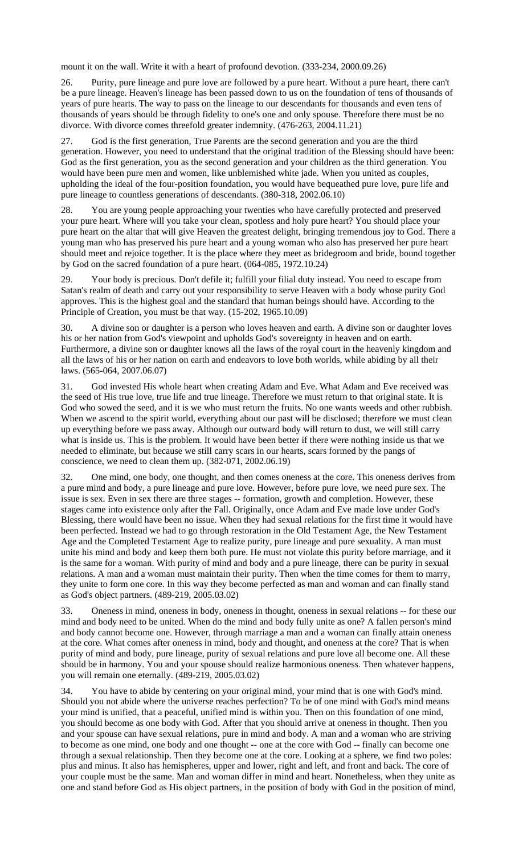mount it on the wall. Write it with a heart of profound devotion. (333-234, 2000.09.26)

26. Purity, pure lineage and pure love are followed by a pure heart. Without a pure heart, there can't be a pure lineage. Heaven's lineage has been passed down to us on the foundation of tens of thousands of years of pure hearts. The way to pass on the lineage to our descendants for thousands and even tens of thousands of years should be through fidelity to one's one and only spouse. Therefore there must be no divorce. With divorce comes threefold greater indemnity. (476-263, 2004.11.21)

27. God is the first generation, True Parents are the second generation and you are the third generation. However, you need to understand that the original tradition of the Blessing should have been: God as the first generation, you as the second generation and your children as the third generation. You would have been pure men and women, like unblemished white jade. When you united as couples, upholding the ideal of the four-position foundation, you would have bequeathed pure love, pure life and pure lineage to countless generations of descendants. (380-318, 2002.06.10)

28. You are young people approaching your twenties who have carefully protected and preserved your pure heart. Where will you take your clean, spotless and holy pure heart? You should place your pure heart on the altar that will give Heaven the greatest delight, bringing tremendous joy to God. There a young man who has preserved his pure heart and a young woman who also has preserved her pure heart should meet and rejoice together. It is the place where they meet as bridegroom and bride, bound together by God on the sacred foundation of a pure heart. (064-085, 1972.10.24)

29. Your body is precious. Don't defile it; fulfill your filial duty instead. You need to escape from Satan's realm of death and carry out your responsibility to serve Heaven with a body whose purity God approves. This is the highest goal and the standard that human beings should have. According to the Principle of Creation, you must be that way. (15-202, 1965.10.09)

30. A divine son or daughter is a person who loves heaven and earth. A divine son or daughter loves his or her nation from God's viewpoint and upholds God's sovereignty in heaven and on earth. Furthermore, a divine son or daughter knows all the laws of the royal court in the heavenly kingdom and all the laws of his or her nation on earth and endeavors to love both worlds, while abiding by all their laws. (565-064, 2007.06.07)

31. God invested His whole heart when creating Adam and Eve. What Adam and Eve received was the seed of His true love, true life and true lineage. Therefore we must return to that original state. It is God who sowed the seed, and it is we who must return the fruits. No one wants weeds and other rubbish. When we ascend to the spirit world, everything about our past will be disclosed; therefore we must clean up everything before we pass away. Although our outward body will return to dust, we will still carry what is inside us. This is the problem. It would have been better if there were nothing inside us that we needed to eliminate, but because we still carry scars in our hearts, scars formed by the pangs of conscience, we need to clean them up. (382-071, 2002.06.19)

32. One mind, one body, one thought, and then comes oneness at the core. This oneness derives from a pure mind and body, a pure lineage and pure love. However, before pure love, we need pure sex. The issue is sex. Even in sex there are three stages -- formation, growth and completion. However, these stages came into existence only after the Fall. Originally, once Adam and Eve made love under God's Blessing, there would have been no issue. When they had sexual relations for the first time it would have been perfected. Instead we had to go through restoration in the Old Testament Age, the New Testament Age and the Completed Testament Age to realize purity, pure lineage and pure sexuality. A man must unite his mind and body and keep them both pure. He must not violate this purity before marriage, and it is the same for a woman. With purity of mind and body and a pure lineage, there can be purity in sexual relations. A man and a woman must maintain their purity. Then when the time comes for them to marry, they unite to form one core. In this way they become perfected as man and woman and can finally stand as God's object partners. (489-219, 2005.03.02)

33. Oneness in mind, oneness in body, oneness in thought, oneness in sexual relations -- for these our mind and body need to be united. When do the mind and body fully unite as one? A fallen person's mind and body cannot become one. However, through marriage a man and a woman can finally attain oneness at the core. What comes after oneness in mind, body and thought, and oneness at the core? That is when purity of mind and body, pure lineage, purity of sexual relations and pure love all become one. All these should be in harmony. You and your spouse should realize harmonious oneness. Then whatever happens, you will remain one eternally. (489-219, 2005.03.02)

34. You have to abide by centering on your original mind, your mind that is one with God's mind. Should you not abide where the universe reaches perfection? To be of one mind with God's mind means your mind is unified, that a peaceful, unified mind is within you. Then on this foundation of one mind, you should become as one body with God. After that you should arrive at oneness in thought. Then you and your spouse can have sexual relations, pure in mind and body. A man and a woman who are striving to become as one mind, one body and one thought -- one at the core with God -- finally can become one through a sexual relationship. Then they become one at the core. Looking at a sphere, we find two poles: plus and minus. It also has hemispheres, upper and lower, right and left, and front and back. The core of your couple must be the same. Man and woman differ in mind and heart. Nonetheless, when they unite as one and stand before God as His object partners, in the position of body with God in the position of mind,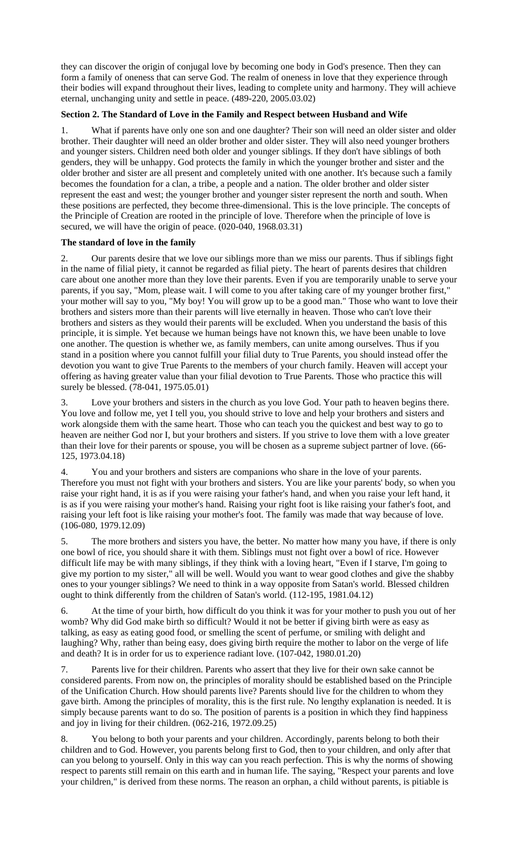they can discover the origin of conjugal love by becoming one body in God's presence. Then they can form a family of oneness that can serve God. The realm of oneness in love that they experience through their bodies will expand throughout their lives, leading to complete unity and harmony. They will achieve eternal, unchanging unity and settle in peace. (489-220, 2005.03.02)

# **Section 2. The Standard of Love in the Family and Respect between Husband and Wife**

1. What if parents have only one son and one daughter? Their son will need an older sister and older brother. Their daughter will need an older brother and older sister. They will also need younger brothers and younger sisters. Children need both older and younger siblings. If they don't have siblings of both genders, they will be unhappy. God protects the family in which the younger brother and sister and the older brother and sister are all present and completely united with one another. It's because such a family becomes the foundation for a clan, a tribe, a people and a nation. The older brother and older sister represent the east and west; the younger brother and younger sister represent the north and south. When these positions are perfected, they become three-dimensional. This is the love principle. The concepts of the Principle of Creation are rooted in the principle of love. Therefore when the principle of love is secured, we will have the origin of peace. (020-040, 1968.03.31)

# **The standard of love in the family**

2. Our parents desire that we love our siblings more than we miss our parents. Thus if siblings fight in the name of filial piety, it cannot be regarded as filial piety. The heart of parents desires that children care about one another more than they love their parents. Even if you are temporarily unable to serve your parents, if you say, "Mom, please wait. I will come to you after taking care of my younger brother first," your mother will say to you, "My boy! You will grow up to be a good man." Those who want to love their brothers and sisters more than their parents will live eternally in heaven. Those who can't love their brothers and sisters as they would their parents will be excluded. When you understand the basis of this principle, it is simple. Yet because we human beings have not known this, we have been unable to love one another. The question is whether we, as family members, can unite among ourselves. Thus if you stand in a position where you cannot fulfill your filial duty to True Parents, you should instead offer the devotion you want to give True Parents to the members of your church family. Heaven will accept your offering as having greater value than your filial devotion to True Parents. Those who practice this will surely be blessed. (78-041, 1975.05.01)

Love your brothers and sisters in the church as you love God. Your path to heaven begins there. You love and follow me, yet I tell you, you should strive to love and help your brothers and sisters and work alongside them with the same heart. Those who can teach you the quickest and best way to go to heaven are neither God nor I, but your brothers and sisters. If you strive to love them with a love greater than their love for their parents or spouse, you will be chosen as a supreme subject partner of love. (66- 125, 1973.04.18)

4. You and your brothers and sisters are companions who share in the love of your parents. Therefore you must not fight with your brothers and sisters. You are like your parents' body, so when you raise your right hand, it is as if you were raising your father's hand, and when you raise your left hand, it is as if you were raising your mother's hand. Raising your right foot is like raising your father's foot, and raising your left foot is like raising your mother's foot. The family was made that way because of love. (106-080, 1979.12.09)

5. The more brothers and sisters you have, the better. No matter how many you have, if there is only one bowl of rice, you should share it with them. Siblings must not fight over a bowl of rice. However difficult life may be with many siblings, if they think with a loving heart, "Even if I starve, I'm going to give my portion to my sister," all will be well. Would you want to wear good clothes and give the shabby ones to your younger siblings? We need to think in a way opposite from Satan's world. Blessed children ought to think differently from the children of Satan's world. (112-195, 1981.04.12)

6. At the time of your birth, how difficult do you think it was for your mother to push you out of her womb? Why did God make birth so difficult? Would it not be better if giving birth were as easy as talking, as easy as eating good food, or smelling the scent of perfume, or smiling with delight and laughing? Why, rather than being easy, does giving birth require the mother to labor on the verge of life and death? It is in order for us to experience radiant love. (107-042, 1980.01.20)

7. Parents live for their children. Parents who assert that they live for their own sake cannot be considered parents. From now on, the principles of morality should be established based on the Principle of the Unification Church. How should parents live? Parents should live for the children to whom they gave birth. Among the principles of morality, this is the first rule. No lengthy explanation is needed. It is simply because parents want to do so. The position of parents is a position in which they find happiness and joy in living for their children. (062-216, 1972.09.25)

8. You belong to both your parents and your children. Accordingly, parents belong to both their children and to God. However, you parents belong first to God, then to your children, and only after that can you belong to yourself. Only in this way can you reach perfection. This is why the norms of showing respect to parents still remain on this earth and in human life. The saying, "Respect your parents and love your children," is derived from these norms. The reason an orphan, a child without parents, is pitiable is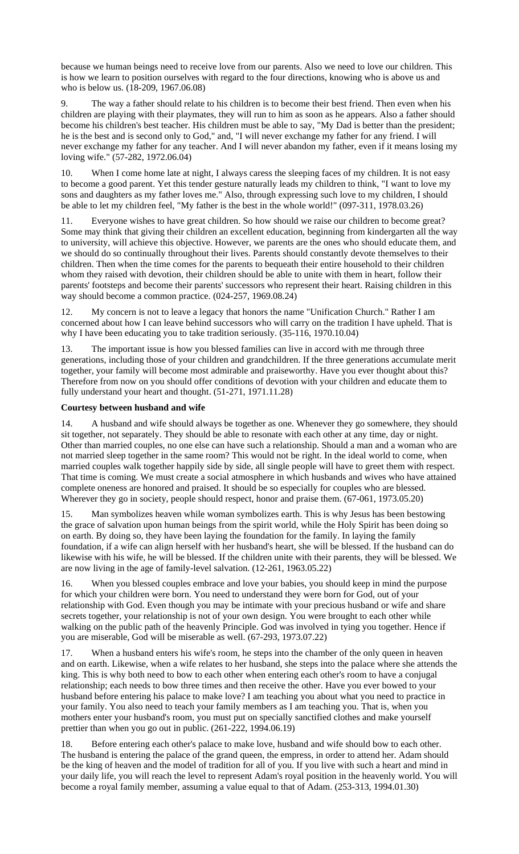because we human beings need to receive love from our parents. Also we need to love our children. This is how we learn to position ourselves with regard to the four directions, knowing who is above us and who is below us. (18-209, 1967.06.08)

9. The way a father should relate to his children is to become their best friend. Then even when his children are playing with their playmates, they will run to him as soon as he appears. Also a father should become his children's best teacher. His children must be able to say, "My Dad is better than the president; he is the best and is second only to God," and, "I will never exchange my father for any friend. I will never exchange my father for any teacher. And I will never abandon my father, even if it means losing my loving wife." (57-282, 1972.06.04)

10. When I come home late at night, I always caress the sleeping faces of my children. It is not easy to become a good parent. Yet this tender gesture naturally leads my children to think, "I want to love my sons and daughters as my father loves me." Also, through expressing such love to my children, I should be able to let my children feel, "My father is the best in the whole world!" (097-311, 1978.03.26)

11. Everyone wishes to have great children. So how should we raise our children to become great? Some may think that giving their children an excellent education, beginning from kindergarten all the way to university, will achieve this objective. However, we parents are the ones who should educate them, and we should do so continually throughout their lives. Parents should constantly devote themselves to their children. Then when the time comes for the parents to bequeath their entire household to their children whom they raised with devotion, their children should be able to unite with them in heart, follow their parents' footsteps and become their parents' successors who represent their heart. Raising children in this way should become a common practice. (024-257, 1969.08.24)

12. My concern is not to leave a legacy that honors the name "Unification Church." Rather I am concerned about how I can leave behind successors who will carry on the tradition I have upheld. That is why I have been educating you to take tradition seriously. (35-116, 1970.10.04)

13. The important issue is how you blessed families can live in accord with me through three generations, including those of your children and grandchildren. If the three generations accumulate merit together, your family will become most admirable and praiseworthy. Have you ever thought about this? Therefore from now on you should offer conditions of devotion with your children and educate them to fully understand your heart and thought. (51-271, 1971.11.28)

# **Courtesy between husband and wife**

14. A husband and wife should always be together as one. Whenever they go somewhere, they should sit together, not separately. They should be able to resonate with each other at any time, day or night. Other than married couples, no one else can have such a relationship. Should a man and a woman who are not married sleep together in the same room? This would not be right. In the ideal world to come, when married couples walk together happily side by side, all single people will have to greet them with respect. That time is coming. We must create a social atmosphere in which husbands and wives who have attained complete oneness are honored and praised. It should be so especially for couples who are blessed. Wherever they go in society, people should respect, honor and praise them. (67-061, 1973.05.20)

15. Man symbolizes heaven while woman symbolizes earth. This is why Jesus has been bestowing the grace of salvation upon human beings from the spirit world, while the Holy Spirit has been doing so on earth. By doing so, they have been laying the foundation for the family. In laying the family foundation, if a wife can align herself with her husband's heart, she will be blessed. If the husband can do likewise with his wife, he will be blessed. If the children unite with their parents, they will be blessed. We are now living in the age of family-level salvation. (12-261, 1963.05.22)

16. When you blessed couples embrace and love your babies, you should keep in mind the purpose for which your children were born. You need to understand they were born for God, out of your relationship with God. Even though you may be intimate with your precious husband or wife and share secrets together, your relationship is not of your own design. You were brought to each other while walking on the public path of the heavenly Principle. God was involved in tying you together. Hence if you are miserable, God will be miserable as well. (67-293, 1973.07.22)

17. When a husband enters his wife's room, he steps into the chamber of the only queen in heaven and on earth. Likewise, when a wife relates to her husband, she steps into the palace where she attends the king. This is why both need to bow to each other when entering each other's room to have a conjugal relationship; each needs to bow three times and then receive the other. Have you ever bowed to your husband before entering his palace to make love? I am teaching you about what you need to practice in your family. You also need to teach your family members as I am teaching you. That is, when you mothers enter your husband's room, you must put on specially sanctified clothes and make yourself prettier than when you go out in public. (261-222, 1994.06.19)

18. Before entering each other's palace to make love, husband and wife should bow to each other. The husband is entering the palace of the grand queen, the empress, in order to attend her. Adam should be the king of heaven and the model of tradition for all of you. If you live with such a heart and mind in your daily life, you will reach the level to represent Adam's royal position in the heavenly world. You will become a royal family member, assuming a value equal to that of Adam. (253-313, 1994.01.30)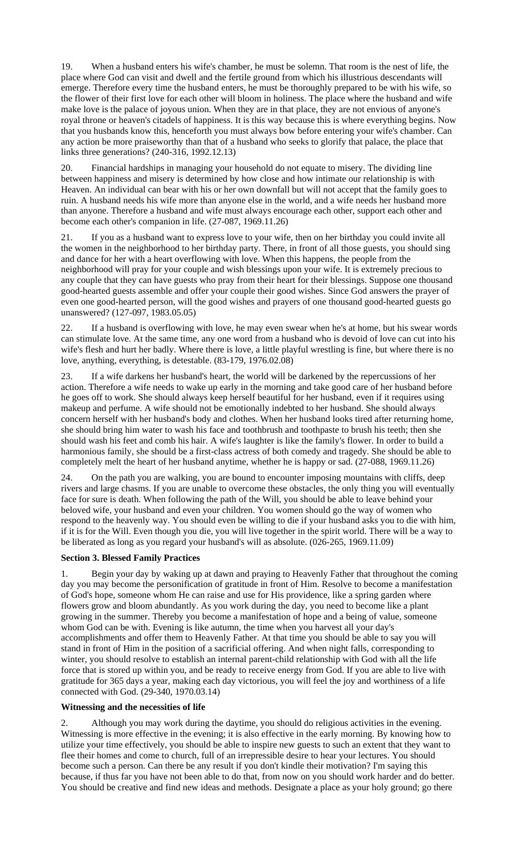19. When a husband enters his wife's chamber, he must be solemn. That room is the nest of life, the place where God can visit and dwell and the fertile ground from which his illustrious descendants will emerge. Therefore every time the husband enters, he must be thoroughly prepared to be with his wife, so the flower of their first love for each other will bloom in holiness. The place where the husband and wife make love is the palace of joyous union. When they are in that place, they are not envious of anyone's royal throne or heaven's citadels of happiness. It is this way because this is where everything begins. Now that you husbands know this, henceforth you must always bow before entering your wife's chamber. Can any action be more praiseworthy than that of a husband who seeks to glorify that palace, the place that links three generations? (240-316, 1992.12.13)

20. Financial hardships in managing your household do not equate to misery. The dividing line between happiness and misery is determined by how close and how intimate our relationship is with Heaven. An individual can bear with his or her own downfall but will not accept that the family goes to ruin. A husband needs his wife more than anyone else in the world, and a wife needs her husband more than anyone. Therefore a husband and wife must always encourage each other, support each other and become each other's companion in life. (27-087, 1969.11.26)

21. If you as a husband want to express love to your wife, then on her birthday you could invite all the women in the neighborhood to her birthday party. There, in front of all those guests, you should sing and dance for her with a heart overflowing with love. When this happens, the people from the neighborhood will pray for your couple and wish blessings upon your wife. It is extremely precious to any couple that they can have guests who pray from their heart for their blessings. Suppose one thousand good-hearted guests assemble and offer your couple their good wishes. Since God answers the prayer of even one good-hearted person, will the good wishes and prayers of one thousand good-hearted guests go unanswered? (127-097, 1983.05.05)

22. If a husband is overflowing with love, he may even swear when he's at home, but his swear words can stimulate love. At the same time, any one word from a husband who is devoid of love can cut into his wife's flesh and hurt her badly. Where there is love, a little playful wrestling is fine, but where there is no love, anything, everything, is detestable. (83-179, 1976.02.08)

23. If a wife darkens her husband's heart, the world will be darkened by the repercussions of her action. Therefore a wife needs to wake up early in the morning and take good care of her husband before he goes off to work. She should always keep herself beautiful for her husband, even if it requires using makeup and perfume. A wife should not be emotionally indebted to her husband. She should always concern herself with her husband's body and clothes. When her husband looks tired after returning home, she should bring him water to wash his face and toothbrush and toothpaste to brush his teeth; then she should wash his feet and comb his hair. A wife's laughter is like the family's flower. In order to build a harmonious family, she should be a first-class actress of both comedy and tragedy. She should be able to completely melt the heart of her husband anytime, whether he is happy or sad. (27-088, 1969.11.26)

24. On the path you are walking, you are bound to encounter imposing mountains with cliffs, deep rivers and large chasms. If you are unable to overcome these obstacles, the only thing you will eventually face for sure is death. When following the path of the Will, you should be able to leave behind your beloved wife, your husband and even your children. You women should go the way of women who respond to the heavenly way. You should even be willing to die if your husband asks you to die with him, if it is for the Will. Even though you die, you will live together in the spirit world. There will be a way to be liberated as long as you regard your husband's will as absolute. (026-265, 1969.11.09)

### **Section 3. Blessed Family Practices**

1. Begin your day by waking up at dawn and praying to Heavenly Father that throughout the coming day you may become the personification of gratitude in front of Him. Resolve to become a manifestation of God's hope, someone whom He can raise and use for His providence, like a spring garden where flowers grow and bloom abundantly. As you work during the day, you need to become like a plant growing in the summer. Thereby you become a manifestation of hope and a being of value, someone whom God can be with. Evening is like autumn, the time when you harvest all your day's accomplishments and offer them to Heavenly Father. At that time you should be able to say you will stand in front of Him in the position of a sacrificial offering. And when night falls, corresponding to winter, you should resolve to establish an internal parent-child relationship with God with all the life force that is stored up within you, and be ready to receive energy from God. If you are able to live with gratitude for 365 days a year, making each day victorious, you will feel the joy and worthiness of a life connected with God. (29-340, 1970.03.14)

### **Witnessing and the necessities of life**

Although you may work during the daytime, you should do religious activities in the evening. Witnessing is more effective in the evening; it is also effective in the early morning. By knowing how to utilize your time effectively, you should be able to inspire new guests to such an extent that they want to flee their homes and come to church, full of an irrepressible desire to hear your lectures. You should become such a person. Can there be any result if you don't kindle their motivation? I'm saying this because, if thus far you have not been able to do that, from now on you should work harder and do better. You should be creative and find new ideas and methods. Designate a place as your holy ground; go there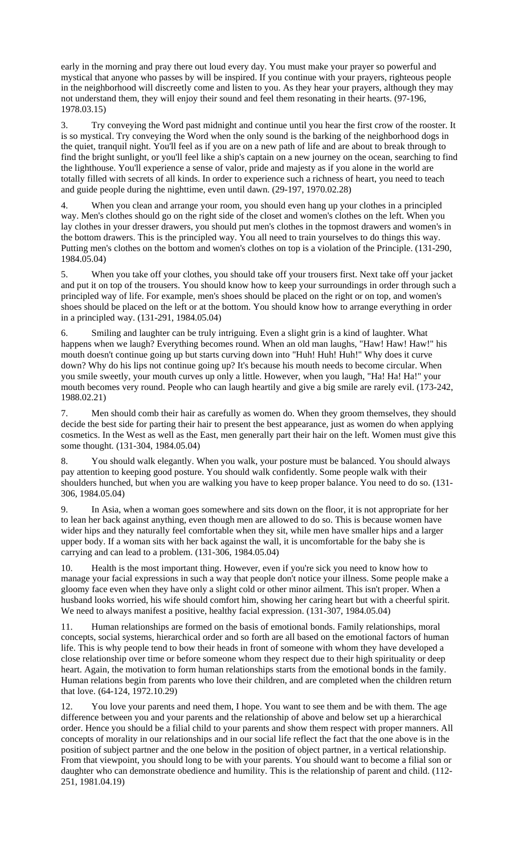early in the morning and pray there out loud every day. You must make your prayer so powerful and mystical that anyone who passes by will be inspired. If you continue with your prayers, righteous people in the neighborhood will discreetly come and listen to you. As they hear your prayers, although they may not understand them, they will enjoy their sound and feel them resonating in their hearts. (97-196, 1978.03.15)

3. Try conveying the Word past midnight and continue until you hear the first crow of the rooster. It is so mystical. Try conveying the Word when the only sound is the barking of the neighborhood dogs in the quiet, tranquil night. You'll feel as if you are on a new path of life and are about to break through to find the bright sunlight, or you'll feel like a ship's captain on a new journey on the ocean, searching to find the lighthouse. You'll experience a sense of valor, pride and majesty as if you alone in the world are totally filled with secrets of all kinds. In order to experience such a richness of heart, you need to teach and guide people during the nighttime, even until dawn. (29-197, 1970.02.28)

4. When you clean and arrange your room, you should even hang up your clothes in a principled way. Men's clothes should go on the right side of the closet and women's clothes on the left. When you lay clothes in your dresser drawers, you should put men's clothes in the topmost drawers and women's in the bottom drawers. This is the principled way. You all need to train yourselves to do things this way. Putting men's clothes on the bottom and women's clothes on top is a violation of the Principle. (131-290, 1984.05.04)

5. When you take off your clothes, you should take off your trousers first. Next take off your jacket and put it on top of the trousers. You should know how to keep your surroundings in order through such a principled way of life. For example, men's shoes should be placed on the right or on top, and women's shoes should be placed on the left or at the bottom. You should know how to arrange everything in order in a principled way. (131-291, 1984.05.04)

6. Smiling and laughter can be truly intriguing. Even a slight grin is a kind of laughter. What happens when we laugh? Everything becomes round. When an old man laughs, "Haw! Haw! Haw!" his mouth doesn't continue going up but starts curving down into "Huh! Huh! Huh!" Why does it curve down? Why do his lips not continue going up? It's because his mouth needs to become circular. When you smile sweetly, your mouth curves up only a little. However, when you laugh, "Ha! Ha! Ha!" your mouth becomes very round. People who can laugh heartily and give a big smile are rarely evil. (173-242, 1988.02.21)

7. Men should comb their hair as carefully as women do. When they groom themselves, they should decide the best side for parting their hair to present the best appearance, just as women do when applying cosmetics. In the West as well as the East, men generally part their hair on the left. Women must give this some thought. (131-304, 1984.05.04)

8. You should walk elegantly. When you walk, your posture must be balanced. You should always pay attention to keeping good posture. You should walk confidently. Some people walk with their shoulders hunched, but when you are walking you have to keep proper balance. You need to do so. (131- 306, 1984.05.04)

9. In Asia, when a woman goes somewhere and sits down on the floor, it is not appropriate for her to lean her back against anything, even though men are allowed to do so. This is because women have wider hips and they naturally feel comfortable when they sit, while men have smaller hips and a larger upper body. If a woman sits with her back against the wall, it is uncomfortable for the baby she is carrying and can lead to a problem. (131-306, 1984.05.04)

10. Health is the most important thing. However, even if you're sick you need to know how to manage your facial expressions in such a way that people don't notice your illness. Some people make a gloomy face even when they have only a slight cold or other minor ailment. This isn't proper. When a husband looks worried, his wife should comfort him, showing her caring heart but with a cheerful spirit. We need to always manifest a positive, healthy facial expression.  $(131-307, 1984.05.04)$ 

11. Human relationships are formed on the basis of emotional bonds. Family relationships, moral concepts, social systems, hierarchical order and so forth are all based on the emotional factors of human life. This is why people tend to bow their heads in front of someone with whom they have developed a close relationship over time or before someone whom they respect due to their high spirituality or deep heart. Again, the motivation to form human relationships starts from the emotional bonds in the family. Human relations begin from parents who love their children, and are completed when the children return that love. (64-124, 1972.10.29)

12. You love your parents and need them, I hope. You want to see them and be with them. The age difference between you and your parents and the relationship of above and below set up a hierarchical order. Hence you should be a filial child to your parents and show them respect with proper manners. All concepts of morality in our relationships and in our social life reflect the fact that the one above is in the position of subject partner and the one below in the position of object partner, in a vertical relationship. From that viewpoint, you should long to be with your parents. You should want to become a filial son or daughter who can demonstrate obedience and humility. This is the relationship of parent and child. (112- 251, 1981.04.19)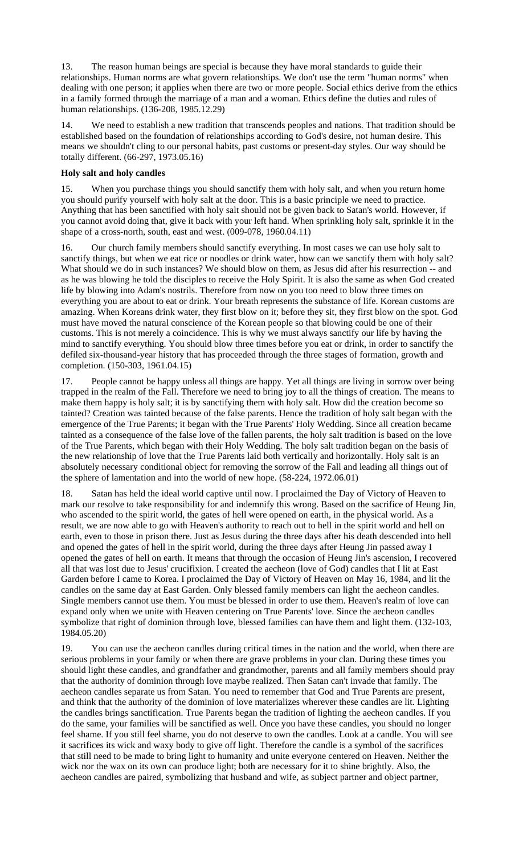13. The reason human beings are special is because they have moral standards to guide their relationships. Human norms are what govern relationships. We don't use the term "human norms" when dealing with one person; it applies when there are two or more people. Social ethics derive from the ethics in a family formed through the marriage of a man and a woman. Ethics define the duties and rules of human relationships. (136-208, 1985.12.29)

14. We need to establish a new tradition that transcends peoples and nations. That tradition should be established based on the foundation of relationships according to God's desire, not human desire. This means we shouldn't cling to our personal habits, past customs or present-day styles. Our way should be totally different. (66-297, 1973.05.16)

## **Holy salt and holy candles**

15. When you purchase things you should sanctify them with holy salt, and when you return home you should purify yourself with holy salt at the door. This is a basic principle we need to practice. Anything that has been sanctified with holy salt should not be given back to Satan's world. However, if you cannot avoid doing that, give it back with your left hand. When sprinkling holy salt, sprinkle it in the shape of a cross-north, south, east and west. (009-078, 1960.04.11)

16. Our church family members should sanctify everything. In most cases we can use holy salt to sanctify things, but when we eat rice or noodles or drink water, how can we sanctify them with holy salt? What should we do in such instances? We should blow on them, as Jesus did after his resurrection -- and as he was blowing he told the disciples to receive the Holy Spirit. It is also the same as when God created life by blowing into Adam's nostrils. Therefore from now on you too need to blow three times on everything you are about to eat or drink. Your breath represents the substance of life. Korean customs are amazing. When Koreans drink water, they first blow on it; before they sit, they first blow on the spot. God must have moved the natural conscience of the Korean people so that blowing could be one of their customs. This is not merely a coincidence. This is why we must always sanctify our life by having the mind to sanctify everything. You should blow three times before you eat or drink, in order to sanctify the defiled six-thousand-year history that has proceeded through the three stages of formation, growth and completion. (150-303, 1961.04.15)

People cannot be happy unless all things are happy. Yet all things are living in sorrow over being trapped in the realm of the Fall. Therefore we need to bring joy to all the things of creation. The means to make them happy is holy salt; it is by sanctifying them with holy salt. How did the creation become so tainted? Creation was tainted because of the false parents. Hence the tradition of holy salt began with the emergence of the True Parents; it began with the True Parents' Holy Wedding. Since all creation became tainted as a consequence of the false love of the fallen parents, the holy salt tradition is based on the love of the True Parents, which began with their Holy Wedding. The holy salt tradition began on the basis of the new relationship of love that the True Parents laid both vertically and horizontally. Holy salt is an absolutely necessary conditional object for removing the sorrow of the Fall and leading all things out of the sphere of lamentation and into the world of new hope. (58-224, 1972.06.01)

18. Satan has held the ideal world captive until now. I proclaimed the Day of Victory of Heaven to mark our resolve to take responsibility for and indemnify this wrong. Based on the sacrifice of Heung Jin, who ascended to the spirit world, the gates of hell were opened on earth, in the physical world. As a result, we are now able to go with Heaven's authority to reach out to hell in the spirit world and hell on earth, even to those in prison there. Just as Jesus during the three days after his death descended into hell and opened the gates of hell in the spirit world, during the three days after Heung Jin passed away I opened the gates of hell on earth. It means that through the occasion of Heung Jin's ascension, I recovered all that was lost due to Jesus' crucifixion. I created the aecheon (love of God) candles that I lit at East Garden before I came to Korea. I proclaimed the Day of Victory of Heaven on May 16, 1984, and lit the candles on the same day at East Garden. Only blessed family members can light the aecheon candles. Single members cannot use them. You must be blessed in order to use them. Heaven's realm of love can expand only when we unite with Heaven centering on True Parents' love. Since the aecheon candles symbolize that right of dominion through love, blessed families can have them and light them. (132-103, 1984.05.20)

19. You can use the aecheon candles during critical times in the nation and the world, when there are serious problems in your family or when there are grave problems in your clan. During these times you should light these candles, and grandfather and grandmother, parents and all family members should pray that the authority of dominion through love maybe realized. Then Satan can't invade that family. The aecheon candles separate us from Satan. You need to remember that God and True Parents are present, and think that the authority of the dominion of love materializes wherever these candles are lit. Lighting the candles brings sanctification. True Parents began the tradition of lighting the aecheon candles. If you do the same, your families will be sanctified as well. Once you have these candles, you should no longer feel shame. If you still feel shame, you do not deserve to own the candles. Look at a candle. You will see it sacrifices its wick and waxy body to give off light. Therefore the candle is a symbol of the sacrifices that still need to be made to bring light to humanity and unite everyone centered on Heaven. Neither the wick nor the wax on its own can produce light; both are necessary for it to shine brightly. Also, the aecheon candles are paired, symbolizing that husband and wife, as subject partner and object partner,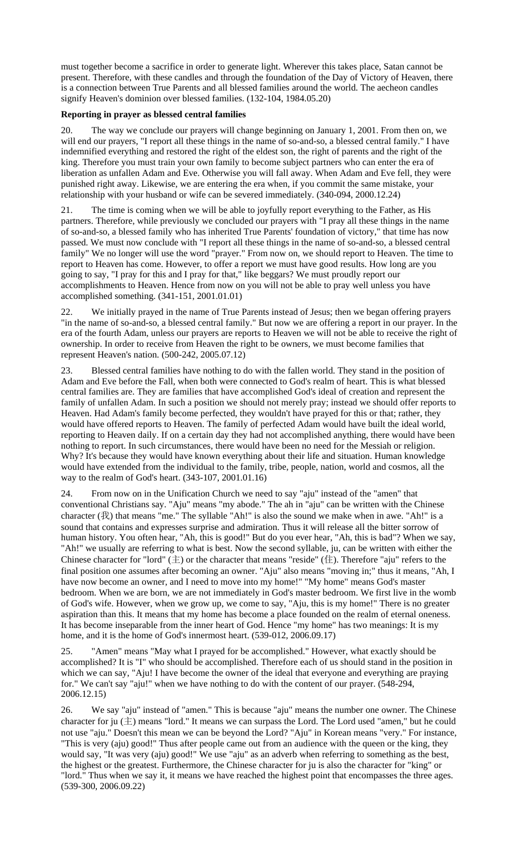must together become a sacrifice in order to generate light. Wherever this takes place, Satan cannot be present. Therefore, with these candles and through the foundation of the Day of Victory of Heaven, there is a connection between True Parents and all blessed families around the world. The aecheon candles signify Heaven's dominion over blessed families. (132-104, 1984.05.20)

### **Reporting in prayer as blessed central families**

20. The way we conclude our prayers will change beginning on January 1, 2001. From then on, we will end our prayers, "I report all these things in the name of so-and-so, a blessed central family." I have indemnified everything and restored the right of the eldest son, the right of parents and the right of the king. Therefore you must train your own family to become subject partners who can enter the era of liberation as unfallen Adam and Eve. Otherwise you will fall away. When Adam and Eve fell, they were punished right away. Likewise, we are entering the era when, if you commit the same mistake, your relationship with your husband or wife can be severed immediately. (340-094, 2000.12.24)

21. The time is coming when we will be able to joyfully report everything to the Father, as His partners. Therefore, while previously we concluded our prayers with "I pray all these things in the name of so-and-so, a blessed family who has inherited True Parents' foundation of victory," that time has now passed. We must now conclude with "I report all these things in the name of so-and-so, a blessed central family" We no longer will use the word "prayer." From now on, we should report to Heaven. The time to report to Heaven has come. However, to offer a report we must have good results. How long are you going to say, "I pray for this and I pray for that," like beggars? We must proudly report our accomplishments to Heaven. Hence from now on you will not be able to pray well unless you have accomplished something. (341-151, 2001.01.01)

22. We initially prayed in the name of True Parents instead of Jesus; then we began offering prayers "in the name of so-and-so, a blessed central family." But now we are offering a report in our prayer. In the era of the fourth Adam, unless our prayers are reports to Heaven we will not be able to receive the right of ownership. In order to receive from Heaven the right to be owners, we must become families that represent Heaven's nation. (500-242, 2005.07.12)

23. Blessed central families have nothing to do with the fallen world. They stand in the position of Adam and Eve before the Fall, when both were connected to God's realm of heart. This is what blessed central families are. They are families that have accomplished God's ideal of creation and represent the family of unfallen Adam. In such a position we should not merely pray; instead we should offer reports to Heaven. Had Adam's family become perfected, they wouldn't have prayed for this or that; rather, they would have offered reports to Heaven. The family of perfected Adam would have built the ideal world, reporting to Heaven daily. If on a certain day they had not accomplished anything, there would have been nothing to report. In such circumstances, there would have been no need for the Messiah or religion. Why? It's because they would have known everything about their life and situation. Human knowledge would have extended from the individual to the family, tribe, people, nation, world and cosmos, all the way to the realm of God's heart. (343-107, 2001.01.16)

24. From now on in the Unification Church we need to say "aju" instead of the "amen" that conventional Christians say. "Aju" means "my abode." The ah in "aju" can be written with the Chinese character (我) that means "me." The syllable "Ah!" is also the sound we make when in awe. "Ah!" is a sound that contains and expresses surprise and admiration. Thus it will release all the bitter sorrow of human history. You often hear, "Ah, this is good!" But do you ever hear, "Ah, this is bad"? When we say, "Ah!" we usually are referring to what is best. Now the second syllable, ju, can be written with either the Chinese character for "lord"  $(\pm)$  or the character that means "reside" ( $(\pm)$ . Therefore "aju" refers to the final position one assumes after becoming an owner. "Aju" also means "moving in;" thus it means, "Ah, I have now become an owner, and I need to move into my home!" "My home" means God's master bedroom. When we are born, we are not immediately in God's master bedroom. We first live in the womb of God's wife. However, when we grow up, we come to say, "Aju, this is my home!" There is no greater aspiration than this. It means that my home has become a place founded on the realm of eternal oneness. It has become inseparable from the inner heart of God. Hence "my home" has two meanings: It is my home, and it is the home of God's innermost heart. (539-012, 2006.09.17)

25. "Amen" means "May what I prayed for be accomplished." However, what exactly should be accomplished? It is "I" who should be accomplished. Therefore each of us should stand in the position in which we can say, "Aju! I have become the owner of the ideal that everyone and everything are praying for." We can't say "aju!" when we have nothing to do with the content of our prayer. (548-294, 2006.12.15)

26. We say "aju" instead of "amen." This is because "aju" means the number one owner. The Chinese character for ju  $(\pm)$  means "lord." It means we can surpass the Lord. The Lord used "amen," but he could not use "aju." Doesn't this mean we can be beyond the Lord? "Aju" in Korean means "very." For instance, "This is very (aju) good!" Thus after people came out from an audience with the queen or the king, they would say, "It was very (aju) good!" We use "aju" as an adverb when referring to something as the best, the highest or the greatest. Furthermore, the Chinese character for ju is also the character for "king" or "lord." Thus when we say it, it means we have reached the highest point that encompasses the three ages. (539-300, 2006.09.22)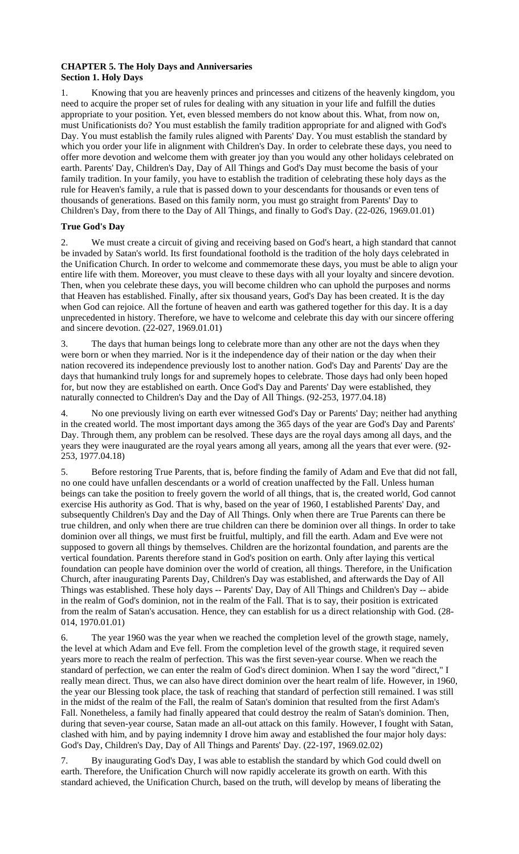## **CHAPTER 5. The Holy Days and Anniversaries Section 1. Holy Days**

1. Knowing that you are heavenly princes and princesses and citizens of the heavenly kingdom, you need to acquire the proper set of rules for dealing with any situation in your life and fulfill the duties appropriate to your position. Yet, even blessed members do not know about this. What, from now on, must Unificationists do? You must establish the family tradition appropriate for and aligned with God's Day. You must establish the family rules aligned with Parents' Day. You must establish the standard by which you order your life in alignment with Children's Day. In order to celebrate these days, you need to offer more devotion and welcome them with greater joy than you would any other holidays celebrated on earth. Parents' Day, Children's Day, Day of All Things and God's Day must become the basis of your family tradition. In your family, you have to establish the tradition of celebrating these holy days as the rule for Heaven's family, a rule that is passed down to your descendants for thousands or even tens of thousands of generations. Based on this family norm, you must go straight from Parents' Day to Children's Day, from there to the Day of All Things, and finally to God's Day. (22-026, 1969.01.01)

# **True God's Day**

2. We must create a circuit of giving and receiving based on God's heart, a high standard that cannot be invaded by Satan's world. Its first foundational foothold is the tradition of the holy days celebrated in the Unification Church. In order to welcome and commemorate these days, you must be able to align your entire life with them. Moreover, you must cleave to these days with all your loyalty and sincere devotion. Then, when you celebrate these days, you will become children who can uphold the purposes and norms that Heaven has established. Finally, after six thousand years, God's Day has been created. It is the day when God can rejoice. All the fortune of heaven and earth was gathered together for this day. It is a day unprecedented in history. Therefore, we have to welcome and celebrate this day with our sincere offering and sincere devotion. (22-027, 1969.01.01)

3. The days that human beings long to celebrate more than any other are not the days when they were born or when they married. Nor is it the independence day of their nation or the day when their nation recovered its independence previously lost to another nation. God's Day and Parents' Day are the days that humankind truly longs for and supremely hopes to celebrate. Those days had only been hoped for, but now they are established on earth. Once God's Day and Parents' Day were established, they naturally connected to Children's Day and the Day of All Things. (92-253, 1977.04.18)

4. No one previously living on earth ever witnessed God's Day or Parents' Day; neither had anything in the created world. The most important days among the 365 days of the year are God's Day and Parents' Day. Through them, any problem can be resolved. These days are the royal days among all days, and the years they were inaugurated are the royal years among all years, among all the years that ever were. (92- 253, 1977.04.18)

5. Before restoring True Parents, that is, before finding the family of Adam and Eve that did not fall, no one could have unfallen descendants or a world of creation unaffected by the Fall. Unless human beings can take the position to freely govern the world of all things, that is, the created world, God cannot exercise His authority as God. That is why, based on the year of 1960, I established Parents' Day, and subsequently Children's Day and the Day of All Things. Only when there are True Parents can there be true children, and only when there are true children can there be dominion over all things. In order to take dominion over all things, we must first be fruitful, multiply, and fill the earth. Adam and Eve were not supposed to govern all things by themselves. Children are the horizontal foundation, and parents are the vertical foundation. Parents therefore stand in God's position on earth. Only after laying this vertical foundation can people have dominion over the world of creation, all things. Therefore, in the Unification Church, after inaugurating Parents Day, Children's Day was established, and afterwards the Day of All Things was established. These holy days -- Parents' Day, Day of All Things and Children's Day -- abide in the realm of God's dominion, not in the realm of the Fall. That is to say, their position is extricated from the realm of Satan's accusation. Hence, they can establish for us a direct relationship with God. (28- 014, 1970.01.01)

6. The year 1960 was the year when we reached the completion level of the growth stage, namely, the level at which Adam and Eve fell. From the completion level of the growth stage, it required seven years more to reach the realm of perfection. This was the first seven-year course. When we reach the standard of perfection, we can enter the realm of God's direct dominion. When I say the word "direct," I really mean direct. Thus, we can also have direct dominion over the heart realm of life. However, in 1960, the year our Blessing took place, the task of reaching that standard of perfection still remained. I was still in the midst of the realm of the Fall, the realm of Satan's dominion that resulted from the first Adam's Fall. Nonetheless, a family had finally appeared that could destroy the realm of Satan's dominion. Then, during that seven-year course, Satan made an all-out attack on this family. However, I fought with Satan, clashed with him, and by paying indemnity I drove him away and established the four major holy days: God's Day, Children's Day, Day of All Things and Parents' Day. (22-197, 1969.02.02)

7. By inaugurating God's Day, I was able to establish the standard by which God could dwell on earth. Therefore, the Unification Church will now rapidly accelerate its growth on earth. With this standard achieved, the Unification Church, based on the truth, will develop by means of liberating the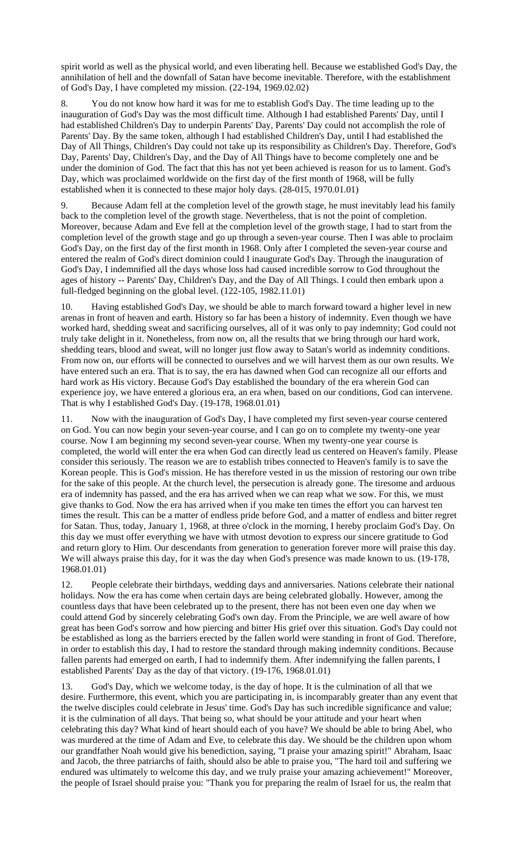spirit world as well as the physical world, and even liberating hell. Because we established God's Day, the annihilation of hell and the downfall of Satan have become inevitable. Therefore, with the establishment of God's Day, I have completed my mission. (22-194, 1969.02.02)

8. You do not know how hard it was for me to establish God's Day. The time leading up to the inauguration of God's Day was the most difficult time. Although I had established Parents' Day, until I had established Children's Day to underpin Parents' Day, Parents' Day could not accomplish the role of Parents' Day. By the same token, although I had established Children's Day, until I had established the Day of All Things, Children's Day could not take up its responsibility as Children's Day. Therefore, God's Day, Parents' Day, Children's Day, and the Day of All Things have to become completely one and be under the dominion of God. The fact that this has not yet been achieved is reason for us to lament. God's Day, which was proclaimed worldwide on the first day of the first month of 1968, will be fully established when it is connected to these major holy days. (28-015, 1970.01.01)

9. Because Adam fell at the completion level of the growth stage, he must inevitably lead his family back to the completion level of the growth stage. Nevertheless, that is not the point of completion. Moreover, because Adam and Eve fell at the completion level of the growth stage, I had to start from the completion level of the growth stage and go up through a seven-year course. Then I was able to proclaim God's Day, on the first day of the first month in 1968. Only after I completed the seven-year course and entered the realm of God's direct dominion could I inaugurate God's Day. Through the inauguration of God's Day, I indemnified all the days whose loss had caused incredible sorrow to God throughout the ages of history -- Parents' Day, Children's Day, and the Day of All Things. I could then embark upon a full-fledged beginning on the global level. (122-105, 1982.11.01)

10. Having established God's Day, we should be able to march forward toward a higher level in new arenas in front of heaven and earth. History so far has been a history of indemnity. Even though we have worked hard, shedding sweat and sacrificing ourselves, all of it was only to pay indemnity; God could not truly take delight in it. Nonetheless, from now on, all the results that we bring through our hard work, shedding tears, blood and sweat, will no longer just flow away to Satan's world as indemnity conditions. From now on, our efforts will be connected to ourselves and we will harvest them as our own results. We have entered such an era. That is to say, the era has dawned when God can recognize all our efforts and hard work as His victory. Because God's Day established the boundary of the era wherein God can experience joy, we have entered a glorious era, an era when, based on our conditions, God can intervene. That is why I established God's Day. (19-178, 1968.01.01)

11. Now with the inauguration of God's Day, I have completed my first seven-year course centered on God. You can now begin your seven-year course, and I can go on to complete my twenty-one year course. Now I am beginning my second seven-year course. When my twenty-one year course is completed, the world will enter the era when God can directly lead us centered on Heaven's family. Please consider this seriously. The reason we are to establish tribes connected to Heaven's family is to save the Korean people. This is God's mission. He has therefore vested in us the mission of restoring our own tribe for the sake of this people. At the church level, the persecution is already gone. The tiresome and arduous era of indemnity has passed, and the era has arrived when we can reap what we sow. For this, we must give thanks to God. Now the era has arrived when if you make ten times the effort you can harvest ten times the result. This can be a matter of endless pride before God, and a matter of endless and bitter regret for Satan. Thus, today, January 1, 1968, at three o'clock in the morning, I hereby proclaim God's Day. On this day we must offer everything we have with utmost devotion to express our sincere gratitude to God and return glory to Him. Our descendants from generation to generation forever more will praise this day. We will always praise this day, for it was the day when God's presence was made known to us. (19-178, 1968.01.01)

12. People celebrate their birthdays, wedding days and anniversaries. Nations celebrate their national holidays. Now the era has come when certain days are being celebrated globally. However, among the countless days that have been celebrated up to the present, there has not been even one day when we could attend God by sincerely celebrating God's own day. From the Principle, we are well aware of how great has been God's sorrow and how piercing and bitter His grief over this situation. God's Day could not be established as long as the barriers erected by the fallen world were standing in front of God. Therefore, in order to establish this day, I had to restore the standard through making indemnity conditions. Because fallen parents had emerged on earth, I had to indemnify them. After indemnifying the fallen parents, I established Parents' Day as the day of that victory. (19-176, 1968.01.01)

13. God's Day, which we welcome today, is the day of hope. It is the culmination of all that we desire. Furthermore, this event, which you are participating in, is incomparably greater than any event that the twelve disciples could celebrate in Jesus' time. God's Day has such incredible significance and value; it is the culmination of all days. That being so, what should be your attitude and your heart when celebrating this day? What kind of heart should each of you have? We should be able to bring Abel, who was murdered at the time of Adam and Eve, to celebrate this day. We should be the children upon whom our grandfather Noah would give his benediction, saying, "I praise your amazing spirit!" Abraham, Isaac and Jacob, the three patriarchs of faith, should also be able to praise you, "The hard toil and suffering we endured was ultimately to welcome this day, and we truly praise your amazing achievement!" Moreover, the people of Israel should praise you: "Thank you for preparing the realm of Israel for us, the realm that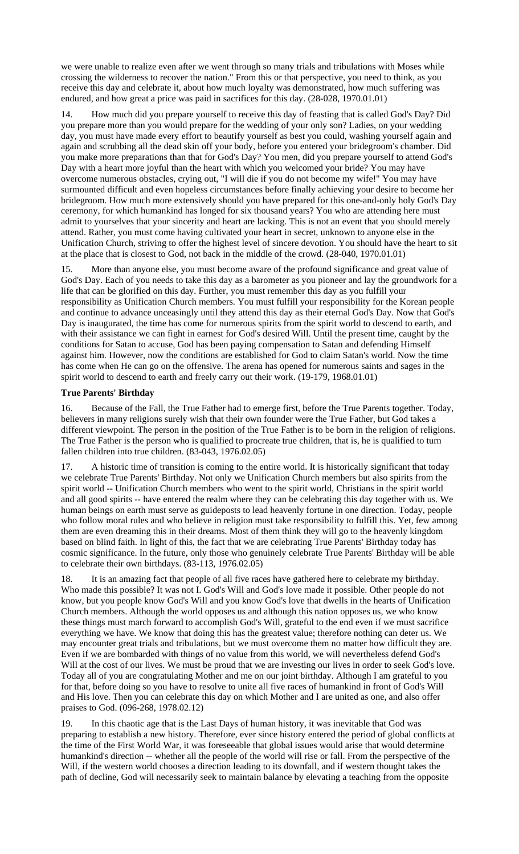we were unable to realize even after we went through so many trials and tribulations with Moses while crossing the wilderness to recover the nation." From this or that perspective, you need to think, as you receive this day and celebrate it, about how much loyalty was demonstrated, how much suffering was endured, and how great a price was paid in sacrifices for this day. (28-028, 1970.01.01)

14. How much did you prepare yourself to receive this day of feasting that is called God's Day? Did you prepare more than you would prepare for the wedding of your only son? Ladies, on your wedding day, you must have made every effort to beautify yourself as best you could, washing yourself again and again and scrubbing all the dead skin off your body, before you entered your bridegroom's chamber. Did you make more preparations than that for God's Day? You men, did you prepare yourself to attend God's Day with a heart more joyful than the heart with which you welcomed your bride? You may have overcome numerous obstacles, crying out, "I will die if you do not become my wife!" You may have surmounted difficult and even hopeless circumstances before finally achieving your desire to become her bridegroom. How much more extensively should you have prepared for this one-and-only holy God's Day ceremony, for which humankind has longed for six thousand years? You who are attending here must admit to yourselves that your sincerity and heart are lacking. This is not an event that you should merely attend. Rather, you must come having cultivated your heart in secret, unknown to anyone else in the Unification Church, striving to offer the highest level of sincere devotion. You should have the heart to sit at the place that is closest to God, not back in the middle of the crowd. (28-040, 1970.01.01)

15. More than anyone else, you must become aware of the profound significance and great value of God's Day. Each of you needs to take this day as a barometer as you pioneer and lay the groundwork for a life that can be glorified on this day. Further, you must remember this day as you fulfill your responsibility as Unification Church members. You must fulfill your responsibility for the Korean people and continue to advance unceasingly until they attend this day as their eternal God's Day. Now that God's Day is inaugurated, the time has come for numerous spirits from the spirit world to descend to earth, and with their assistance we can fight in earnest for God's desired Will. Until the present time, caught by the conditions for Satan to accuse, God has been paying compensation to Satan and defending Himself against him. However, now the conditions are established for God to claim Satan's world. Now the time has come when He can go on the offensive. The arena has opened for numerous saints and sages in the spirit world to descend to earth and freely carry out their work. (19-179, 1968.01.01)

# **True Parents' Birthday**

16. Because of the Fall, the True Father had to emerge first, before the True Parents together. Today, believers in many religions surely wish that their own founder were the True Father, but God takes a different viewpoint. The person in the position of the True Father is to be born in the religion of religions. The True Father is the person who is qualified to procreate true children, that is, he is qualified to turn fallen children into true children. (83-043, 1976.02.05)

17. A historic time of transition is coming to the entire world. It is historically significant that today we celebrate True Parents' Birthday. Not only we Unification Church members but also spirits from the spirit world -- Unification Church members who went to the spirit world, Christians in the spirit world and all good spirits -- have entered the realm where they can be celebrating this day together with us. We human beings on earth must serve as guideposts to lead heavenly fortune in one direction. Today, people who follow moral rules and who believe in religion must take responsibility to fulfill this. Yet, few among them are even dreaming this in their dreams. Most of them think they will go to the heavenly kingdom based on blind faith. In light of this, the fact that we are celebrating True Parents' Birthday today has cosmic significance. In the future, only those who genuinely celebrate True Parents' Birthday will be able to celebrate their own birthdays. (83-113, 1976.02.05)

18. It is an amazing fact that people of all five races have gathered here to celebrate my birthday. Who made this possible? It was not I. God's Will and God's love made it possible. Other people do not know, but you people know God's Will and you know God's love that dwells in the hearts of Unification Church members. Although the world opposes us and although this nation opposes us, we who know these things must march forward to accomplish God's Will, grateful to the end even if we must sacrifice everything we have. We know that doing this has the greatest value; therefore nothing can deter us. We may encounter great trials and tribulations, but we must overcome them no matter how difficult they are. Even if we are bombarded with things of no value from this world, we will nevertheless defend God's Will at the cost of our lives. We must be proud that we are investing our lives in order to seek God's love. Today all of you are congratulating Mother and me on our joint birthday. Although I am grateful to you for that, before doing so you have to resolve to unite all five races of humankind in front of God's Will and His love. Then you can celebrate this day on which Mother and I are united as one, and also offer praises to God. (096-268, 1978.02.12)

19. In this chaotic age that is the Last Days of human history, it was inevitable that God was preparing to establish a new history. Therefore, ever since history entered the period of global conflicts at the time of the First World War, it was foreseeable that global issues would arise that would determine humankind's direction -- whether all the people of the world will rise or fall. From the perspective of the Will, if the western world chooses a direction leading to its downfall, and if western thought takes the path of decline, God will necessarily seek to maintain balance by elevating a teaching from the opposite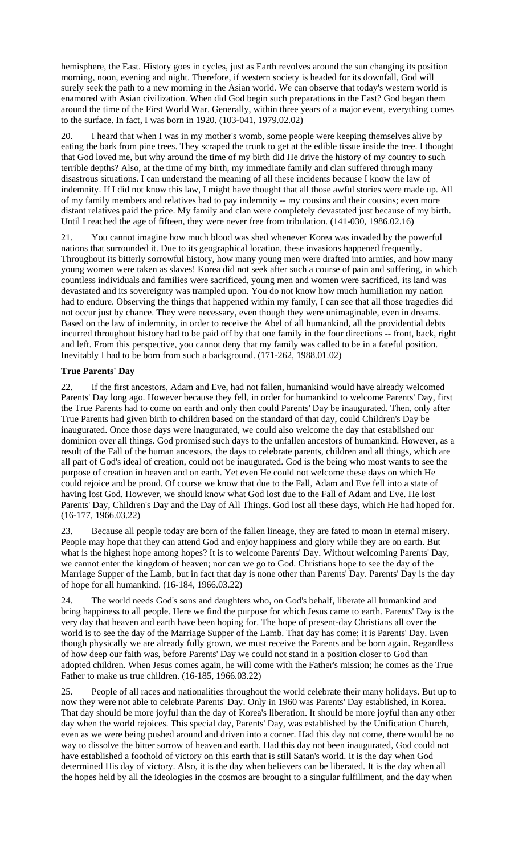hemisphere, the East. History goes in cycles, just as Earth revolves around the sun changing its position morning, noon, evening and night. Therefore, if western society is headed for its downfall, God will surely seek the path to a new morning in the Asian world. We can observe that today's western world is enamored with Asian civilization. When did God begin such preparations in the East? God began them around the time of the First World War. Generally, within three years of a major event, everything comes to the surface. In fact, I was born in 1920. (103-041, 1979.02.02)

20. I heard that when I was in my mother's womb, some people were keeping themselves alive by eating the bark from pine trees. They scraped the trunk to get at the edible tissue inside the tree. I thought that God loved me, but why around the time of my birth did He drive the history of my country to such terrible depths? Also, at the time of my birth, my immediate family and clan suffered through many disastrous situations. I can understand the meaning of all these incidents because I know the law of indemnity. If I did not know this law, I might have thought that all those awful stories were made up. All of my family members and relatives had to pay indemnity -- my cousins and their cousins; even more distant relatives paid the price. My family and clan were completely devastated just because of my birth. Until I reached the age of fifteen, they were never free from tribulation. (141-030, 1986.02.16)

21. You cannot imagine how much blood was shed whenever Korea was invaded by the powerful nations that surrounded it. Due to its geographical location, these invasions happened frequently. Throughout its bitterly sorrowful history, how many young men were drafted into armies, and how many young women were taken as slaves! Korea did not seek after such a course of pain and suffering, in which countless individuals and families were sacrificed, young men and women were sacrificed, its land was devastated and its sovereignty was trampled upon. You do not know how much humiliation my nation had to endure. Observing the things that happened within my family, I can see that all those tragedies did not occur just by chance. They were necessary, even though they were unimaginable, even in dreams. Based on the law of indemnity, in order to receive the Abel of all humankind, all the providential debts incurred throughout history had to be paid off by that one family in the four directions -- front, back, right and left. From this perspective, you cannot deny that my family was called to be in a fateful position. Inevitably I had to be born from such a background. (171-262, 1988.01.02)

### **True Parents' Day**

If the first ancestors, Adam and Eve, had not fallen, humankind would have already welcomed Parents' Day long ago. However because they fell, in order for humankind to welcome Parents' Day, first the True Parents had to come on earth and only then could Parents' Day be inaugurated. Then, only after True Parents had given birth to children based on the standard of that day, could Children's Day be inaugurated. Once those days were inaugurated, we could also welcome the day that established our dominion over all things. God promised such days to the unfallen ancestors of humankind. However, as a result of the Fall of the human ancestors, the days to celebrate parents, children and all things, which are all part of God's ideal of creation, could not be inaugurated. God is the being who most wants to see the purpose of creation in heaven and on earth. Yet even He could not welcome these days on which He could rejoice and be proud. Of course we know that due to the Fall, Adam and Eve fell into a state of having lost God. However, we should know what God lost due to the Fall of Adam and Eve. He lost Parents' Day, Children's Day and the Day of All Things. God lost all these days, which He had hoped for. (16-177, 1966.03.22)

23. Because all people today are born of the fallen lineage, they are fated to moan in eternal misery. People may hope that they can attend God and enjoy happiness and glory while they are on earth. But what is the highest hope among hopes? It is to welcome Parents' Day. Without welcoming Parents' Day, we cannot enter the kingdom of heaven; nor can we go to God. Christians hope to see the day of the Marriage Supper of the Lamb, but in fact that day is none other than Parents' Day. Parents' Day is the day of hope for all humankind. (16-184, 1966.03.22)

24. The world needs God's sons and daughters who, on God's behalf, liberate all humankind and bring happiness to all people. Here we find the purpose for which Jesus came to earth. Parents' Day is the very day that heaven and earth have been hoping for. The hope of present-day Christians all over the world is to see the day of the Marriage Supper of the Lamb. That day has come; it is Parents' Day. Even though physically we are already fully grown, we must receive the Parents and be born again. Regardless of how deep our faith was, before Parents' Day we could not stand in a position closer to God than adopted children. When Jesus comes again, he will come with the Father's mission; he comes as the True Father to make us true children. (16-185, 1966.03.22)

25. People of all races and nationalities throughout the world celebrate their many holidays. But up to now they were not able to celebrate Parents' Day. Only in 1960 was Parents' Day established, in Korea. That day should be more joyful than the day of Korea's liberation. It should be more joyful than any other day when the world rejoices. This special day, Parents' Day, was established by the Unification Church, even as we were being pushed around and driven into a corner. Had this day not come, there would be no way to dissolve the bitter sorrow of heaven and earth. Had this day not been inaugurated, God could not have established a foothold of victory on this earth that is still Satan's world. It is the day when God determined His day of victory. Also, it is the day when believers can be liberated. It is the day when all the hopes held by all the ideologies in the cosmos are brought to a singular fulfillment, and the day when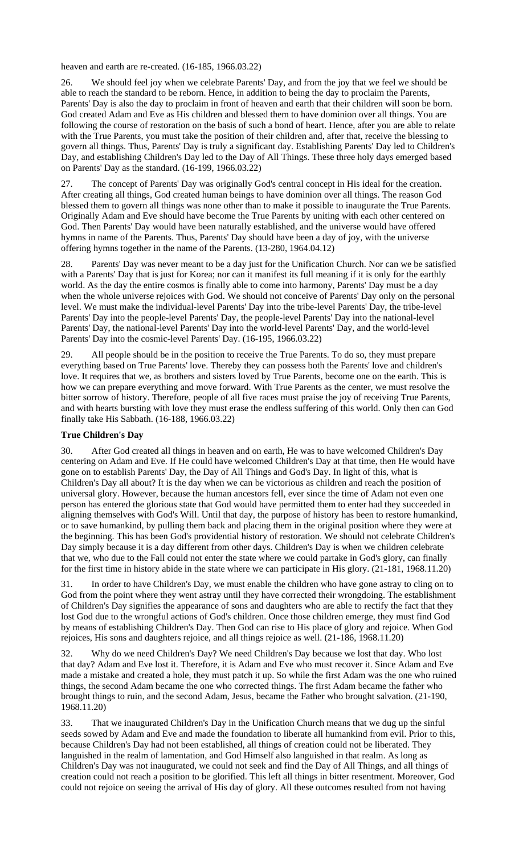heaven and earth are re-created. (16-185, 1966.03.22)

26. We should feel joy when we celebrate Parents' Day, and from the joy that we feel we should be able to reach the standard to be reborn. Hence, in addition to being the day to proclaim the Parents, Parents' Day is also the day to proclaim in front of heaven and earth that their children will soon be born. God created Adam and Eve as His children and blessed them to have dominion over all things. You are following the course of restoration on the basis of such a bond of heart. Hence, after you are able to relate with the True Parents, you must take the position of their children and, after that, receive the blessing to govern all things. Thus, Parents' Day is truly a significant day. Establishing Parents' Day led to Children's Day, and establishing Children's Day led to the Day of All Things. These three holy days emerged based on Parents' Day as the standard. (16-199, 1966.03.22)

27. The concept of Parents' Day was originally God's central concept in His ideal for the creation. After creating all things, God created human beings to have dominion over all things. The reason God blessed them to govern all things was none other than to make it possible to inaugurate the True Parents. Originally Adam and Eve should have become the True Parents by uniting with each other centered on God. Then Parents' Day would have been naturally established, and the universe would have offered hymns in name of the Parents. Thus, Parents' Day should have been a day of joy, with the universe offering hymns together in the name of the Parents. (13-280, 1964.04.12)

28. Parents' Day was never meant to be a day just for the Unification Church. Nor can we be satisfied with a Parents' Day that is just for Korea; nor can it manifest its full meaning if it is only for the earthly world. As the day the entire cosmos is finally able to come into harmony, Parents' Day must be a day when the whole universe rejoices with God. We should not conceive of Parents' Day only on the personal level. We must make the individual-level Parents' Day into the tribe-level Parents' Day, the tribe-level Parents' Day into the people-level Parents' Day, the people-level Parents' Day into the national-level Parents' Day, the national-level Parents' Day into the world-level Parents' Day, and the world-level Parents' Day into the cosmic-level Parents' Day. (16-195, 1966.03.22)

29. All people should be in the position to receive the True Parents. To do so, they must prepare everything based on True Parents' love. Thereby they can possess both the Parents' love and children's love. It requires that we, as brothers and sisters loved by True Parents, become one on the earth. This is how we can prepare everything and move forward. With True Parents as the center, we must resolve the bitter sorrow of history. Therefore, people of all five races must praise the joy of receiving True Parents, and with hearts bursting with love they must erase the endless suffering of this world. Only then can God finally take His Sabbath. (16-188, 1966.03.22)

#### **True Children's Day**

30. After God created all things in heaven and on earth, He was to have welcomed Children's Day centering on Adam and Eve. If He could have welcomed Children's Day at that time, then He would have gone on to establish Parents' Day, the Day of All Things and God's Day. In light of this, what is Children's Day all about? It is the day when we can be victorious as children and reach the position of universal glory. However, because the human ancestors fell, ever since the time of Adam not even one person has entered the glorious state that God would have permitted them to enter had they succeeded in aligning themselves with God's Will. Until that day, the purpose of history has been to restore humankind, or to save humankind, by pulling them back and placing them in the original position where they were at the beginning. This has been God's providential history of restoration. We should not celebrate Children's Day simply because it is a day different from other days. Children's Day is when we children celebrate that we, who due to the Fall could not enter the state where we could partake in God's glory, can finally for the first time in history abide in the state where we can participate in His glory. (21-181, 1968.11.20)

31. In order to have Children's Day, we must enable the children who have gone astray to cling on to God from the point where they went astray until they have corrected their wrongdoing. The establishment of Children's Day signifies the appearance of sons and daughters who are able to rectify the fact that they lost God due to the wrongful actions of God's children. Once those children emerge, they must find God by means of establishing Children's Day. Then God can rise to His place of glory and rejoice. When God rejoices, His sons and daughters rejoice, and all things rejoice as well. (21-186, 1968.11.20)

32. Why do we need Children's Day? We need Children's Day because we lost that day. Who lost that day? Adam and Eve lost it. Therefore, it is Adam and Eve who must recover it. Since Adam and Eve made a mistake and created a hole, they must patch it up. So while the first Adam was the one who ruined things, the second Adam became the one who corrected things. The first Adam became the father who brought things to ruin, and the second Adam, Jesus, became the Father who brought salvation. (21-190, 1968.11.20)

33. That we inaugurated Children's Day in the Unification Church means that we dug up the sinful seeds sowed by Adam and Eve and made the foundation to liberate all humankind from evil. Prior to this, because Children's Day had not been established, all things of creation could not be liberated. They languished in the realm of lamentation, and God Himself also languished in that realm. As long as Children's Day was not inaugurated, we could not seek and find the Day of All Things, and all things of creation could not reach a position to be glorified. This left all things in bitter resentment. Moreover, God could not rejoice on seeing the arrival of His day of glory. All these outcomes resulted from not having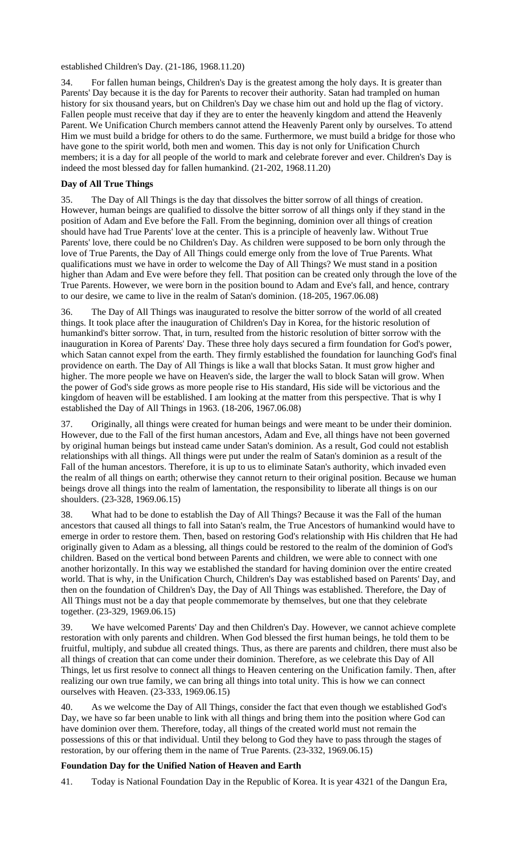established Children's Day. (21-186, 1968.11.20)

34. For fallen human beings, Children's Day is the greatest among the holy days. It is greater than Parents' Day because it is the day for Parents to recover their authority. Satan had trampled on human history for six thousand years, but on Children's Day we chase him out and hold up the flag of victory. Fallen people must receive that day if they are to enter the heavenly kingdom and attend the Heavenly Parent. We Unification Church members cannot attend the Heavenly Parent only by ourselves. To attend Him we must build a bridge for others to do the same. Furthermore, we must build a bridge for those who have gone to the spirit world, both men and women. This day is not only for Unification Church members; it is a day for all people of the world to mark and celebrate forever and ever. Children's Day is indeed the most blessed day for fallen humankind. (21-202, 1968.11.20)

# **Day of All True Things**

The Day of All Things is the day that dissolves the bitter sorrow of all things of creation. However, human beings are qualified to dissolve the bitter sorrow of all things only if they stand in the position of Adam and Eve before the Fall. From the beginning, dominion over all things of creation should have had True Parents' love at the center. This is a principle of heavenly law. Without True Parents' love, there could be no Children's Day. As children were supposed to be born only through the love of True Parents, the Day of All Things could emerge only from the love of True Parents. What qualifications must we have in order to welcome the Day of All Things? We must stand in a position higher than Adam and Eve were before they fell. That position can be created only through the love of the True Parents. However, we were born in the position bound to Adam and Eve's fall, and hence, contrary to our desire, we came to live in the realm of Satan's dominion. (18-205, 1967.06.08)

36. The Day of All Things was inaugurated to resolve the bitter sorrow of the world of all created things. It took place after the inauguration of Children's Day in Korea, for the historic resolution of humankind's bitter sorrow. That, in turn, resulted from the historic resolution of bitter sorrow with the inauguration in Korea of Parents' Day. These three holy days secured a firm foundation for God's power, which Satan cannot expel from the earth. They firmly established the foundation for launching God's final providence on earth. The Day of All Things is like a wall that blocks Satan. It must grow higher and higher. The more people we have on Heaven's side, the larger the wall to block Satan will grow. When the power of God's side grows as more people rise to His standard, His side will be victorious and the kingdom of heaven will be established. I am looking at the matter from this perspective. That is why I established the Day of All Things in 1963. (18-206, 1967.06.08)

37. Originally, all things were created for human beings and were meant to be under their dominion. However, due to the Fall of the first human ancestors, Adam and Eve, all things have not been governed by original human beings but instead came under Satan's dominion. As a result, God could not establish relationships with all things. All things were put under the realm of Satan's dominion as a result of the Fall of the human ancestors. Therefore, it is up to us to eliminate Satan's authority, which invaded even the realm of all things on earth; otherwise they cannot return to their original position. Because we human beings drove all things into the realm of lamentation, the responsibility to liberate all things is on our shoulders. (23-328, 1969.06.15)

38. What had to be done to establish the Day of All Things? Because it was the Fall of the human ancestors that caused all things to fall into Satan's realm, the True Ancestors of humankind would have to emerge in order to restore them. Then, based on restoring God's relationship with His children that He had originally given to Adam as a blessing, all things could be restored to the realm of the dominion of God's children. Based on the vertical bond between Parents and children, we were able to connect with one another horizontally. In this way we established the standard for having dominion over the entire created world. That is why, in the Unification Church, Children's Day was established based on Parents' Day, and then on the foundation of Children's Day, the Day of All Things was established. Therefore, the Day of All Things must not be a day that people commemorate by themselves, but one that they celebrate together. (23-329, 1969.06.15)

39. We have welcomed Parents' Day and then Children's Day. However, we cannot achieve complete restoration with only parents and children. When God blessed the first human beings, he told them to be fruitful, multiply, and subdue all created things. Thus, as there are parents and children, there must also be all things of creation that can come under their dominion. Therefore, as we celebrate this Day of All Things, let us first resolve to connect all things to Heaven centering on the Unification family. Then, after realizing our own true family, we can bring all things into total unity. This is how we can connect ourselves with Heaven. (23-333, 1969.06.15)

40. As we welcome the Day of All Things, consider the fact that even though we established God's Day, we have so far been unable to link with all things and bring them into the position where God can have dominion over them. Therefore, today, all things of the created world must not remain the possessions of this or that individual. Until they belong to God they have to pass through the stages of restoration, by our offering them in the name of True Parents. (23-332, 1969.06.15)

### **Foundation Day for the Unified Nation of Heaven and Earth**

41. Today is National Foundation Day in the Republic of Korea. It is year 4321 of the Dangun Era,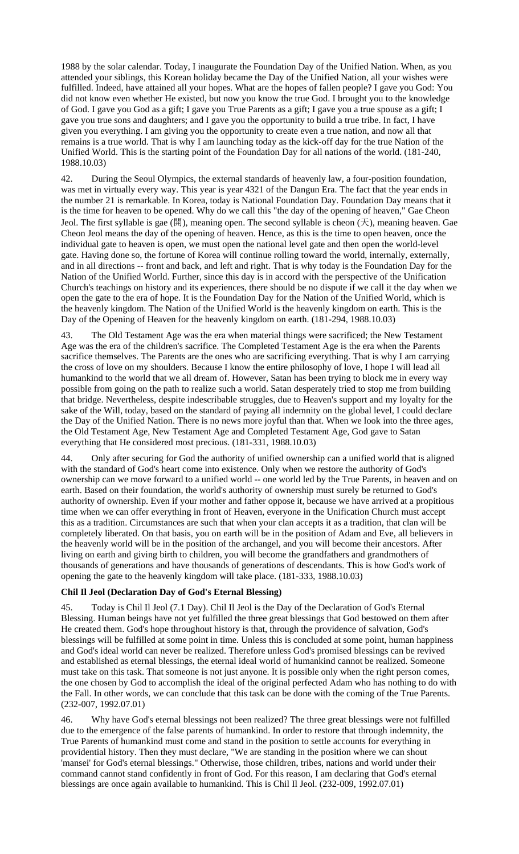1988 by the solar calendar. Today, I inaugurate the Foundation Day of the Unified Nation. When, as you attended your siblings, this Korean holiday became the Day of the Unified Nation, all your wishes were fulfilled. Indeed, have attained all your hopes. What are the hopes of fallen people? I gave you God: You did not know even whether He existed, but now you know the true God. I brought you to the knowledge of God. I gave you God as a gift; I gave you True Parents as a gift; I gave you a true spouse as a gift; I gave you true sons and daughters; and I gave you the opportunity to build a true tribe. In fact, I have given you everything. I am giving you the opportunity to create even a true nation, and now all that remains is a true world. That is why I am launching today as the kick-off day for the true Nation of the Unified World. This is the starting point of the Foundation Day for all nations of the world. (181-240, 1988.10.03)

42. During the Seoul Olympics, the external standards of heavenly law, a four-position foundation, was met in virtually every way. This year is year 4321 of the Dangun Era. The fact that the year ends in the number 21 is remarkable. In Korea, today is National Foundation Day. Foundation Day means that it is the time for heaven to be opened. Why do we call this "the day of the opening of heaven," Gae Cheon Jeol. The first syllable is gae (開), meaning open. The second syllable is cheon (天), meaning heaven. Gae Cheon Jeol means the day of the opening of heaven. Hence, as this is the time to open heaven, once the individual gate to heaven is open, we must open the national level gate and then open the world-level gate. Having done so, the fortune of Korea will continue rolling toward the world, internally, externally, and in all directions -- front and back, and left and right. That is why today is the Foundation Day for the Nation of the Unified World. Further, since this day is in accord with the perspective of the Unification Church's teachings on history and its experiences, there should be no dispute if we call it the day when we open the gate to the era of hope. It is the Foundation Day for the Nation of the Unified World, which is the heavenly kingdom. The Nation of the Unified World is the heavenly kingdom on earth. This is the Day of the Opening of Heaven for the heavenly kingdom on earth. (181-294, 1988.10.03)

The Old Testament Age was the era when material things were sacrificed; the New Testament Age was the era of the children's sacrifice. The Completed Testament Age is the era when the Parents sacrifice themselves. The Parents are the ones who are sacrificing everything. That is why I am carrying the cross of love on my shoulders. Because I know the entire philosophy of love, I hope I will lead all humankind to the world that we all dream of. However, Satan has been trying to block me in every way possible from going on the path to realize such a world. Satan desperately tried to stop me from building that bridge. Nevertheless, despite indescribable struggles, due to Heaven's support and my loyalty for the sake of the Will, today, based on the standard of paying all indemnity on the global level, I could declare the Day of the Unified Nation. There is no news more joyful than that. When we look into the three ages, the Old Testament Age, New Testament Age and Completed Testament Age, God gave to Satan everything that He considered most precious. (181-331, 1988.10.03)

44. Only after securing for God the authority of unified ownership can a unified world that is aligned with the standard of God's heart come into existence. Only when we restore the authority of God's ownership can we move forward to a unified world -- one world led by the True Parents, in heaven and on earth. Based on their foundation, the world's authority of ownership must surely be returned to God's authority of ownership. Even if your mother and father oppose it, because we have arrived at a propitious time when we can offer everything in front of Heaven, everyone in the Unification Church must accept this as a tradition. Circumstances are such that when your clan accepts it as a tradition, that clan will be completely liberated. On that basis, you on earth will be in the position of Adam and Eve, all believers in the heavenly world will be in the position of the archangel, and you will become their ancestors. After living on earth and giving birth to children, you will become the grandfathers and grandmothers of thousands of generations and have thousands of generations of descendants. This is how God's work of opening the gate to the heavenly kingdom will take place. (181-333, 1988.10.03)

# **Chil Il Jeol (Declaration Day of God's Eternal Blessing)**

45. Today is Chil Il Jeol (7.1 Day). Chil Il Jeol is the Day of the Declaration of God's Eternal Blessing. Human beings have not yet fulfilled the three great blessings that God bestowed on them after He created them. God's hope throughout history is that, through the providence of salvation, God's blessings will be fulfilled at some point in time. Unless this is concluded at some point, human happiness and God's ideal world can never be realized. Therefore unless God's promised blessings can be revived and established as eternal blessings, the eternal ideal world of humankind cannot be realized. Someone must take on this task. That someone is not just anyone. It is possible only when the right person comes, the one chosen by God to accomplish the ideal of the original perfected Adam who has nothing to do with the Fall. In other words, we can conclude that this task can be done with the coming of the True Parents. (232-007, 1992.07.01)

46. Why have God's eternal blessings not been realized? The three great blessings were not fulfilled due to the emergence of the false parents of humankind. In order to restore that through indemnity, the True Parents of humankind must come and stand in the position to settle accounts for everything in providential history. Then they must declare, "We are standing in the position where we can shout 'mansei' for God's eternal blessings." Otherwise, those children, tribes, nations and world under their command cannot stand confidently in front of God. For this reason, I am declaring that God's eternal blessings are once again available to humankind. This is Chil Il Jeol. (232-009, 1992.07.01)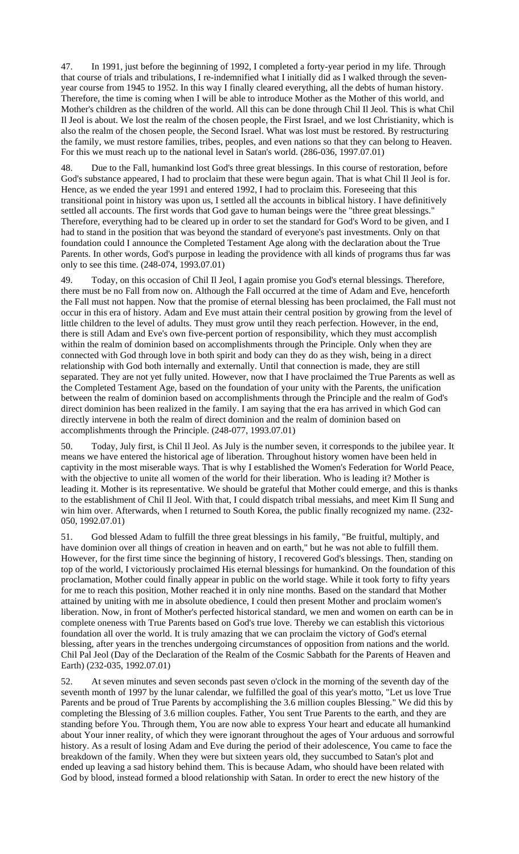47. In 1991, just before the beginning of 1992, I completed a forty-year period in my life. Through that course of trials and tribulations, I re-indemnified what I initially did as I walked through the sevenyear course from 1945 to 1952. In this way I finally cleared everything, all the debts of human history. Therefore, the time is coming when I will be able to introduce Mother as the Mother of this world, and Mother's children as the children of the world. All this can be done through Chil Il Jeol. This is what Chil Il Jeol is about. We lost the realm of the chosen people, the First Israel, and we lost Christianity, which is also the realm of the chosen people, the Second Israel. What was lost must be restored. By restructuring the family, we must restore families, tribes, peoples, and even nations so that they can belong to Heaven. For this we must reach up to the national level in Satan's world. (286-036, 1997.07.01)

48. Due to the Fall, humankind lost God's three great blessings. In this course of restoration, before God's substance appeared, I had to proclaim that these were begun again. That is what Chil Il Jeol is for. Hence, as we ended the year 1991 and entered 1992, I had to proclaim this. Foreseeing that this transitional point in history was upon us, I settled all the accounts in biblical history. I have definitively settled all accounts. The first words that God gave to human beings were the "three great blessings." Therefore, everything had to be cleared up in order to set the standard for God's Word to be given, and I had to stand in the position that was beyond the standard of everyone's past investments. Only on that foundation could I announce the Completed Testament Age along with the declaration about the True Parents. In other words, God's purpose in leading the providence with all kinds of programs thus far was only to see this time. (248-074, 1993.07.01)

49. Today, on this occasion of Chil Il Jeol, I again promise you God's eternal blessings. Therefore, there must be no Fall from now on. Although the Fall occurred at the time of Adam and Eve, henceforth the Fall must not happen. Now that the promise of eternal blessing has been proclaimed, the Fall must not occur in this era of history. Adam and Eve must attain their central position by growing from the level of little children to the level of adults. They must grow until they reach perfection. However, in the end, there is still Adam and Eve's own five-percent portion of responsibility, which they must accomplish within the realm of dominion based on accomplishments through the Principle. Only when they are connected with God through love in both spirit and body can they do as they wish, being in a direct relationship with God both internally and externally. Until that connection is made, they are still separated. They are not yet fully united. However, now that I have proclaimed the True Parents as well as the Completed Testament Age, based on the foundation of your unity with the Parents, the unification between the realm of dominion based on accomplishments through the Principle and the realm of God's direct dominion has been realized in the family. I am saying that the era has arrived in which God can directly intervene in both the realm of direct dominion and the realm of dominion based on accomplishments through the Principle. (248-077, 1993.07.01)

50. Today, July first, is Chil Il Jeol. As July is the number seven, it corresponds to the jubilee year. It means we have entered the historical age of liberation. Throughout history women have been held in captivity in the most miserable ways. That is why I established the Women's Federation for World Peace, with the objective to unite all women of the world for their liberation. Who is leading it? Mother is leading it. Mother is its representative. We should be grateful that Mother could emerge, and this is thanks to the establishment of Chil Il Jeol. With that, I could dispatch tribal messiahs, and meet Kim Il Sung and win him over. Afterwards, when I returned to South Korea, the public finally recognized my name. (232- 050, 1992.07.01)

51. God blessed Adam to fulfill the three great blessings in his family, "Be fruitful, multiply, and have dominion over all things of creation in heaven and on earth," but he was not able to fulfill them. However, for the first time since the beginning of history, I recovered God's blessings. Then, standing on top of the world, I victoriously proclaimed His eternal blessings for humankind. On the foundation of this proclamation, Mother could finally appear in public on the world stage. While it took forty to fifty years for me to reach this position, Mother reached it in only nine months. Based on the standard that Mother attained by uniting with me in absolute obedience, I could then present Mother and proclaim women's liberation. Now, in front of Mother's perfected historical standard, we men and women on earth can be in complete oneness with True Parents based on God's true love. Thereby we can establish this victorious foundation all over the world. It is truly amazing that we can proclaim the victory of God's eternal blessing, after years in the trenches undergoing circumstances of opposition from nations and the world. Chil Pal Jeol (Day of the Declaration of the Realm of the Cosmic Sabbath for the Parents of Heaven and Earth) (232-035, 1992.07.01)

52. At seven minutes and seven seconds past seven o'clock in the morning of the seventh day of the seventh month of 1997 by the lunar calendar, we fulfilled the goal of this year's motto, "Let us love True Parents and be proud of True Parents by accomplishing the 3.6 million couples Blessing." We did this by completing the Blessing of 3.6 million couples. Father, You sent True Parents to the earth, and they are standing before You. Through them, You are now able to express Your heart and educate all humankind about Your inner reality, of which they were ignorant throughout the ages of Your arduous and sorrowful history. As a result of losing Adam and Eve during the period of their adolescence, You came to face the breakdown of the family. When they were but sixteen years old, they succumbed to Satan's plot and ended up leaving a sad history behind them. This is because Adam, who should have been related with God by blood, instead formed a blood relationship with Satan. In order to erect the new history of the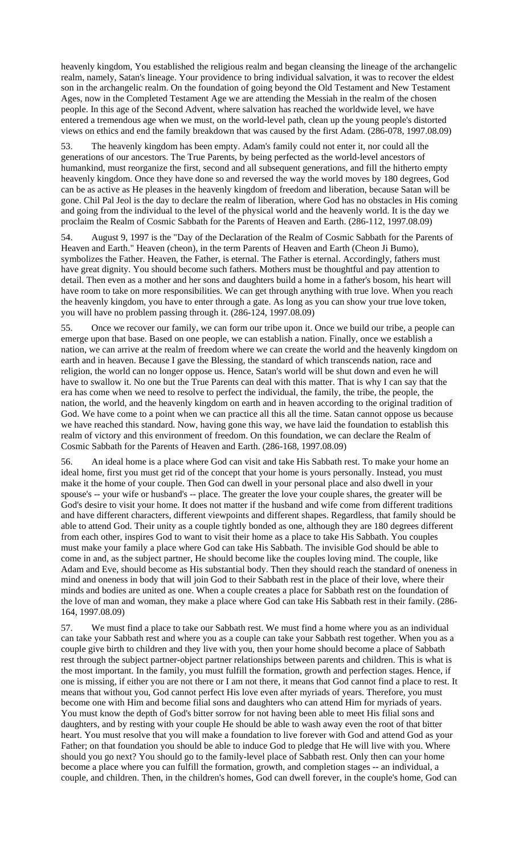heavenly kingdom, You established the religious realm and began cleansing the lineage of the archangelic realm, namely, Satan's lineage. Your providence to bring individual salvation, it was to recover the eldest son in the archangelic realm. On the foundation of going beyond the Old Testament and New Testament Ages, now in the Completed Testament Age we are attending the Messiah in the realm of the chosen people. In this age of the Second Advent, where salvation has reached the worldwide level, we have entered a tremendous age when we must, on the world-level path, clean up the young people's distorted views on ethics and end the family breakdown that was caused by the first Adam. (286-078, 1997.08.09)

53. The heavenly kingdom has been empty. Adam's family could not enter it, nor could all the generations of our ancestors. The True Parents, by being perfected as the world-level ancestors of humankind, must reorganize the first, second and all subsequent generations, and fill the hitherto empty heavenly kingdom. Once they have done so and reversed the way the world moves by 180 degrees, God can be as active as He pleases in the heavenly kingdom of freedom and liberation, because Satan will be gone. Chil Pal Jeol is the day to declare the realm of liberation, where God has no obstacles in His coming and going from the individual to the level of the physical world and the heavenly world. It is the day we proclaim the Realm of Cosmic Sabbath for the Parents of Heaven and Earth. (286-112, 1997.08.09)

54. August 9, 1997 is the "Day of the Declaration of the Realm of Cosmic Sabbath for the Parents of Heaven and Earth." Heaven (cheon), in the term Parents of Heaven and Earth (Cheon Ji Bumo), symbolizes the Father. Heaven, the Father, is eternal. The Father is eternal. Accordingly, fathers must have great dignity. You should become such fathers. Mothers must be thoughtful and pay attention to detail. Then even as a mother and her sons and daughters build a home in a father's bosom, his heart will have room to take on more responsibilities. We can get through anything with true love. When you reach the heavenly kingdom, you have to enter through a gate. As long as you can show your true love token, you will have no problem passing through it. (286-124, 1997.08.09)

55. Once we recover our family, we can form our tribe upon it. Once we build our tribe, a people can emerge upon that base. Based on one people, we can establish a nation. Finally, once we establish a nation, we can arrive at the realm of freedom where we can create the world and the heavenly kingdom on earth and in heaven. Because I gave the Blessing, the standard of which transcends nation, race and religion, the world can no longer oppose us. Hence, Satan's world will be shut down and even he will have to swallow it. No one but the True Parents can deal with this matter. That is why I can say that the era has come when we need to resolve to perfect the individual, the family, the tribe, the people, the nation, the world, and the heavenly kingdom on earth and in heaven according to the original tradition of God. We have come to a point when we can practice all this all the time. Satan cannot oppose us because we have reached this standard. Now, having gone this way, we have laid the foundation to establish this realm of victory and this environment of freedom. On this foundation, we can declare the Realm of Cosmic Sabbath for the Parents of Heaven and Earth. (286-168, 1997.08.09)

56. An ideal home is a place where God can visit and take His Sabbath rest. To make your home an ideal home, first you must get rid of the concept that your home is yours personally. Instead, you must make it the home of your couple. Then God can dwell in your personal place and also dwell in your spouse's -- your wife or husband's -- place. The greater the love your couple shares, the greater will be God's desire to visit your home. It does not matter if the husband and wife come from different traditions and have different characters, different viewpoints and different shapes. Regardless, that family should be able to attend God. Their unity as a couple tightly bonded as one, although they are 180 degrees different from each other, inspires God to want to visit their home as a place to take His Sabbath. You couples must make your family a place where God can take His Sabbath. The invisible God should be able to come in and, as the subject partner, He should become like the couples loving mind. The couple, like Adam and Eve, should become as His substantial body. Then they should reach the standard of oneness in mind and oneness in body that will join God to their Sabbath rest in the place of their love, where their minds and bodies are united as one. When a couple creates a place for Sabbath rest on the foundation of the love of man and woman, they make a place where God can take His Sabbath rest in their family. (286- 164, 1997.08.09)

57. We must find a place to take our Sabbath rest. We must find a home where you as an individual can take your Sabbath rest and where you as a couple can take your Sabbath rest together. When you as a couple give birth to children and they live with you, then your home should become a place of Sabbath rest through the subject partner-object partner relationships between parents and children. This is what is the most important. In the family, you must fulfill the formation, growth and perfection stages. Hence, if one is missing, if either you are not there or I am not there, it means that God cannot find a place to rest. It means that without you, God cannot perfect His love even after myriads of years. Therefore, you must become one with Him and become filial sons and daughters who can attend Him for myriads of years. You must know the depth of God's bitter sorrow for not having been able to meet His filial sons and daughters, and by resting with your couple He should be able to wash away even the root of that bitter heart. You must resolve that you will make a foundation to live forever with God and attend God as your Father; on that foundation you should be able to induce God to pledge that He will live with you. Where should you go next? You should go to the family-level place of Sabbath rest. Only then can your home become a place where you can fulfill the formation, growth, and completion stages -- an individual, a couple, and children. Then, in the children's homes, God can dwell forever, in the couple's home, God can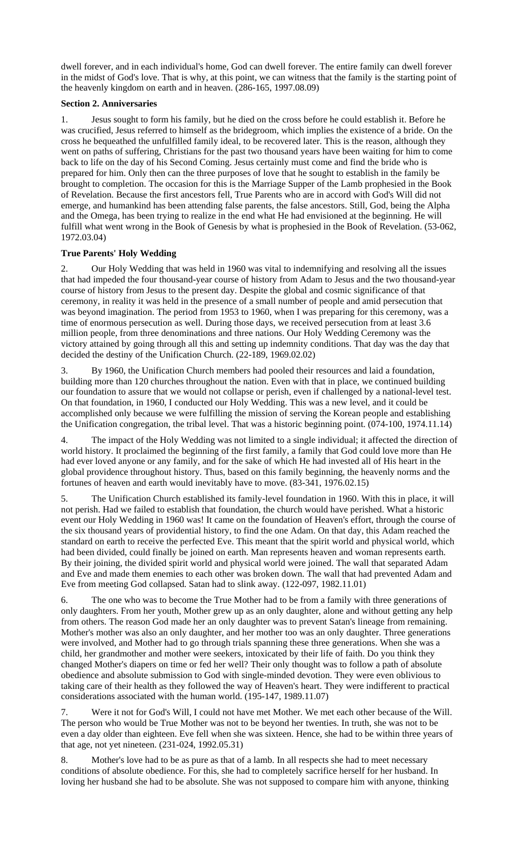dwell forever, and in each individual's home, God can dwell forever. The entire family can dwell forever in the midst of God's love. That is why, at this point, we can witness that the family is the starting point of the heavenly kingdom on earth and in heaven. (286-165, 1997.08.09)

# **Section 2. Anniversaries**

1. Jesus sought to form his family, but he died on the cross before he could establish it. Before he was crucified, Jesus referred to himself as the bridegroom, which implies the existence of a bride. On the cross he bequeathed the unfulfilled family ideal, to be recovered later. This is the reason, although they went on paths of suffering, Christians for the past two thousand years have been waiting for him to come back to life on the day of his Second Coming. Jesus certainly must come and find the bride who is prepared for him. Only then can the three purposes of love that he sought to establish in the family be brought to completion. The occasion for this is the Marriage Supper of the Lamb prophesied in the Book of Revelation. Because the first ancestors fell, True Parents who are in accord with God's Will did not emerge, and humankind has been attending false parents, the false ancestors. Still, God, being the Alpha and the Omega, has been trying to realize in the end what He had envisioned at the beginning. He will fulfill what went wrong in the Book of Genesis by what is prophesied in the Book of Revelation. (53-062, 1972.03.04)

# **True Parents' Holy Wedding**

2. Our Holy Wedding that was held in 1960 was vital to indemnifying and resolving all the issues that had impeded the four thousand-year course of history from Adam to Jesus and the two thousand-year course of history from Jesus to the present day. Despite the global and cosmic significance of that ceremony, in reality it was held in the presence of a small number of people and amid persecution that was beyond imagination. The period from 1953 to 1960, when I was preparing for this ceremony, was a time of enormous persecution as well. During those days, we received persecution from at least 3.6 million people, from three denominations and three nations. Our Holy Wedding Ceremony was the victory attained by going through all this and setting up indemnity conditions. That day was the day that decided the destiny of the Unification Church. (22-189, 1969.02.02)

3. By 1960, the Unification Church members had pooled their resources and laid a foundation, building more than 120 churches throughout the nation. Even with that in place, we continued building our foundation to assure that we would not collapse or perish, even if challenged by a national-level test. On that foundation, in 1960, I conducted our Holy Wedding. This was a new level, and it could be accomplished only because we were fulfilling the mission of serving the Korean people and establishing the Unification congregation, the tribal level. That was a historic beginning point. (074-100, 1974.11.14)

4. The impact of the Holy Wedding was not limited to a single individual; it affected the direction of world history. It proclaimed the beginning of the first family, a family that God could love more than He had ever loved anyone or any family, and for the sake of which He had invested all of His heart in the global providence throughout history. Thus, based on this family beginning, the heavenly norms and the fortunes of heaven and earth would inevitably have to move. (83-341, 1976.02.15)

5. The Unification Church established its family-level foundation in 1960. With this in place, it will not perish. Had we failed to establish that foundation, the church would have perished. What a historic event our Holy Wedding in 1960 was! It came on the foundation of Heaven's effort, through the course of the six thousand years of providential history, to find the one Adam. On that day, this Adam reached the standard on earth to receive the perfected Eve. This meant that the spirit world and physical world, which had been divided, could finally be joined on earth. Man represents heaven and woman represents earth. By their joining, the divided spirit world and physical world were joined. The wall that separated Adam and Eve and made them enemies to each other was broken down. The wall that had prevented Adam and Eve from meeting God collapsed. Satan had to slink away. (122-097, 1982.11.01)

6. The one who was to become the True Mother had to be from a family with three generations of only daughters. From her youth, Mother grew up as an only daughter, alone and without getting any help from others. The reason God made her an only daughter was to prevent Satan's lineage from remaining. Mother's mother was also an only daughter, and her mother too was an only daughter. Three generations were involved, and Mother had to go through trials spanning these three generations. When she was a child, her grandmother and mother were seekers, intoxicated by their life of faith. Do you think they changed Mother's diapers on time or fed her well? Their only thought was to follow a path of absolute obedience and absolute submission to God with single-minded devotion. They were even oblivious to taking care of their health as they followed the way of Heaven's heart. They were indifferent to practical considerations associated with the human world. (195-147, 1989.11.07)

7. Were it not for God's Will, I could not have met Mother. We met each other because of the Will. The person who would be True Mother was not to be beyond her twenties. In truth, she was not to be even a day older than eighteen. Eve fell when she was sixteen. Hence, she had to be within three years of that age, not yet nineteen. (231-024, 1992.05.31)

8. Mother's love had to be as pure as that of a lamb. In all respects she had to meet necessary conditions of absolute obedience. For this, she had to completely sacrifice herself for her husband. In loving her husband she had to be absolute. She was not supposed to compare him with anyone, thinking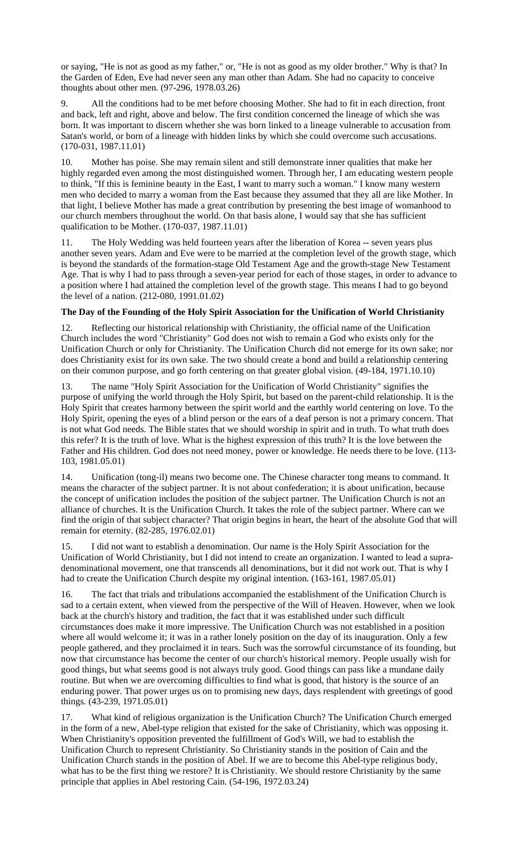or saying, "He is not as good as my father," or, "He is not as good as my older brother." Why is that? In the Garden of Eden, Eve had never seen any man other than Adam. She had no capacity to conceive thoughts about other men. (97-296, 1978.03.26)

9. All the conditions had to be met before choosing Mother. She had to fit in each direction, front and back, left and right, above and below. The first condition concerned the lineage of which she was born. It was important to discern whether she was born linked to a lineage vulnerable to accusation from Satan's world, or born of a lineage with hidden links by which she could overcome such accusations. (170-031, 1987.11.01)

10. Mother has poise. She may remain silent and still demonstrate inner qualities that make her highly regarded even among the most distinguished women. Through her, I am educating western people to think, "If this is feminine beauty in the East, I want to marry such a woman." I know many western men who decided to marry a woman from the East because they assumed that they all are like Mother. In that light, I believe Mother has made a great contribution by presenting the best image of womanhood to our church members throughout the world. On that basis alone, I would say that she has sufficient qualification to be Mother. (170-037, 1987.11.01)

11. The Holy Wedding was held fourteen years after the liberation of Korea -- seven years plus another seven years. Adam and Eve were to be married at the completion level of the growth stage, which is beyond the standards of the formation-stage Old Testament Age and the growth-stage New Testament Age. That is why I had to pass through a seven-year period for each of those stages, in order to advance to a position where I had attained the completion level of the growth stage. This means I had to go beyond the level of a nation. (212-080, 1991.01.02)

# **The Day of the Founding of the Holy Spirit Association for the Unification of World Christianity**

12. Reflecting our historical relationship with Christianity, the official name of the Unification Church includes the word "Christianity" God does not wish to remain a God who exists only for the Unification Church or only for Christianity. The Unification Church did not emerge for its own sake; nor does Christianity exist for its own sake. The two should create a bond and build a relationship centering on their common purpose, and go forth centering on that greater global vision. (49-184, 1971.10.10)

13. The name "Holy Spirit Association for the Unification of World Christianity" signifies the purpose of unifying the world through the Holy Spirit, but based on the parent-child relationship. It is the Holy Spirit that creates harmony between the spirit world and the earthly world centering on love. To the Holy Spirit, opening the eyes of a blind person or the ears of a deaf person is not a primary concern. That is not what God needs. The Bible states that we should worship in spirit and in truth. To what truth does this refer? It is the truth of love. What is the highest expression of this truth? It is the love between the Father and His children. God does not need money, power or knowledge. He needs there to be love. (113- 103, 1981.05.01)

14. Unification (tong-il) means two become one. The Chinese character tong means to command. It means the character of the subject partner. It is not about confederation; it is about unification, because the concept of unification includes the position of the subject partner. The Unification Church is not an alliance of churches. It is the Unification Church. It takes the role of the subject partner. Where can we find the origin of that subject character? That origin begins in heart, the heart of the absolute God that will remain for eternity. (82-285, 1976.02.01)

15. I did not want to establish a denomination. Our name is the Holy Spirit Association for the Unification of World Christianity, but I did not intend to create an organization. I wanted to lead a supradenominational movement, one that transcends all denominations, but it did not work out. That is why I had to create the Unification Church despite my original intention. (163-161, 1987.05.01)

16. The fact that trials and tribulations accompanied the establishment of the Unification Church is sad to a certain extent, when viewed from the perspective of the Will of Heaven. However, when we look back at the church's history and tradition, the fact that it was established under such difficult circumstances does make it more impressive. The Unification Church was not established in a position where all would welcome it; it was in a rather lonely position on the day of its inauguration. Only a few people gathered, and they proclaimed it in tears. Such was the sorrowful circumstance of its founding, but now that circumstance has become the center of our church's historical memory. People usually wish for good things, but what seems good is not always truly good. Good things can pass like a mundane daily routine. But when we are overcoming difficulties to find what is good, that history is the source of an enduring power. That power urges us on to promising new days, days resplendent with greetings of good things. (43-239, 1971.05.01)

17. What kind of religious organization is the Unification Church? The Unification Church emerged in the form of a new, Abel-type religion that existed for the sake of Christianity, which was opposing it. When Christianity's opposition prevented the fulfillment of God's Will, we had to establish the Unification Church to represent Christianity. So Christianity stands in the position of Cain and the Unification Church stands in the position of Abel. If we are to become this Abel-type religious body, what has to be the first thing we restore? It is Christianity. We should restore Christianity by the same principle that applies in Abel restoring Cain. (54-196, 1972.03.24)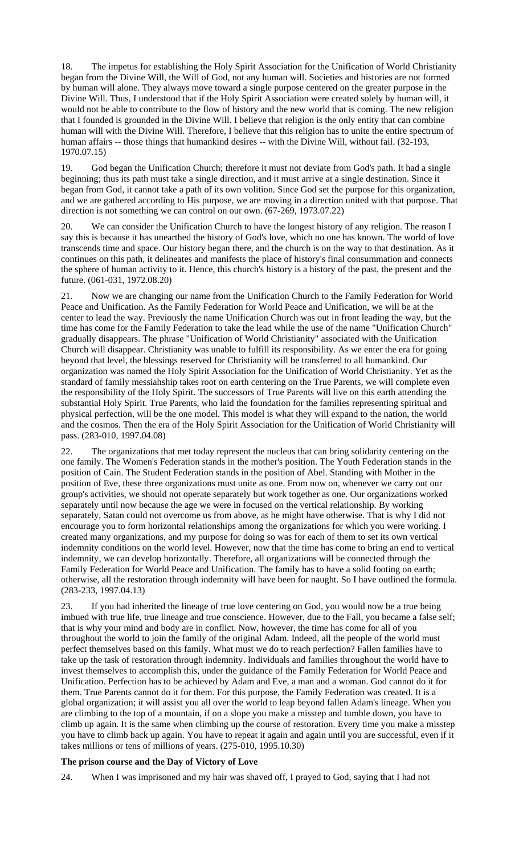18. The impetus for establishing the Holy Spirit Association for the Unification of World Christianity began from the Divine Will, the Will of God, not any human will. Societies and histories are not formed by human will alone. They always move toward a single purpose centered on the greater purpose in the Divine Will. Thus, I understood that if the Holy Spirit Association were created solely by human will, it would not be able to contribute to the flow of history and the new world that is coming. The new religion that I founded is grounded in the Divine Will. I believe that religion is the only entity that can combine human will with the Divine Will. Therefore, I believe that this religion has to unite the entire spectrum of human affairs -- those things that humankind desires -- with the Divine Will, without fail. (32-193, 1970.07.15)

19. God began the Unification Church; therefore it must not deviate from God's path. It had a single beginning; thus its path must take a single direction, and it must arrive at a single destination. Since it began from God, it cannot take a path of its own volition. Since God set the purpose for this organization, and we are gathered according to His purpose, we are moving in a direction united with that purpose. That direction is not something we can control on our own. (67-269, 1973.07.22)

20. We can consider the Unification Church to have the longest history of any religion. The reason I say this is because it has unearthed the history of God's love, which no one has known. The world of love transcends time and space. Our history began there, and the church is on the way to that destination. As it continues on this path, it delineates and manifests the place of history's final consummation and connects the sphere of human activity to it. Hence, this church's history is a history of the past, the present and the future. (061-031, 1972.08.20)

21. Now we are changing our name from the Unification Church to the Family Federation for World Peace and Unification. As the Family Federation for World Peace and Unification, we will be at the center to lead the way. Previously the name Unification Church was out in front leading the way, but the time has come for the Family Federation to take the lead while the use of the name "Unification Church" gradually disappears. The phrase "Unification of World Christianity" associated with the Unification Church will disappear. Christianity was unable to fulfill its responsibility. As we enter the era for going beyond that level, the blessings reserved for Christianity will be transferred to all humankind. Our organization was named the Holy Spirit Association for the Unification of World Christianity. Yet as the standard of family messiahship takes root on earth centering on the True Parents, we will complete even the responsibility of the Holy Spirit. The successors of True Parents will live on this earth attending the substantial Holy Spirit. True Parents, who laid the foundation for the families representing spiritual and physical perfection, will be the one model. This model is what they will expand to the nation, the world and the cosmos. Then the era of the Holy Spirit Association for the Unification of World Christianity will pass. (283-010, 1997.04.08)

22. The organizations that met today represent the nucleus that can bring solidarity centering on the one family. The Women's Federation stands in the mother's position. The Youth Federation stands in the position of Cain. The Student Federation stands in the position of Abel. Standing with Mother in the position of Eve, these three organizations must unite as one. From now on, whenever we carry out our group's activities, we should not operate separately but work together as one. Our organizations worked separately until now because the age we were in focused on the vertical relationship. By working separately, Satan could not overcome us from above, as he might have otherwise. That is why I did not encourage you to form horizontal relationships among the organizations for which you were working. I created many organizations, and my purpose for doing so was for each of them to set its own vertical indemnity conditions on the world level. However, now that the time has come to bring an end to vertical indemnity, we can develop horizontally. Therefore, all organizations will be connected through the Family Federation for World Peace and Unification. The family has to have a solid footing on earth; otherwise, all the restoration through indemnity will have been for naught. So I have outlined the formula. (283-233, 1997.04.13)

23. If you had inherited the lineage of true love centering on God, you would now be a true being imbued with true life, true lineage and true conscience. However, due to the Fall, you became a false self; that is why your mind and body are in conflict. Now, however, the time has come for all of you throughout the world to join the family of the original Adam. Indeed, all the people of the world must perfect themselves based on this family. What must we do to reach perfection? Fallen families have to take up the task of restoration through indemnity. Individuals and families throughout the world have to invest themselves to accomplish this, under the guidance of the Family Federation for World Peace and Unification. Perfection has to be achieved by Adam and Eve, a man and a woman. God cannot do it for them. True Parents cannot do it for them. For this purpose, the Family Federation was created. It is a global organization; it will assist you all over the world to leap beyond fallen Adam's lineage. When you are climbing to the top of a mountain, if on a slope you make a misstep and tumble down, you have to climb up again. It is the same when climbing up the course of restoration. Every time you make a misstep you have to climb back up again. You have to repeat it again and again until you are successful, even if it takes millions or tens of millions of years. (275-010, 1995.10.30)

### **The prison course and the Day of Victory of Love**

24. When I was imprisoned and my hair was shaved off, I prayed to God, saying that I had not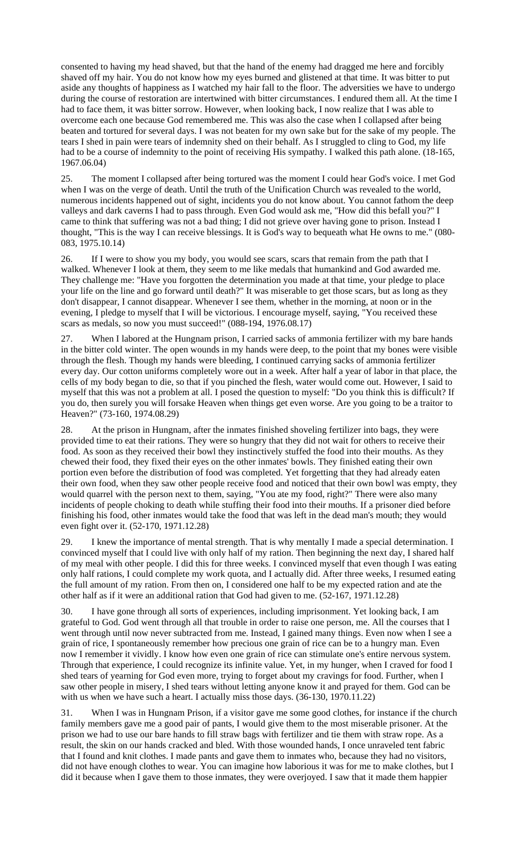consented to having my head shaved, but that the hand of the enemy had dragged me here and forcibly shaved off my hair. You do not know how my eyes burned and glistened at that time. It was bitter to put aside any thoughts of happiness as I watched my hair fall to the floor. The adversities we have to undergo during the course of restoration are intertwined with bitter circumstances. I endured them all. At the time I had to face them, it was bitter sorrow. However, when looking back, I now realize that I was able to overcome each one because God remembered me. This was also the case when I collapsed after being beaten and tortured for several days. I was not beaten for my own sake but for the sake of my people. The tears I shed in pain were tears of indemnity shed on their behalf. As I struggled to cling to God, my life had to be a course of indemnity to the point of receiving His sympathy. I walked this path alone. (18-165, 1967.06.04)

25. The moment I collapsed after being tortured was the moment I could hear God's voice. I met God when I was on the verge of death. Until the truth of the Unification Church was revealed to the world, numerous incidents happened out of sight, incidents you do not know about. You cannot fathom the deep valleys and dark caverns I had to pass through. Even God would ask me, "How did this befall you?" I came to think that suffering was not a bad thing; I did not grieve over having gone to prison. Instead I thought, "This is the way I can receive blessings. It is God's way to bequeath what He owns to me." (080- 083, 1975.10.14)

26. If I were to show you my body, you would see scars, scars that remain from the path that I walked. Whenever I look at them, they seem to me like medals that humankind and God awarded me. They challenge me: "Have you forgotten the determination you made at that time, your pledge to place your life on the line and go forward until death?" It was miserable to get those scars, but as long as they don't disappear, I cannot disappear. Whenever I see them, whether in the morning, at noon or in the evening, I pledge to myself that I will be victorious. I encourage myself, saying, "You received these scars as medals, so now you must succeed!" (088-194, 1976.08.17)

27. When I labored at the Hungnam prison, I carried sacks of ammonia fertilizer with my bare hands in the bitter cold winter. The open wounds in my hands were deep, to the point that my bones were visible through the flesh. Though my hands were bleeding, I continued carrying sacks of ammonia fertilizer every day. Our cotton uniforms completely wore out in a week. After half a year of labor in that place, the cells of my body began to die, so that if you pinched the flesh, water would come out. However, I said to myself that this was not a problem at all. I posed the question to myself: "Do you think this is difficult? If you do, then surely you will forsake Heaven when things get even worse. Are you going to be a traitor to Heaven?" (73-160, 1974.08.29)

28. At the prison in Hungnam, after the inmates finished shoveling fertilizer into bags, they were provided time to eat their rations. They were so hungry that they did not wait for others to receive their food. As soon as they received their bowl they instinctively stuffed the food into their mouths. As they chewed their food, they fixed their eyes on the other inmates' bowls. They finished eating their own portion even before the distribution of food was completed. Yet forgetting that they had already eaten their own food, when they saw other people receive food and noticed that their own bowl was empty, they would quarrel with the person next to them, saying, "You ate my food, right?" There were also many incidents of people choking to death while stuffing their food into their mouths. If a prisoner died before finishing his food, other inmates would take the food that was left in the dead man's mouth; they would even fight over it. (52-170, 1971.12.28)

29. I knew the importance of mental strength. That is why mentally I made a special determination. I convinced myself that I could live with only half of my ration. Then beginning the next day, I shared half of my meal with other people. I did this for three weeks. I convinced myself that even though I was eating only half rations, I could complete my work quota, and I actually did. After three weeks, I resumed eating the full amount of my ration. From then on, I considered one half to be my expected ration and ate the other half as if it were an additional ration that God had given to me. (52-167, 1971.12.28)

30. I have gone through all sorts of experiences, including imprisonment. Yet looking back, I am grateful to God. God went through all that trouble in order to raise one person, me. All the courses that I went through until now never subtracted from me. Instead, I gained many things. Even now when I see a grain of rice, I spontaneously remember how precious one grain of rice can be to a hungry man. Even now I remember it vividly. I know how even one grain of rice can stimulate one's entire nervous system. Through that experience, I could recognize its infinite value. Yet, in my hunger, when I craved for food I shed tears of yearning for God even more, trying to forget about my cravings for food. Further, when I saw other people in misery, I shed tears without letting anyone know it and prayed for them. God can be with us when we have such a heart. I actually miss those days. (36-130, 1970.11.22)

31. When I was in Hungnam Prison, if a visitor gave me some good clothes, for instance if the church family members gave me a good pair of pants, I would give them to the most miserable prisoner. At the prison we had to use our bare hands to fill straw bags with fertilizer and tie them with straw rope. As a result, the skin on our hands cracked and bled. With those wounded hands, I once unraveled tent fabric that I found and knit clothes. I made pants and gave them to inmates who, because they had no visitors, did not have enough clothes to wear. You can imagine how laborious it was for me to make clothes, but I did it because when I gave them to those inmates, they were overjoyed. I saw that it made them happier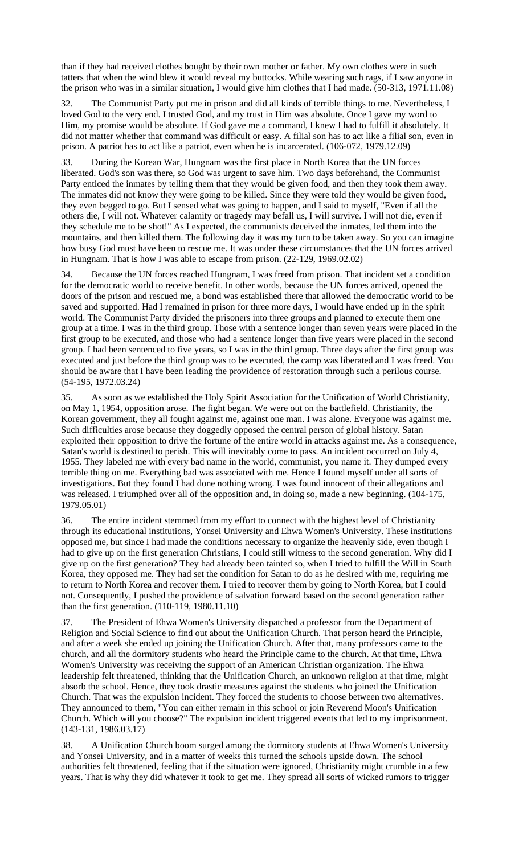than if they had received clothes bought by their own mother or father. My own clothes were in such tatters that when the wind blew it would reveal my buttocks. While wearing such rags, if I saw anyone in the prison who was in a similar situation, I would give him clothes that I had made. (50-313, 1971.11.08)

32. The Communist Party put me in prison and did all kinds of terrible things to me. Nevertheless, I loved God to the very end. I trusted God, and my trust in Him was absolute. Once I gave my word to Him, my promise would be absolute. If God gave me a command, I knew I had to fulfill it absolutely. It did not matter whether that command was difficult or easy. A filial son has to act like a filial son, even in prison. A patriot has to act like a patriot, even when he is incarcerated. (106-072, 1979.12.09)

33. During the Korean War, Hungnam was the first place in North Korea that the UN forces liberated. God's son was there, so God was urgent to save him. Two days beforehand, the Communist Party enticed the inmates by telling them that they would be given food, and then they took them away. The inmates did not know they were going to be killed. Since they were told they would be given food, they even begged to go. But I sensed what was going to happen, and I said to myself, "Even if all the others die, I will not. Whatever calamity or tragedy may befall us, I will survive. I will not die, even if they schedule me to be shot!" As I expected, the communists deceived the inmates, led them into the mountains, and then killed them. The following day it was my turn to be taken away. So you can imagine how busy God must have been to rescue me. It was under these circumstances that the UN forces arrived in Hungnam. That is how I was able to escape from prison. (22-129, 1969.02.02)

34. Because the UN forces reached Hungnam, I was freed from prison. That incident set a condition for the democratic world to receive benefit. In other words, because the UN forces arrived, opened the doors of the prison and rescued me, a bond was established there that allowed the democratic world to be saved and supported. Had I remained in prison for three more days, I would have ended up in the spirit world. The Communist Party divided the prisoners into three groups and planned to execute them one group at a time. I was in the third group. Those with a sentence longer than seven years were placed in the first group to be executed, and those who had a sentence longer than five years were placed in the second group. I had been sentenced to five years, so I was in the third group. Three days after the first group was executed and just before the third group was to be executed, the camp was liberated and I was freed. You should be aware that I have been leading the providence of restoration through such a perilous course. (54-195, 1972.03.24)

35. As soon as we established the Holy Spirit Association for the Unification of World Christianity, on May 1, 1954, opposition arose. The fight began. We were out on the battlefield. Christianity, the Korean government, they all fought against me, against one man. I was alone. Everyone was against me. Such difficulties arose because they doggedly opposed the central person of global history. Satan exploited their opposition to drive the fortune of the entire world in attacks against me. As a consequence, Satan's world is destined to perish. This will inevitably come to pass. An incident occurred on July 4, 1955. They labeled me with every bad name in the world, communist, you name it. They dumped every terrible thing on me. Everything bad was associated with me. Hence I found myself under all sorts of investigations. But they found I had done nothing wrong. I was found innocent of their allegations and was released. I triumphed over all of the opposition and, in doing so, made a new beginning. (104-175, 1979.05.01)

36. The entire incident stemmed from my effort to connect with the highest level of Christianity through its educational institutions, Yonsei University and Ehwa Women's University. These institutions opposed me, but since I had made the conditions necessary to organize the heavenly side, even though I had to give up on the first generation Christians, I could still witness to the second generation. Why did I give up on the first generation? They had already been tainted so, when I tried to fulfill the Will in South Korea, they opposed me. They had set the condition for Satan to do as he desired with me, requiring me to return to North Korea and recover them. I tried to recover them by going to North Korea, but I could not. Consequently, I pushed the providence of salvation forward based on the second generation rather than the first generation. (110-119, 1980.11.10)

37. The President of Ehwa Women's University dispatched a professor from the Department of Religion and Social Science to find out about the Unification Church. That person heard the Principle, and after a week she ended up joining the Unification Church. After that, many professors came to the church, and all the dormitory students who heard the Principle came to the church. At that time, Ehwa Women's University was receiving the support of an American Christian organization. The Ehwa leadership felt threatened, thinking that the Unification Church, an unknown religion at that time, might absorb the school. Hence, they took drastic measures against the students who joined the Unification Church. That was the expulsion incident. They forced the students to choose between two alternatives. They announced to them, "You can either remain in this school or join Reverend Moon's Unification Church. Which will you choose?" The expulsion incident triggered events that led to my imprisonment. (143-131, 1986.03.17)

38. A Unification Church boom surged among the dormitory students at Ehwa Women's University and Yonsei University, and in a matter of weeks this turned the schools upside down. The school authorities felt threatened, feeling that if the situation were ignored, Christianity might crumble in a few years. That is why they did whatever it took to get me. They spread all sorts of wicked rumors to trigger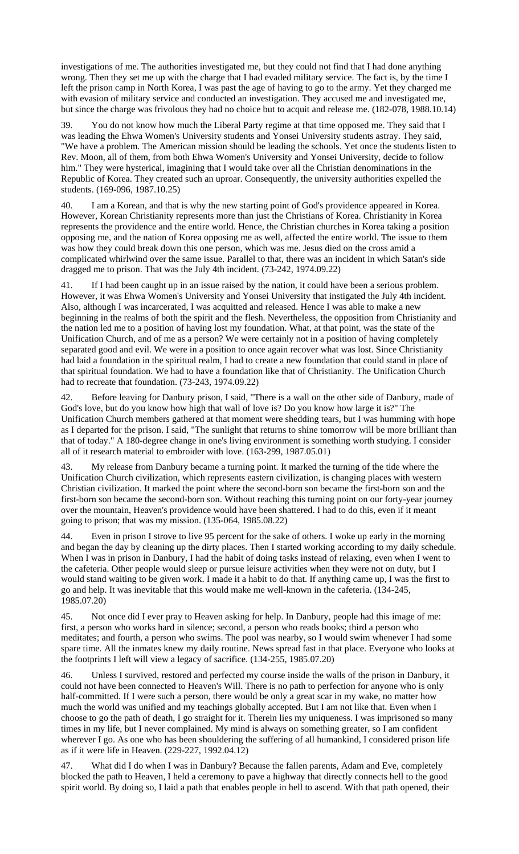investigations of me. The authorities investigated me, but they could not find that I had done anything wrong. Then they set me up with the charge that I had evaded military service. The fact is, by the time I left the prison camp in North Korea, I was past the age of having to go to the army. Yet they charged me with evasion of military service and conducted an investigation. They accused me and investigated me, but since the charge was frivolous they had no choice but to acquit and release me. (182-078, 1988.10.14)

39. You do not know how much the Liberal Party regime at that time opposed me. They said that I was leading the Ehwa Women's University students and Yonsei University students astray. They said, "We have a problem. The American mission should be leading the schools. Yet once the students listen to Rev. Moon, all of them, from both Ehwa Women's University and Yonsei University, decide to follow him." They were hysterical, imagining that I would take over all the Christian denominations in the Republic of Korea. They created such an uproar. Consequently, the university authorities expelled the students. (169-096, 1987.10.25)

I am a Korean, and that is why the new starting point of God's providence appeared in Korea. However, Korean Christianity represents more than just the Christians of Korea. Christianity in Korea represents the providence and the entire world. Hence, the Christian churches in Korea taking a position opposing me, and the nation of Korea opposing me as well, affected the entire world. The issue to them was how they could break down this one person, which was me. Jesus died on the cross amid a complicated whirlwind over the same issue. Parallel to that, there was an incident in which Satan's side dragged me to prison. That was the July 4th incident. (73-242, 1974.09.22)

41. If I had been caught up in an issue raised by the nation, it could have been a serious problem. However, it was Ehwa Women's University and Yonsei University that instigated the July 4th incident. Also, although I was incarcerated, I was acquitted and released. Hence I was able to make a new beginning in the realms of both the spirit and the flesh. Nevertheless, the opposition from Christianity and the nation led me to a position of having lost my foundation. What, at that point, was the state of the Unification Church, and of me as a person? We were certainly not in a position of having completely separated good and evil. We were in a position to once again recover what was lost. Since Christianity had laid a foundation in the spiritual realm, I had to create a new foundation that could stand in place of that spiritual foundation. We had to have a foundation like that of Christianity. The Unification Church had to recreate that foundation. (73-243, 1974.09.22)

42. Before leaving for Danbury prison, I said, "There is a wall on the other side of Danbury, made of God's love, but do you know how high that wall of love is? Do you know how large it is?" The Unification Church members gathered at that moment were shedding tears, but I was humming with hope as I departed for the prison. I said, "The sunlight that returns to shine tomorrow will be more brilliant than that of today." A 180-degree change in one's living environment is something worth studying. I consider all of it research material to embroider with love. (163-299, 1987.05.01)

43. My release from Danbury became a turning point. It marked the turning of the tide where the Unification Church civilization, which represents eastern civilization, is changing places with western Christian civilization. It marked the point where the second-born son became the first-born son and the first-born son became the second-born son. Without reaching this turning point on our forty-year journey over the mountain, Heaven's providence would have been shattered. I had to do this, even if it meant going to prison; that was my mission. (135-064, 1985.08.22)

44. Even in prison I strove to live 95 percent for the sake of others. I woke up early in the morning and began the day by cleaning up the dirty places. Then I started working according to my daily schedule. When I was in prison in Danbury, I had the habit of doing tasks instead of relaxing, even when I went to the cafeteria. Other people would sleep or pursue leisure activities when they were not on duty, but I would stand waiting to be given work. I made it a habit to do that. If anything came up, I was the first to go and help. It was inevitable that this would make me well-known in the cafeteria. (134-245, 1985.07.20)

45. Not once did I ever pray to Heaven asking for help. In Danbury, people had this image of me: first, a person who works hard in silence; second, a person who reads books; third a person who meditates; and fourth, a person who swims. The pool was nearby, so I would swim whenever I had some spare time. All the inmates knew my daily routine. News spread fast in that place. Everyone who looks at the footprints I left will view a legacy of sacrifice. (134-255, 1985.07.20)

46. Unless I survived, restored and perfected my course inside the walls of the prison in Danbury, it could not have been connected to Heaven's Will. There is no path to perfection for anyone who is only half-committed. If I were such a person, there would be only a great scar in my wake, no matter how much the world was unified and my teachings globally accepted. But I am not like that. Even when I choose to go the path of death, I go straight for it. Therein lies my uniqueness. I was imprisoned so many times in my life, but I never complained. My mind is always on something greater, so I am confident wherever I go. As one who has been shouldering the suffering of all humankind, I considered prison life as if it were life in Heaven. (229-227, 1992.04.12)

What did I do when I was in Danbury? Because the fallen parents, Adam and Eve, completely blocked the path to Heaven, I held a ceremony to pave a highway that directly connects hell to the good spirit world. By doing so, I laid a path that enables people in hell to ascend. With that path opened, their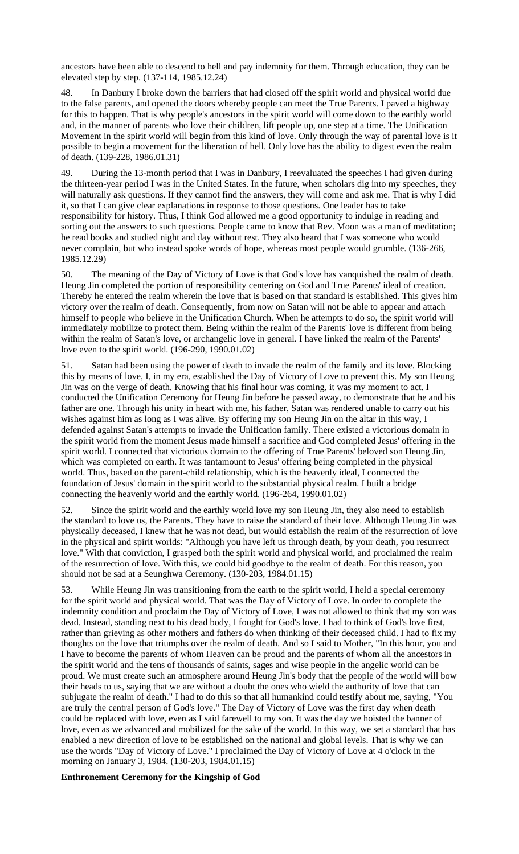ancestors have been able to descend to hell and pay indemnity for them. Through education, they can be elevated step by step. (137-114, 1985.12.24)

48. In Danbury I broke down the barriers that had closed off the spirit world and physical world due to the false parents, and opened the doors whereby people can meet the True Parents. I paved a highway for this to happen. That is why people's ancestors in the spirit world will come down to the earthly world and, in the manner of parents who love their children, lift people up, one step at a time. The Unification Movement in the spirit world will begin from this kind of love. Only through the way of parental love is it possible to begin a movement for the liberation of hell. Only love has the ability to digest even the realm of death. (139-228, 1986.01.31)

49. During the 13-month period that I was in Danbury, I reevaluated the speeches I had given during the thirteen-year period I was in the United States. In the future, when scholars dig into my speeches, they will naturally ask questions. If they cannot find the answers, they will come and ask me. That is why I did it, so that I can give clear explanations in response to those questions. One leader has to take responsibility for history. Thus, I think God allowed me a good opportunity to indulge in reading and sorting out the answers to such questions. People came to know that Rev. Moon was a man of meditation; he read books and studied night and day without rest. They also heard that I was someone who would never complain, but who instead spoke words of hope, whereas most people would grumble. (136-266, 1985.12.29)

50. The meaning of the Day of Victory of Love is that God's love has vanquished the realm of death. Heung Jin completed the portion of responsibility centering on God and True Parents' ideal of creation. Thereby he entered the realm wherein the love that is based on that standard is established. This gives him victory over the realm of death. Consequently, from now on Satan will not be able to appear and attach himself to people who believe in the Unification Church. When he attempts to do so, the spirit world will immediately mobilize to protect them. Being within the realm of the Parents' love is different from being within the realm of Satan's love, or archangelic love in general. I have linked the realm of the Parents' love even to the spirit world. (196-290, 1990.01.02)

51. Satan had been using the power of death to invade the realm of the family and its love. Blocking this by means of love, I, in my era, established the Day of Victory of Love to prevent this. My son Heung Jin was on the verge of death. Knowing that his final hour was coming, it was my moment to act. I conducted the Unification Ceremony for Heung Jin before he passed away, to demonstrate that he and his father are one. Through his unity in heart with me, his father, Satan was rendered unable to carry out his wishes against him as long as I was alive. By offering my son Heung Jin on the altar in this way, I defended against Satan's attempts to invade the Unification family. There existed a victorious domain in the spirit world from the moment Jesus made himself a sacrifice and God completed Jesus' offering in the spirit world. I connected that victorious domain to the offering of True Parents' beloved son Heung Jin, which was completed on earth. It was tantamount to Jesus' offering being completed in the physical world. Thus, based on the parent-child relationship, which is the heavenly ideal, I connected the foundation of Jesus' domain in the spirit world to the substantial physical realm. I built a bridge connecting the heavenly world and the earthly world. (196-264, 1990.01.02)

52. Since the spirit world and the earthly world love my son Heung Jin, they also need to establish the standard to love us, the Parents. They have to raise the standard of their love. Although Heung Jin was physically deceased, I knew that he was not dead, but would establish the realm of the resurrection of love in the physical and spirit worlds: "Although you have left us through death, by your death, you resurrect love." With that conviction, I grasped both the spirit world and physical world, and proclaimed the realm of the resurrection of love. With this, we could bid goodbye to the realm of death. For this reason, you should not be sad at a Seunghwa Ceremony. (130-203, 1984.01.15)

53. While Heung Jin was transitioning from the earth to the spirit world, I held a special ceremony for the spirit world and physical world. That was the Day of Victory of Love. In order to complete the indemnity condition and proclaim the Day of Victory of Love, I was not allowed to think that my son was dead. Instead, standing next to his dead body, I fought for God's love. I had to think of God's love first, rather than grieving as other mothers and fathers do when thinking of their deceased child. I had to fix my thoughts on the love that triumphs over the realm of death. And so I said to Mother, "In this hour, you and I have to become the parents of whom Heaven can be proud and the parents of whom all the ancestors in the spirit world and the tens of thousands of saints, sages and wise people in the angelic world can be proud. We must create such an atmosphere around Heung Jin's body that the people of the world will bow their heads to us, saying that we are without a doubt the ones who wield the authority of love that can subjugate the realm of death." I had to do this so that all humankind could testify about me, saying, "You are truly the central person of God's love." The Day of Victory of Love was the first day when death could be replaced with love, even as I said farewell to my son. It was the day we hoisted the banner of love, even as we advanced and mobilized for the sake of the world. In this way, we set a standard that has enabled a new direction of love to be established on the national and global levels. That is why we can use the words "Day of Victory of Love." I proclaimed the Day of Victory of Love at 4 o'clock in the morning on January 3, 1984. (130-203, 1984.01.15)

### **Enthronement Ceremony for the Kingship of God**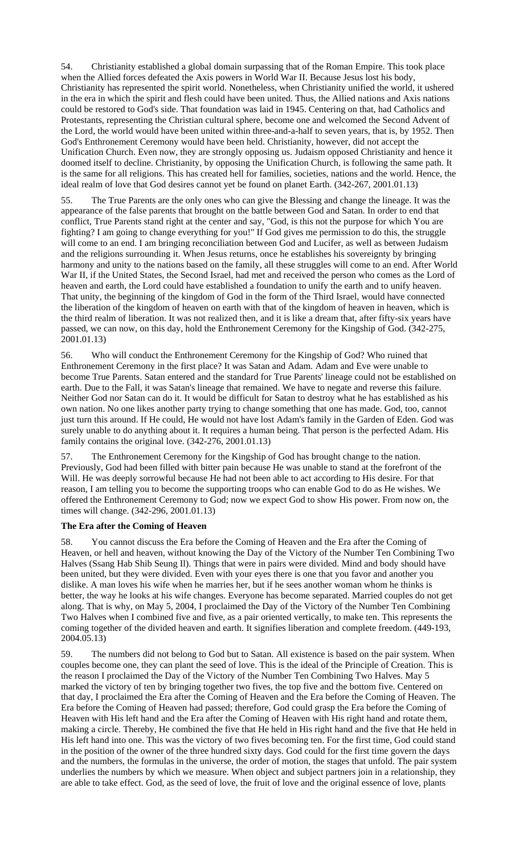54. Christianity established a global domain surpassing that of the Roman Empire. This took place when the Allied forces defeated the Axis powers in World War II. Because Jesus lost his body, Christianity has represented the spirit world. Nonetheless, when Christianity unified the world, it ushered in the era in which the spirit and flesh could have been united. Thus, the Allied nations and Axis nations could be restored to God's side. That foundation was laid in 1945. Centering on that, had Catholics and Protestants, representing the Christian cultural sphere, become one and welcomed the Second Advent of the Lord, the world would have been united within three-and-a-half to seven years, that is, by 1952. Then God's Enthronement Ceremony would have been held. Christianity, however, did not accept the Unification Church. Even now, they are strongly opposing us. Judaism opposed Christianity and hence it doomed itself to decline. Christianity, by opposing the Unification Church, is following the same path. It is the same for all religions. This has created hell for families, societies, nations and the world. Hence, the ideal realm of love that God desires cannot yet be found on planet Earth. (342-267, 2001.01.13)

55. The True Parents are the only ones who can give the Blessing and change the lineage. It was the appearance of the false parents that brought on the battle between God and Satan. In order to end that conflict, True Parents stand right at the center and say, "God, is this not the purpose for which You are fighting? I am going to change everything for you!" If God gives me permission to do this, the struggle will come to an end. I am bringing reconciliation between God and Lucifer, as well as between Judaism and the religions surrounding it. When Jesus returns, once he establishes his sovereignty by bringing harmony and unity to the nations based on the family, all these struggles will come to an end. After World War II, if the United States, the Second Israel, had met and received the person who comes as the Lord of heaven and earth, the Lord could have established a foundation to unify the earth and to unify heaven. That unity, the beginning of the kingdom of God in the form of the Third Israel, would have connected the liberation of the kingdom of heaven on earth with that of the kingdom of heaven in heaven, which is the third realm of liberation. It was not realized then, and it is like a dream that, after fifty-six years have passed, we can now, on this day, hold the Enthronement Ceremony for the Kingship of God. (342-275, 2001.01.13)

56. Who will conduct the Enthronement Ceremony for the Kingship of God? Who ruined that Enthronement Ceremony in the first place? It was Satan and Adam. Adam and Eve were unable to become True Parents. Satan entered and the standard for True Parents' lineage could not be established on earth. Due to the Fall, it was Satan's lineage that remained. We have to negate and reverse this failure. Neither God nor Satan can do it. It would be difficult for Satan to destroy what he has established as his own nation. No one likes another party trying to change something that one has made. God, too, cannot just turn this around. If He could, He would not have lost Adam's family in the Garden of Eden. God was surely unable to do anything about it. It requires a human being. That person is the perfected Adam. His family contains the original love. (342-276, 2001.01.13)

57. The Enthronement Ceremony for the Kingship of God has brought change to the nation. Previously, God had been filled with bitter pain because He was unable to stand at the forefront of the Will. He was deeply sorrowful because He had not been able to act according to His desire. For that reason, I am telling you to become the supporting troops who can enable God to do as He wishes. We offered the Enthronement Ceremony to God; now we expect God to show His power. From now on, the times will change. (342-296, 2001.01.13)

### **The Era after the Coming of Heaven**

58. You cannot discuss the Era before the Coming of Heaven and the Era after the Coming of Heaven, or hell and heaven, without knowing the Day of the Victory of the Number Ten Combining Two Halves (Ssang Hab Shib Seung Il). Things that were in pairs were divided. Mind and body should have been united, but they were divided. Even with your eyes there is one that you favor and another you dislike. A man loves his wife when he marries her, but if he sees another woman whom he thinks is better, the way he looks at his wife changes. Everyone has become separated. Married couples do not get along. That is why, on May 5, 2004, I proclaimed the Day of the Victory of the Number Ten Combining Two Halves when I combined five and five, as a pair oriented vertically, to make ten. This represents the coming together of the divided heaven and earth. It signifies liberation and complete freedom. (449-193, 2004.05.13)

59. The numbers did not belong to God but to Satan. All existence is based on the pair system. When couples become one, they can plant the seed of love. This is the ideal of the Principle of Creation. This is the reason I proclaimed the Day of the Victory of the Number Ten Combining Two Halves. May 5 marked the victory of ten by bringing together two fives, the top five and the bottom five. Centered on that day, I proclaimed the Era after the Coming of Heaven and the Era before the Coming of Heaven. The Era before the Coming of Heaven had passed; therefore, God could grasp the Era before the Coming of Heaven with His left hand and the Era after the Coming of Heaven with His right hand and rotate them, making a circle. Thereby, He combined the five that He held in His right hand and the five that He held in His left hand into one. This was the victory of two fives becoming ten. For the first time, God could stand in the position of the owner of the three hundred sixty days. God could for the first time govern the days and the numbers, the formulas in the universe, the order of motion, the stages that unfold. The pair system underlies the numbers by which we measure. When object and subject partners join in a relationship, they are able to take effect. God, as the seed of love, the fruit of love and the original essence of love, plants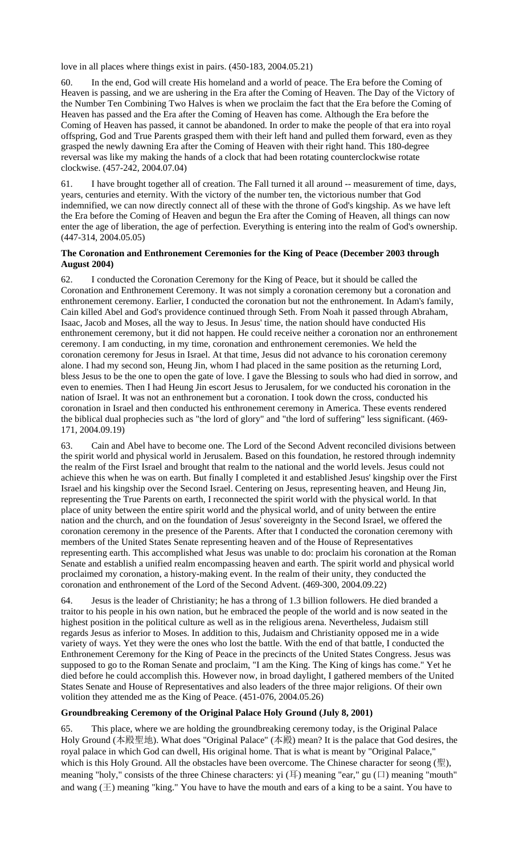love in all places where things exist in pairs. (450-183, 2004.05.21)

60. In the end, God will create His homeland and a world of peace. The Era before the Coming of Heaven is passing, and we are ushering in the Era after the Coming of Heaven. The Day of the Victory of the Number Ten Combining Two Halves is when we proclaim the fact that the Era before the Coming of Heaven has passed and the Era after the Coming of Heaven has come. Although the Era before the Coming of Heaven has passed, it cannot be abandoned. In order to make the people of that era into royal offspring, God and True Parents grasped them with their left hand and pulled them forward, even as they grasped the newly dawning Era after the Coming of Heaven with their right hand. This 180-degree reversal was like my making the hands of a clock that had been rotating counterclockwise rotate clockwise. (457-242, 2004.07.04)

61. I have brought together all of creation. The Fall turned it all around -- measurement of time, days, years, centuries and eternity. With the victory of the number ten, the victorious number that God indemnified, we can now directly connect all of these with the throne of God's kingship. As we have left the Era before the Coming of Heaven and begun the Era after the Coming of Heaven, all things can now enter the age of liberation, the age of perfection. Everything is entering into the realm of God's ownership. (447-314, 2004.05.05)

## **The Coronation and Enthronement Ceremonies for the King of Peace (December 2003 through August 2004)**

62. I conducted the Coronation Ceremony for the King of Peace, but it should be called the Coronation and Enthronement Ceremony. It was not simply a coronation ceremony but a coronation and enthronement ceremony. Earlier, I conducted the coronation but not the enthronement. In Adam's family, Cain killed Abel and God's providence continued through Seth. From Noah it passed through Abraham, Isaac, Jacob and Moses, all the way to Jesus. In Jesus' time, the nation should have conducted His enthronement ceremony, but it did not happen. He could receive neither a coronation nor an enthronement ceremony. I am conducting, in my time, coronation and enthronement ceremonies. We held the coronation ceremony for Jesus in Israel. At that time, Jesus did not advance to his coronation ceremony alone. I had my second son, Heung Jin, whom I had placed in the same position as the returning Lord, bless Jesus to be the one to open the gate of love. I gave the Blessing to souls who had died in sorrow, and even to enemies. Then I had Heung Jin escort Jesus to Jerusalem, for we conducted his coronation in the nation of Israel. It was not an enthronement but a coronation. I took down the cross, conducted his coronation in Israel and then conducted his enthronement ceremony in America. These events rendered the biblical dual prophecies such as "the lord of glory" and "the lord of suffering" less significant. (469- 171, 2004.09.19)

63. Cain and Abel have to become one. The Lord of the Second Advent reconciled divisions between the spirit world and physical world in Jerusalem. Based on this foundation, he restored through indemnity the realm of the First Israel and brought that realm to the national and the world levels. Jesus could not achieve this when he was on earth. But finally I completed it and established Jesus' kingship over the First Israel and his kingship over the Second Israel. Centering on Jesus, representing heaven, and Heung Jin, representing the True Parents on earth, I reconnected the spirit world with the physical world. In that place of unity between the entire spirit world and the physical world, and of unity between the entire nation and the church, and on the foundation of Jesus' sovereignty in the Second Israel, we offered the coronation ceremony in the presence of the Parents. After that I conducted the coronation ceremony with members of the United States Senate representing heaven and of the House of Representatives representing earth. This accomplished what Jesus was unable to do: proclaim his coronation at the Roman Senate and establish a unified realm encompassing heaven and earth. The spirit world and physical world proclaimed my coronation, a history-making event. In the realm of their unity, they conducted the coronation and enthronement of the Lord of the Second Advent. (469-300, 2004.09.22)

64. Jesus is the leader of Christianity; he has a throng of 1.3 billion followers. He died branded a traitor to his people in his own nation, but he embraced the people of the world and is now seated in the highest position in the political culture as well as in the religious arena. Nevertheless, Judaism still regards Jesus as inferior to Moses. In addition to this, Judaism and Christianity opposed me in a wide variety of ways. Yet they were the ones who lost the battle. With the end of that battle, I conducted the Enthronement Ceremony for the King of Peace in the precincts of the United States Congress. Jesus was supposed to go to the Roman Senate and proclaim, "I am the King. The King of kings has come." Yet he died before he could accomplish this. However now, in broad daylight, I gathered members of the United States Senate and House of Representatives and also leaders of the three major religions. Of their own volition they attended me as the King of Peace. (451-076, 2004.05.26)

# **Groundbreaking Ceremony of the Original Palace Holy Ground (July 8, 2001)**

65. This place, where we are holding the groundbreaking ceremony today, is the Original Palace Holy Ground (本殿聖地). What does "Original Palace" (本殿) mean? It is the palace that God desires, the royal palace in which God can dwell, His original home. That is what is meant by "Original Palace," which is this Holy Ground. All the obstacles have been overcome. The Chinese character for seong (聖), meaning "holy," consists of the three Chinese characters: yi (耳) meaning "ear," gu (口) meaning "mouth" and wang  $(\pm)$  meaning "king." You have to have the mouth and ears of a king to be a saint. You have to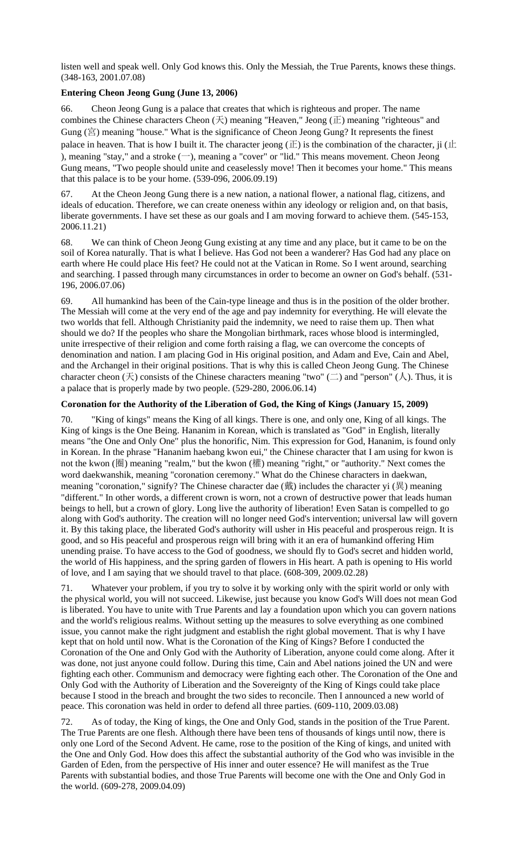listen well and speak well. Only God knows this. Only the Messiah, the True Parents, knows these things. (348-163, 2001.07.08)

### **Entering Cheon Jeong Gung (June 13, 2006)**

66. Cheon Jeong Gung is a palace that creates that which is righteous and proper. The name combines the Chinese characters Cheon (天) meaning "Heaven," Jeong (正) meaning "righteous" and Gung (宮) meaning "house." What is the significance of Cheon Jeong Gung? It represents the finest palace in heaven. That is how I built it. The character jeong  $(E)$  is the combination of the character, ji ( $E$ ), meaning "stay," and a stroke  $(-)$ , meaning a "cover" or "lid." This means movement. Cheon Jeong Gung means, "Two people should unite and ceaselessly move! Then it becomes your home." This means that this palace is to be your home. (539-096, 2006.09.19)

67. At the Cheon Jeong Gung there is a new nation, a national flower, a national flag, citizens, and ideals of education. Therefore, we can create oneness within any ideology or religion and, on that basis, liberate governments. I have set these as our goals and I am moving forward to achieve them. (545-153, 2006.11.21)

68. We can think of Cheon Jeong Gung existing at any time and any place, but it came to be on the soil of Korea naturally. That is what I believe. Has God not been a wanderer? Has God had any place on earth where He could place His feet? He could not at the Vatican in Rome. So I went around, searching and searching. I passed through many circumstances in order to become an owner on God's behalf. (531- 196, 2006.07.06)

69. All humankind has been of the Cain-type lineage and thus is in the position of the older brother. The Messiah will come at the very end of the age and pay indemnity for everything. He will elevate the two worlds that fell. Although Christianity paid the indemnity, we need to raise them up. Then what should we do? If the peoples who share the Mongolian birthmark, races whose blood is intermingled, unite irrespective of their religion and come forth raising a flag, we can overcome the concepts of denomination and nation. I am placing God in His original position, and Adam and Eve, Cain and Abel, and the Archangel in their original positions. That is why this is called Cheon Jeong Gung. The Chinese character cheon  $(\bar{\mathcal{F}})$  consists of the Chinese characters meaning "two"  $(\bar{\mathcal{L}})$  and "person"  $(\lambda)$ . Thus, it is a palace that is properly made by two people. (529-280, 2006.06.14)

# **Coronation for the Authority of the Liberation of God, the King of Kings (January 15, 2009)**

70. "King of kings" means the King of all kings. There is one, and only one, King of all kings. The King of kings is the One Being. Hananim in Korean, which is translated as "God" in English, literally means "the One and Only One" plus the honorific, Nim. This expression for God, Hananim, is found only in Korean. In the phrase "Hananim haebang kwon eui," the Chinese character that I am using for kwon is not the kwon (圈) meaning "realm," but the kwon (權) meaning "right," or "authority." Next comes the word daekwanshik, meaning "coronation ceremony." What do the Chinese characters in daekwan, meaning "coronation," signify? The Chinese character dae (戴) includes the character yi (異) meaning "different." In other words, a different crown is worn, not a crown of destructive power that leads human beings to hell, but a crown of glory. Long live the authority of liberation! Even Satan is compelled to go along with God's authority. The creation will no longer need God's intervention; universal law will govern it. By this taking place, the liberated God's authority will usher in His peaceful and prosperous reign. It is good, and so His peaceful and prosperous reign will bring with it an era of humankind offering Him unending praise. To have access to the God of goodness, we should fly to God's secret and hidden world, the world of His happiness, and the spring garden of flowers in His heart. A path is opening to His world of love, and I am saying that we should travel to that place. (608-309, 2009.02.28)

71. Whatever your problem, if you try to solve it by working only with the spirit world or only with the physical world, you will not succeed. Likewise, just because you know God's Will does not mean God is liberated. You have to unite with True Parents and lay a foundation upon which you can govern nations and the world's religious realms. Without setting up the measures to solve everything as one combined issue, you cannot make the right judgment and establish the right global movement. That is why I have kept that on hold until now. What is the Coronation of the King of Kings? Before I conducted the Coronation of the One and Only God with the Authority of Liberation, anyone could come along. After it was done, not just anyone could follow. During this time, Cain and Abel nations joined the UN and were fighting each other. Communism and democracy were fighting each other. The Coronation of the One and Only God with the Authority of Liberation and the Sovereignty of the King of Kings could take place because I stood in the breach and brought the two sides to reconcile. Then I announced a new world of peace. This coronation was held in order to defend all three parties. (609-110, 2009.03.08)

72. As of today, the King of kings, the One and Only God, stands in the position of the True Parent. The True Parents are one flesh. Although there have been tens of thousands of kings until now, there is only one Lord of the Second Advent. He came, rose to the position of the King of kings, and united with the One and Only God. How does this affect the substantial authority of the God who was invisible in the Garden of Eden, from the perspective of His inner and outer essence? He will manifest as the True Parents with substantial bodies, and those True Parents will become one with the One and Only God in the world. (609-278, 2009.04.09)